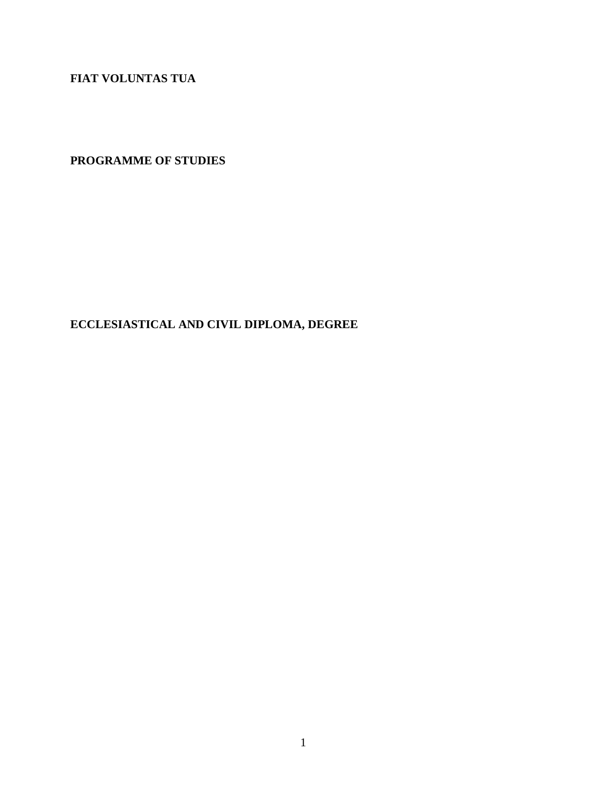**FIAT VOLUNTAS TUA**

**PROGRAMME OF STUDIES**

**ECCLESIASTICAL AND CIVIL DIPLOMA, DEGREE**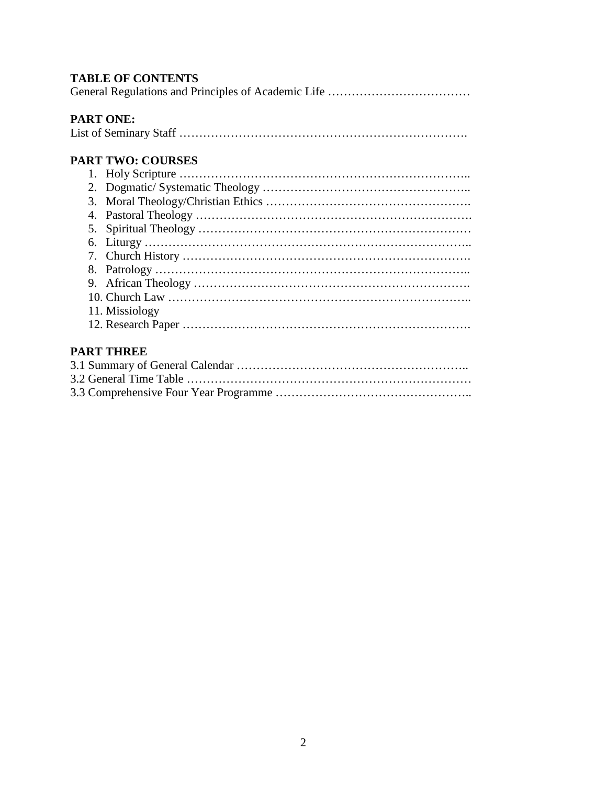# **TABLE OF CONTENTS**

General Regulations and Principles of Academic Life ………………………………

# **PART ONE:**

|--|--|

# **PART TWO: COURSES**

| 11. Missiology |
|----------------|
|                |

# **PART THREE**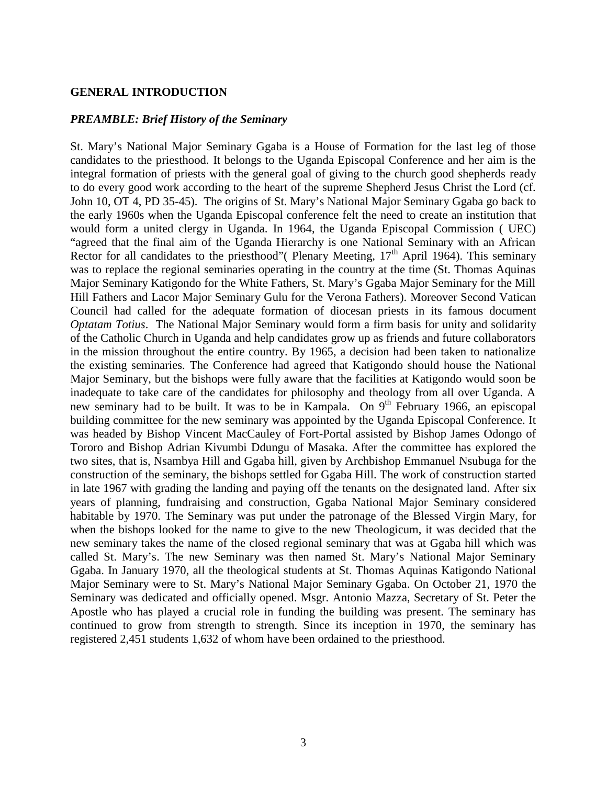#### **GENERAL INTRODUCTION**

### *PREAMBLE: Brief History of the Seminary*

St. Mary's National Major Seminary Ggaba is a House of Formation for the last leg of those candidates to the priesthood. It belongs to the Uganda Episcopal Conference and her aim is the integral formation of priests with the general goal of giving to the church good shepherds ready to do every good work according to the heart of the supreme Shepherd Jesus Christ the Lord (cf. John 10, OT 4, PD 35-45). The origins of St. Mary's National Major Seminary Ggaba go back to the early 1960s when the Uganda Episcopal conference felt the need to create an institution that would form a united clergy in Uganda. In 1964, the Uganda Episcopal Commission ( UEC) "agreed that the final aim of the Uganda Hierarchy is one National Seminary with an African Rector for all candidates to the priesthood" (Plenary Meeting,  $17<sup>th</sup>$  April 1964). This seminary was to replace the regional seminaries operating in the country at the time (St. Thomas Aquinas Major Seminary Katigondo for the White Fathers, St. Mary's Ggaba Major Seminary for the Mill Hill Fathers and Lacor Major Seminary Gulu for the Verona Fathers). Moreover Second Vatican Council had called for the adequate formation of diocesan priests in its famous document *Optatam Totius*. The National Major Seminary would form a firm basis for unity and solidarity of the Catholic Church in Uganda and help candidates grow up as friends and future collaborators in the mission throughout the entire country. By 1965, a decision had been taken to nationalize the existing seminaries. The Conference had agreed that Katigondo should house the National Major Seminary, but the bishops were fully aware that the facilities at Katigondo would soon be inadequate to take care of the candidates for philosophy and theology from all over Uganda. A new seminary had to be built. It was to be in Kampala. On  $9<sup>th</sup>$  February 1966, an episcopal building committee for the new seminary was appointed by the Uganda Episcopal Conference. It was headed by Bishop Vincent MacCauley of Fort-Portal assisted by Bishop James Odongo of Tororo and Bishop Adrian Kivumbi Ddungu of Masaka. After the committee has explored the two sites, that is, Nsambya Hill and Ggaba hill, given by Archbishop Emmanuel Nsubuga for the construction of the seminary, the bishops settled for Ggaba Hill. The work of construction started in late 1967 with grading the landing and paying off the tenants on the designated land. After six years of planning, fundraising and construction, Ggaba National Major Seminary considered habitable by 1970. The Seminary was put under the patronage of the Blessed Virgin Mary, for when the bishops looked for the name to give to the new Theologicum, it was decided that the new seminary takes the name of the closed regional seminary that was at Ggaba hill which was called St. Mary's. The new Seminary was then named St. Mary's National Major Seminary Ggaba. In January 1970, all the theological students at St. Thomas Aquinas Katigondo National Major Seminary were to St. Mary's National Major Seminary Ggaba. On October 21, 1970 the Seminary was dedicated and officially opened. Msgr. Antonio Mazza, Secretary of St. Peter the Apostle who has played a crucial role in funding the building was present. The seminary has continued to grow from strength to strength. Since its inception in 1970, the seminary has registered 2,451 students 1,632 of whom have been ordained to the priesthood.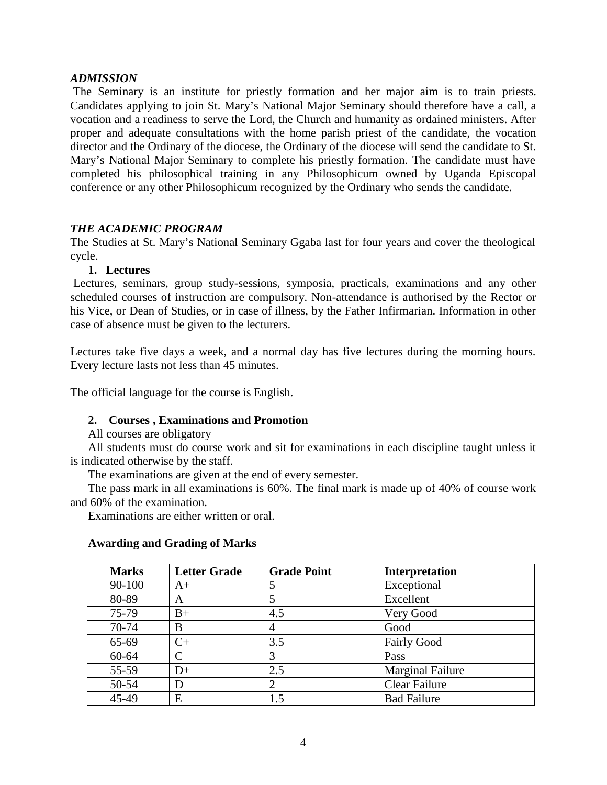### *ADMISSION*

The Seminary is an institute for priestly formation and her major aim is to train priests. Candidates applying to join St. Mary's National Major Seminary should therefore have a call, a vocation and a readiness to serve the Lord, the Church and humanity as ordained ministers. After proper and adequate consultations with the home parish priest of the candidate, the vocation director and the Ordinary of the diocese, the Ordinary of the diocese will send the candidate to St. Mary's National Major Seminary to complete his priestly formation. The candidate must have completed his philosophical training in any Philosophicum owned by Uganda Episcopal conference or any other Philosophicum recognized by the Ordinary who sends the candidate.

## *THE ACADEMIC PROGRAM*

The Studies at St. Mary's National Seminary Ggaba last for four years and cover the theological cycle.

#### **1. Lectures**

Lectures, seminars, group study-sessions, symposia, practicals, examinations and any other scheduled courses of instruction are compulsory. Non-attendance is authorised by the Rector or his Vice, or Dean of Studies, or in case of illness, by the Father Infirmarian. Information in other case of absence must be given to the lecturers.

Lectures take five days a week, and a normal day has five lectures during the morning hours. Every lecture lasts not less than 45 minutes.

The official language for the course is English.

## **2. Courses , Examinations and Promotion**

All courses are obligatory

All students must do course work and sit for examinations in each discipline taught unless it is indicated otherwise by the staff.

The examinations are given at the end of every semester.

The pass mark in all examinations is 60%. The final mark is made up of 40% of course work and 60% of the examination.

Examinations are either written or oral.

#### **Awarding and Grading of Marks**

| <b>Marks</b> | <b>Letter Grade</b> | <b>Grade Point</b> | Interpretation          |
|--------------|---------------------|--------------------|-------------------------|
| 90-100       | $A+$                |                    | Exceptional             |
| 80-89        | A                   |                    | Excellent               |
| 75-79        | $B+$                | 4.5                | Very Good               |
| 70-74        | B                   | 4                  | Good                    |
| 65-69        | $C+$                | 3.5                | <b>Fairly Good</b>      |
| $60 - 64$    | C                   |                    | Pass                    |
| 55-59        | $D+$                | 2.5                | <b>Marginal Failure</b> |
| 50-54        | D                   | റ                  | Clear Failure           |
| 45-49        | E                   | 1.5                | <b>Bad Failure</b>      |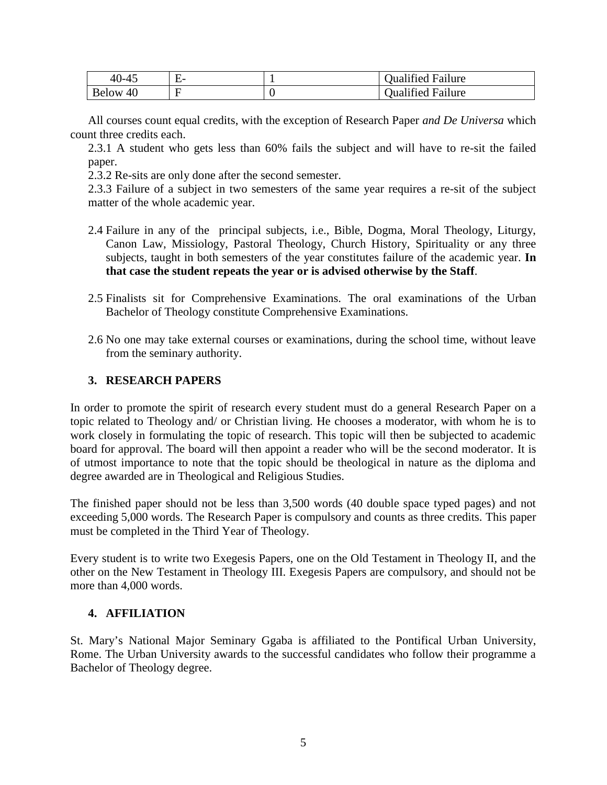| $40 - 45$          | $\overline{\phantom{0}}$<br>. H.<br>- | <b>Dualified Failure</b> |
|--------------------|---------------------------------------|--------------------------|
| <b>Below</b><br>40 |                                       | Qualified Failure        |

All courses count equal credits, with the exception of Research Paper *and De Universa* which count three credits each.

2.3.1 A student who gets less than 60% fails the subject and will have to re-sit the failed paper.

2.3.2 Re-sits are only done after the second semester.

2.3.3 Failure of a subject in two semesters of the same year requires a re-sit of the subject matter of the whole academic year.

- 2.4 Failure in any of the principal subjects, i.e., Bible, Dogma, Moral Theology, Liturgy, Canon Law, Missiology, Pastoral Theology, Church History, Spirituality or any three subjects, taught in both semesters of the year constitutes failure of the academic year. **In that case the student repeats the year or is advised otherwise by the Staff**.
- 2.5 Finalists sit for Comprehensive Examinations. The oral examinations of the Urban Bachelor of Theology constitute Comprehensive Examinations.
- 2.6 No one may take external courses or examinations, during the school time, without leave from the seminary authority.

## **3. RESEARCH PAPERS**

In order to promote the spirit of research every student must do a general Research Paper on a topic related to Theology and/ or Christian living. He chooses a moderator, with whom he is to work closely in formulating the topic of research. This topic will then be subjected to academic board for approval. The board will then appoint a reader who will be the second moderator. It is of utmost importance to note that the topic should be theological in nature as the diploma and degree awarded are in Theological and Religious Studies.

The finished paper should not be less than 3,500 words (40 double space typed pages) and not exceeding 5,000 words. The Research Paper is compulsory and counts as three credits. This paper must be completed in the Third Year of Theology.

Every student is to write two Exegesis Papers, one on the Old Testament in Theology II, and the other on the New Testament in Theology III. Exegesis Papers are compulsory, and should not be more than 4,000 words.

## **4. AFFILIATION**

St. Mary's National Major Seminary Ggaba is affiliated to the Pontifical Urban University, Rome. The Urban University awards to the successful candidates who follow their programme a Bachelor of Theology degree.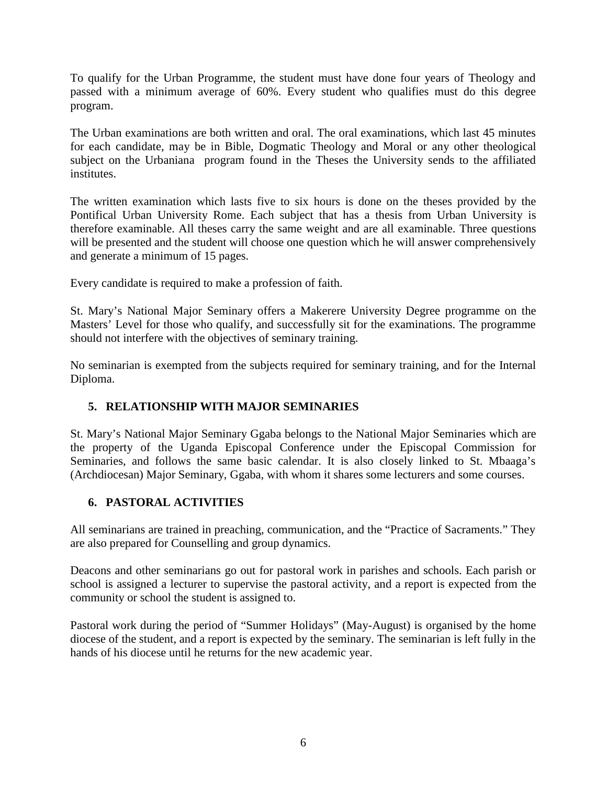To qualify for the Urban Programme, the student must have done four years of Theology and passed with a minimum average of 60%. Every student who qualifies must do this degree program.

The Urban examinations are both written and oral. The oral examinations, which last 45 minutes for each candidate, may be in Bible, Dogmatic Theology and Moral or any other theological subject on the Urbaniana program found in the Theses the University sends to the affiliated institutes.

The written examination which lasts five to six hours is done on the theses provided by the Pontifical Urban University Rome. Each subject that has a thesis from Urban University is therefore examinable. All theses carry the same weight and are all examinable. Three questions will be presented and the student will choose one question which he will answer comprehensively and generate a minimum of 15 pages.

Every candidate is required to make a profession of faith.

St. Mary's National Major Seminary offers a Makerere University Degree programme on the Masters' Level for those who qualify, and successfully sit for the examinations. The programme should not interfere with the objectives of seminary training.

No seminarian is exempted from the subjects required for seminary training, and for the Internal Diploma.

# **5. RELATIONSHIP WITH MAJOR SEMINARIES**

St. Mary's National Major Seminary Ggaba belongs to the National Major Seminaries which are the property of the Uganda Episcopal Conference under the Episcopal Commission for Seminaries, and follows the same basic calendar. It is also closely linked to St. Mbaaga's (Archdiocesan) Major Seminary, Ggaba, with whom it shares some lecturers and some courses.

# **6. PASTORAL ACTIVITIES**

All seminarians are trained in preaching, communication, and the "Practice of Sacraments." They are also prepared for Counselling and group dynamics.

Deacons and other seminarians go out for pastoral work in parishes and schools. Each parish or school is assigned a lecturer to supervise the pastoral activity, and a report is expected from the community or school the student is assigned to.

Pastoral work during the period of "Summer Holidays" (May-August) is organised by the home diocese of the student, and a report is expected by the seminary. The seminarian is left fully in the hands of his diocese until he returns for the new academic year.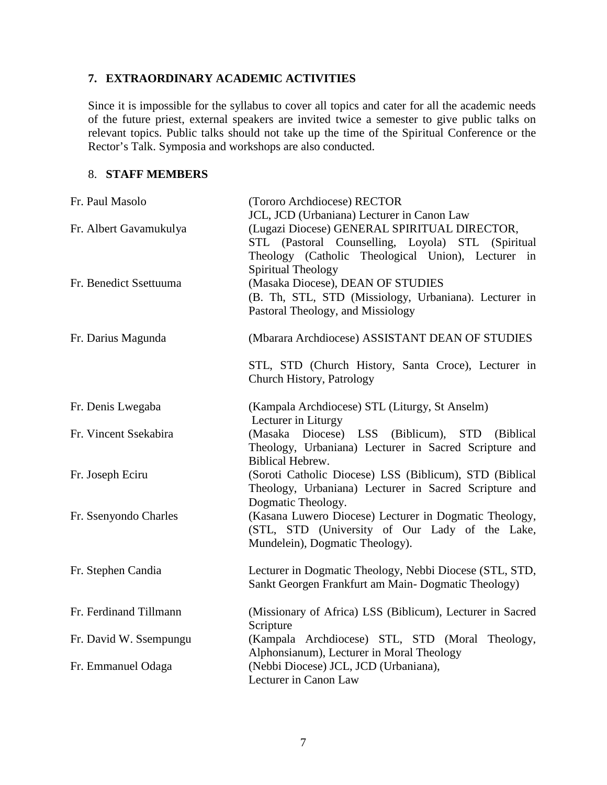# **7. EXTRAORDINARY ACADEMIC ACTIVITIES**

Since it is impossible for the syllabus to cover all topics and cater for all the academic needs of the future priest, external speakers are invited twice a semester to give public talks on relevant topics. Public talks should not take up the time of the Spiritual Conference or the Rector's Talk. Symposia and workshops are also conducted.

## 8. **STAFF MEMBERS**

| Fr. Paul Masolo        | (Tororo Archdiocese) RECTOR                               |
|------------------------|-----------------------------------------------------------|
|                        | JCL, JCD (Urbaniana) Lecturer in Canon Law                |
| Fr. Albert Gavamukulya | (Lugazi Diocese) GENERAL SPIRITUAL DIRECTOR,              |
|                        | STL (Pastoral Counselling, Loyola) STL (Spiritual         |
|                        | Theology (Catholic Theological Union), Lecturer in        |
|                        | Spiritual Theology                                        |
| Fr. Benedict Ssettuuma | (Masaka Diocese), DEAN OF STUDIES                         |
|                        | (B. Th, STL, STD (Missiology, Urbaniana). Lecturer in     |
|                        | Pastoral Theology, and Missiology                         |
| Fr. Darius Magunda     | (Mbarara Archdiocese) ASSISTANT DEAN OF STUDIES           |
|                        | STL, STD (Church History, Santa Croce), Lecturer in       |
|                        | Church History, Patrology                                 |
| Fr. Denis Lwegaba      | (Kampala Archdiocese) STL (Liturgy, St Anselm)            |
|                        | Lecturer in Liturgy                                       |
| Fr. Vincent Ssekabira  | (Masaka Diocese) LSS (Biblicum), STD<br>(Biblical)        |
|                        | Theology, Urbaniana) Lecturer in Sacred Scripture and     |
|                        | <b>Biblical Hebrew.</b>                                   |
| Fr. Joseph Eciru       | (Soroti Catholic Diocese) LSS (Biblicum), STD (Biblical   |
|                        | Theology, Urbaniana) Lecturer in Sacred Scripture and     |
|                        | Dogmatic Theology.                                        |
| Fr. Ssenyondo Charles  | (Kasana Luwero Diocese) Lecturer in Dogmatic Theology,    |
|                        | (STL, STD (University of Our Lady of the Lake,            |
|                        | Mundelein), Dogmatic Theology).                           |
| Fr. Stephen Candia     | Lecturer in Dogmatic Theology, Nebbi Diocese (STL, STD,   |
|                        | Sankt Georgen Frankfurt am Main-Dogmatic Theology)        |
| Fr. Ferdinand Tillmann | (Missionary of Africa) LSS (Biblicum), Lecturer in Sacred |
|                        | Scripture                                                 |
| Fr. David W. Ssempungu | (Kampala Archdiocese) STL, STD (Moral Theology,           |
|                        | Alphonsianum), Lecturer in Moral Theology                 |
| Fr. Emmanuel Odaga     | (Nebbi Diocese) JCL, JCD (Urbaniana),                     |
|                        | Lecturer in Canon Law                                     |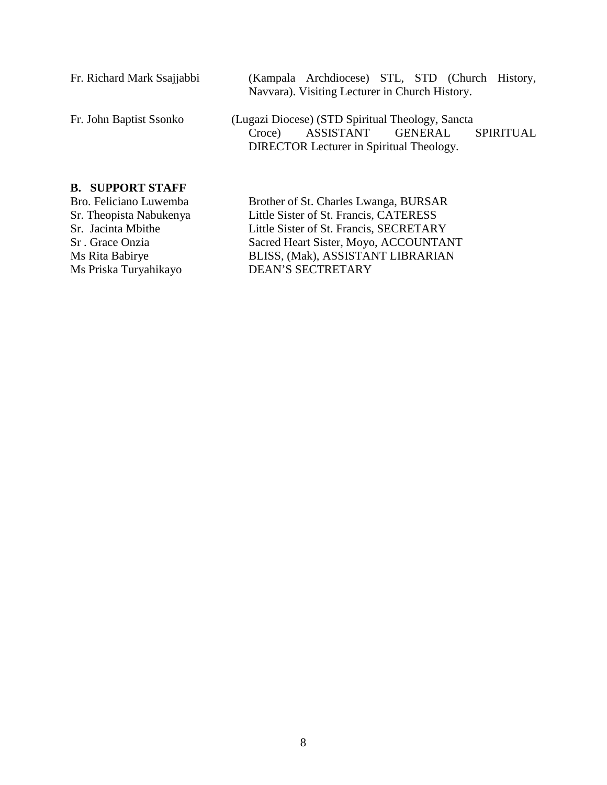| Fr. Richard Mark Ssajjabbi | (Kampala Archdiocese) STL, STD (Church History,<br>Navvara). Visiting Lecturer in Church History.                                                                |
|----------------------------|------------------------------------------------------------------------------------------------------------------------------------------------------------------|
| Fr. John Baptist Ssonko    | (Lugazi Diocese) (STD Spiritual Theology, Sancta<br>ASSISTANT<br><b>GENERAL</b><br><b>SPIRITUAL</b><br>Croce)<br><b>DIRECTOR Lecturer in Spiritual Theology.</b> |
| <b>B. SUPPORT STAFF</b>    |                                                                                                                                                                  |
| Bro. Feliciano Luwemba     | Brother of St. Charles Lwanga, BURSAR                                                                                                                            |
| Sr. Theopista Nabukenya    | Little Sister of St. Francis, CATERESS                                                                                                                           |
| Sr. Jacinta Mbithe         | Little Sister of St. Francis, SECRETARY                                                                                                                          |
| Sr. Grace Onzia            | Sacred Heart Sister, Moyo, ACCOUNTANT                                                                                                                            |
| Ms Rita Babirye            | BLISS, (Mak), ASSISTANT LIBRARIAN                                                                                                                                |
|                            |                                                                                                                                                                  |

Ms Priska Turyahikayo DEAN'S SECTRETARY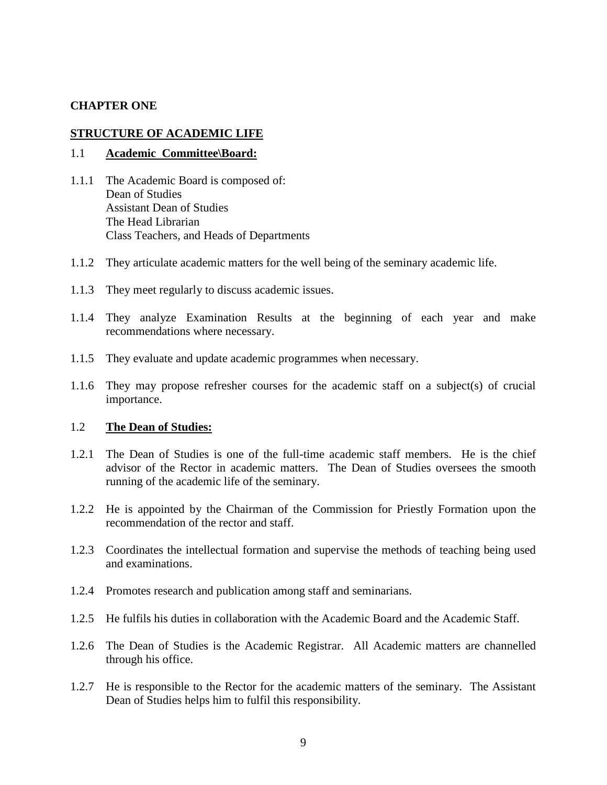### **CHAPTER ONE**

#### **STRUCTURE OF ACADEMIC LIFE**

#### 1.1 **Academic Committee\Board:**

- 1.1.1 The Academic Board is composed of: Dean of Studies Assistant Dean of Studies The Head Librarian Class Teachers, and Heads of Departments
- 1.1.2 They articulate academic matters for the well being of the seminary academic life.
- 1.1.3 They meet regularly to discuss academic issues.
- 1.1.4 They analyze Examination Results at the beginning of each year and make recommendations where necessary.
- 1.1.5 They evaluate and update academic programmes when necessary.
- 1.1.6 They may propose refresher courses for the academic staff on a subject(s) of crucial importance.

### 1.2 **The Dean of Studies:**

- 1.2.1 The Dean of Studies is one of the full-time academic staff members. He is the chief advisor of the Rector in academic matters. The Dean of Studies oversees the smooth running of the academic life of the seminary.
- 1.2.2 He is appointed by the Chairman of the Commission for Priestly Formation upon the recommendation of the rector and staff.
- 1.2.3 Coordinates the intellectual formation and supervise the methods of teaching being used and examinations.
- 1.2.4 Promotes research and publication among staff and seminarians.
- 1.2.5 He fulfils his duties in collaboration with the Academic Board and the Academic Staff.
- 1.2.6 The Dean of Studies is the Academic Registrar. All Academic matters are channelled through his office.
- 1.2.7 He is responsible to the Rector for the academic matters of the seminary. The Assistant Dean of Studies helps him to fulfil this responsibility.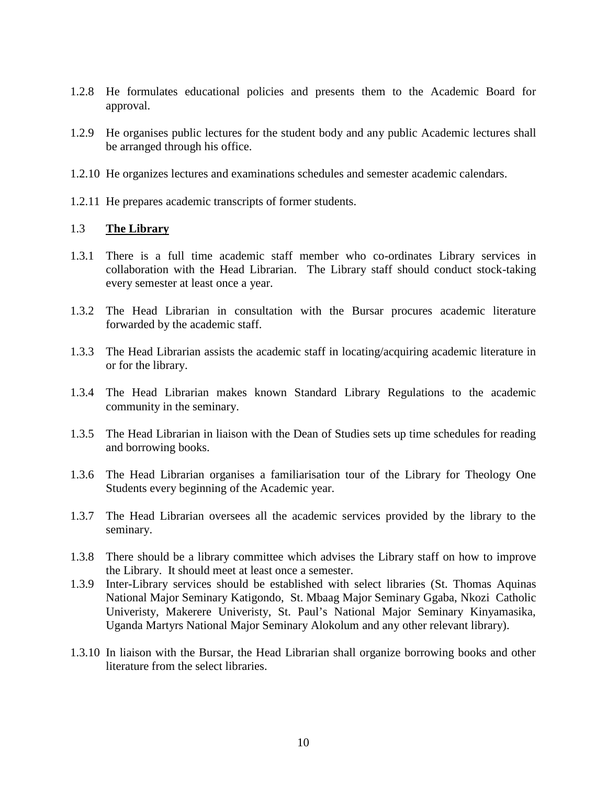- 1.2.8 He formulates educational policies and presents them to the Academic Board for approval.
- 1.2.9 He organises public lectures for the student body and any public Academic lectures shall be arranged through his office.
- 1.2.10 He organizes lectures and examinations schedules and semester academic calendars.
- 1.2.11 He prepares academic transcripts of former students.

### 1.3 **The Library**

- 1.3.1 There is a full time academic staff member who co-ordinates Library services in collaboration with the Head Librarian. The Library staff should conduct stock-taking every semester at least once a year.
- 1.3.2 The Head Librarian in consultation with the Bursar procures academic literature forwarded by the academic staff.
- 1.3.3 The Head Librarian assists the academic staff in locating/acquiring academic literature in or for the library.
- 1.3.4 The Head Librarian makes known Standard Library Regulations to the academic community in the seminary.
- 1.3.5 The Head Librarian in liaison with the Dean of Studies sets up time schedules for reading and borrowing books.
- 1.3.6 The Head Librarian organises a familiarisation tour of the Library for Theology One Students every beginning of the Academic year.
- 1.3.7 The Head Librarian oversees all the academic services provided by the library to the seminary.
- 1.3.8 There should be a library committee which advises the Library staff on how to improve the Library. It should meet at least once a semester.
- 1.3.9 Inter-Library services should be established with select libraries (St. Thomas Aquinas National Major Seminary Katigondo, St. Mbaag Major Seminary Ggaba, Nkozi Catholic Univeristy, Makerere Univeristy, St. Paul's National Major Seminary Kinyamasika, Uganda Martyrs National Major Seminary Alokolum and any other relevant library).
- 1.3.10 In liaison with the Bursar, the Head Librarian shall organize borrowing books and other literature from the select libraries.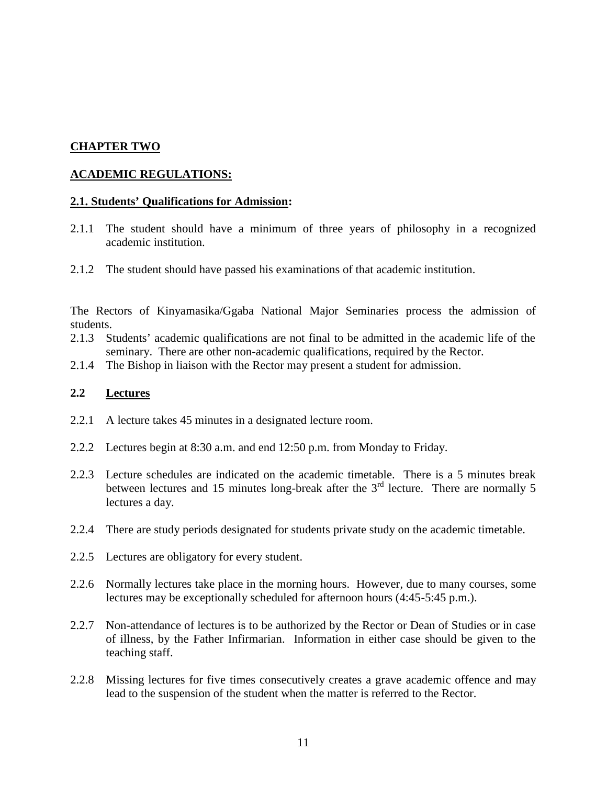# **CHAPTER TWO**

## **ACADEMIC REGULATIONS:**

#### **2.1. Students' Qualifications for Admission:**

- 2.1.1 The student should have a minimum of three years of philosophy in a recognized academic institution.
- 2.1.2 The student should have passed his examinations of that academic institution.

The Rectors of Kinyamasika/Ggaba National Major Seminaries process the admission of students.

- 2.1.3 Students' academic qualifications are not final to be admitted in the academic life of the seminary. There are other non-academic qualifications, required by the Rector.
- 2.1.4 The Bishop in liaison with the Rector may present a student for admission.

## **2.2 Lectures**

- 2.2.1 A lecture takes 45 minutes in a designated lecture room.
- 2.2.2 Lectures begin at 8:30 a.m. and end 12:50 p.m. from Monday to Friday.
- 2.2.3 Lecture schedules are indicated on the academic timetable. There is a 5 minutes break between lectures and 15 minutes long-break after the  $3<sup>rd</sup>$  lecture. There are normally 5 lectures a day.
- 2.2.4 There are study periods designated for students private study on the academic timetable.
- 2.2.5 Lectures are obligatory for every student.
- 2.2.6 Normally lectures take place in the morning hours. However, due to many courses, some lectures may be exceptionally scheduled for afternoon hours (4:45-5:45 p.m.).
- 2.2.7 Non-attendance of lectures is to be authorized by the Rector or Dean of Studies or in case of illness, by the Father Infirmarian. Information in either case should be given to the teaching staff.
- 2.2.8 Missing lectures for five times consecutively creates a grave academic offence and may lead to the suspension of the student when the matter is referred to the Rector.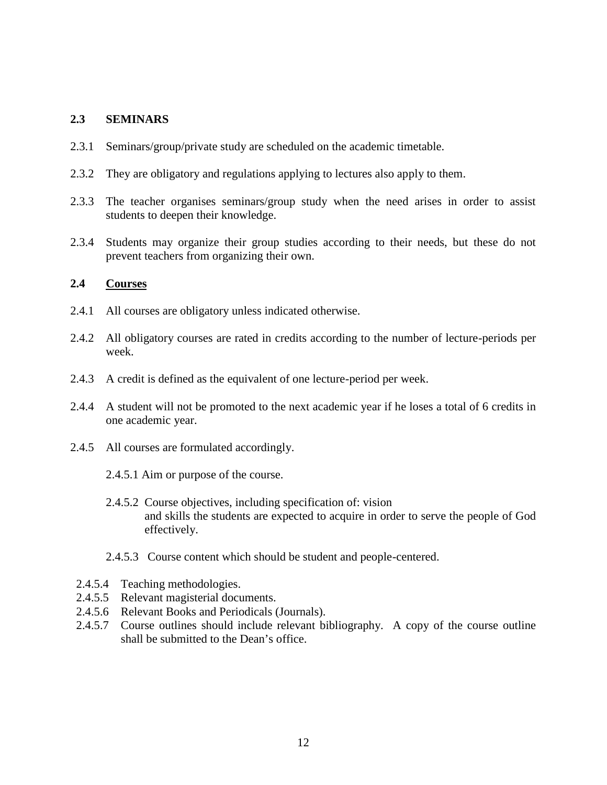## **2.3 SEMINARS**

- 2.3.1 Seminars/group/private study are scheduled on the academic timetable.
- 2.3.2 They are obligatory and regulations applying to lectures also apply to them.
- 2.3.3 The teacher organises seminars/group study when the need arises in order to assist students to deepen their knowledge.
- 2.3.4 Students may organize their group studies according to their needs, but these do not prevent teachers from organizing their own.

## **2.4 Courses**

- 2.4.1 All courses are obligatory unless indicated otherwise.
- 2.4.2 All obligatory courses are rated in credits according to the number of lecture-periods per week.
- 2.4.3 A credit is defined as the equivalent of one lecture-period per week.
- 2.4.4 A student will not be promoted to the next academic year if he loses a total of 6 credits in one academic year.
- 2.4.5 All courses are formulated accordingly.
	- 2.4.5.1 Aim or purpose of the course.
	- 2.4.5.2 Course objectives, including specification of: vision and skills the students are expected to acquire in order to serve the people of God effectively.
	- 2.4.5.3 Course content which should be student and people-centered.
- 2.4.5.4 Teaching methodologies.
- 2.4.5.5 Relevant magisterial documents.
- 2.4.5.6 Relevant Books and Periodicals (Journals).
- 2.4.5.7 Course outlines should include relevant bibliography. A copy of the course outline shall be submitted to the Dean's office.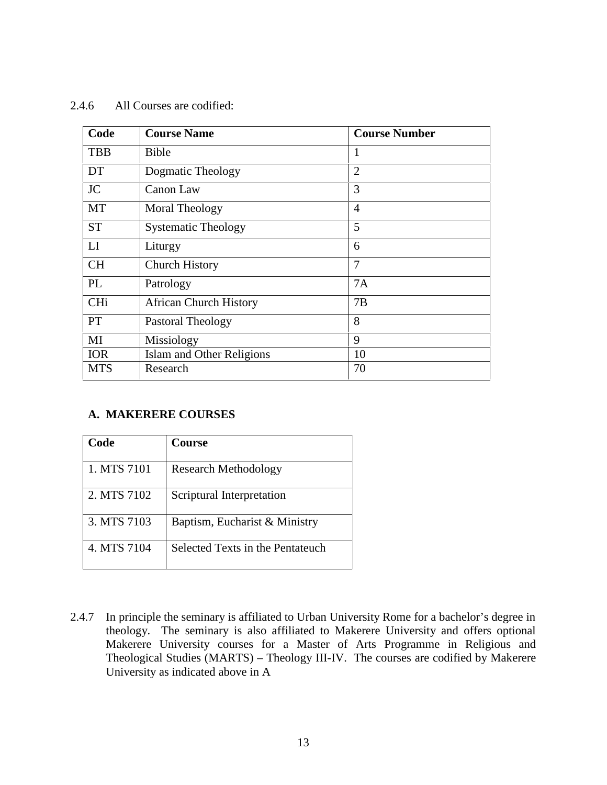## 2.4.6 All Courses are codified:

| Code       | <b>Course Name</b>            | <b>Course Number</b> |
|------------|-------------------------------|----------------------|
| <b>TBB</b> | Bible                         | 1                    |
| DT         | Dogmatic Theology             | $\overline{2}$       |
| <b>JC</b>  | Canon Law                     | 3                    |
| MT         | Moral Theology                | 4                    |
| <b>ST</b>  | <b>Systematic Theology</b>    | 5                    |
| LI         | Liturgy                       | 6                    |
| <b>CH</b>  | <b>Church History</b>         | 7                    |
| PL         | Patrology                     | 7A                   |
| <b>CHi</b> | <b>African Church History</b> | 7B                   |
| <b>PT</b>  | Pastoral Theology             | 8                    |
| MI         | Missiology                    | 9                    |
| <b>IOR</b> | Islam and Other Religions     | 10                   |
| <b>MTS</b> | Research                      | 70                   |

# **A. MAKERERE COURSES**

| Code        | Course                           |
|-------------|----------------------------------|
| 1. MTS 7101 | <b>Research Methodology</b>      |
| 2. MTS 7102 | Scriptural Interpretation        |
| 3. MTS 7103 | Baptism, Eucharist & Ministry    |
| 4. MTS 7104 | Selected Texts in the Pentateuch |

2.4.7 In principle the seminary is affiliated to Urban University Rome for a bachelor's degree in theology. The seminary is also affiliated to Makerere University and offers optional Makerere University courses for a Master of Arts Programme in Religious and Theological Studies (MARTS) – Theology III-IV. The courses are codified by Makerere University as indicated above in A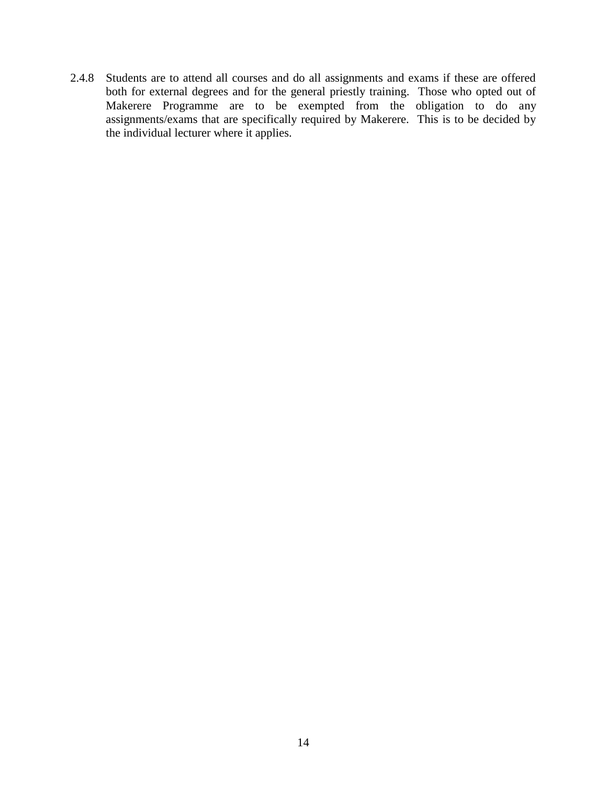2.4.8 Students are to attend all courses and do all assignments and exams if these are offered both for external degrees and for the general priestly training. Those who opted out of Makerere Programme are to be exempted from the obligation to do any assignments/exams that are specifically required by Makerere. This is to be decided by the individual lecturer where it applies.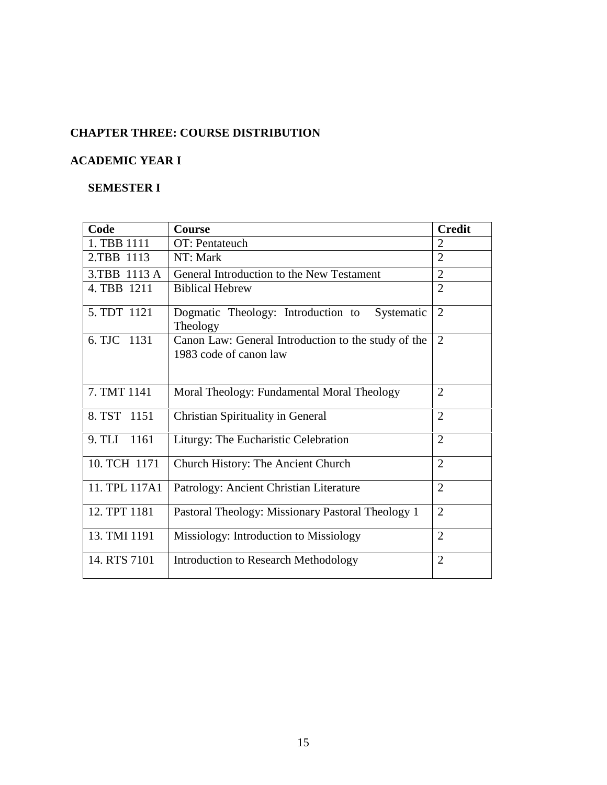# **CHAPTER THREE: COURSE DISTRIBUTION**

# **ACADEMIC YEAR I**

# **SEMESTER I**

| Code           | Course                                                                        | <b>Credit</b>  |
|----------------|-------------------------------------------------------------------------------|----------------|
| 1. TBB 1111    | OT: Pentateuch                                                                | $\overline{2}$ |
| 2.TBB 1113     | NT: Mark                                                                      | $\overline{2}$ |
| 3.TBB 1113 A   | General Introduction to the New Testament                                     | $\overline{2}$ |
| 4. TBB 1211    | <b>Biblical Hebrew</b>                                                        | $\overline{2}$ |
| 5. TDT 1121    | Dogmatic Theology: Introduction to<br>Systematic<br>Theology                  | $\overline{2}$ |
| 6. TJC 1131    | Canon Law: General Introduction to the study of the<br>1983 code of canon law | $\overline{2}$ |
| 7. TMT 1141    | Moral Theology: Fundamental Moral Theology                                    | $\overline{2}$ |
| 8. TST 1151    | <b>Christian Spirituality in General</b>                                      | $\overline{2}$ |
| 9. TLI<br>1161 | Liturgy: The Eucharistic Celebration                                          | $\overline{2}$ |
| 10. TCH 1171   | <b>Church History: The Ancient Church</b>                                     | $\overline{2}$ |
| 11. TPL 117A1  | Patrology: Ancient Christian Literature                                       | $\overline{2}$ |
| 12. TPT 1181   | Pastoral Theology: Missionary Pastoral Theology 1                             | $\overline{2}$ |
| 13. TMI 1191   | Missiology: Introduction to Missiology                                        | $\overline{2}$ |
| 14. RTS 7101   | <b>Introduction to Research Methodology</b>                                   | $\overline{2}$ |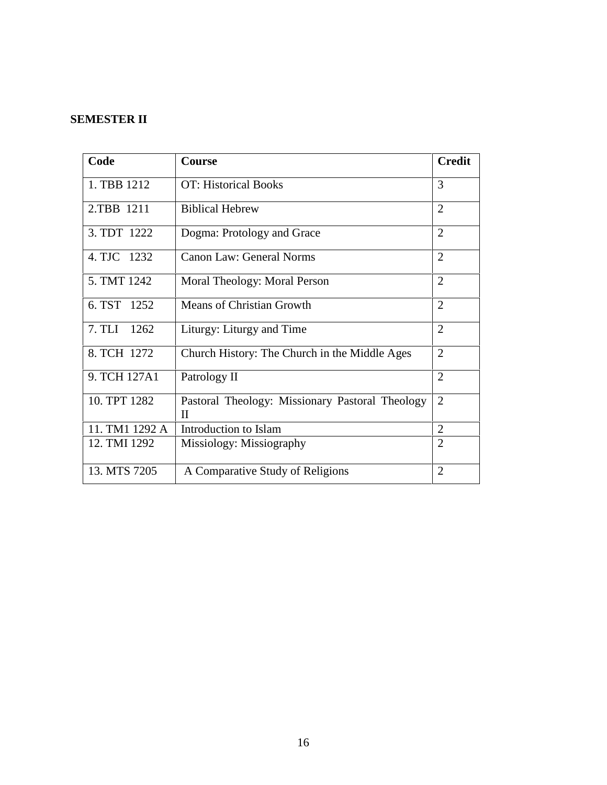# **SEMESTER II**

| Code           | Course                                               | <b>Credit</b>  |
|----------------|------------------------------------------------------|----------------|
| 1. TBB 1212    | <b>OT: Historical Books</b>                          | 3              |
| 2.TBB 1211     | <b>Biblical Hebrew</b>                               | $\overline{2}$ |
| 3. TDT 1222    | Dogma: Protology and Grace                           | $\overline{2}$ |
| 4. TJC 1232    | Canon Law: General Norms                             | $\overline{2}$ |
| 5. TMT 1242    | Moral Theology: Moral Person                         | $\overline{2}$ |
| 6. TST 1252    | <b>Means of Christian Growth</b>                     | $\overline{2}$ |
| 7. TLI 1262    | Liturgy: Liturgy and Time                            | $\overline{2}$ |
| 8. TCH 1272    | Church History: The Church in the Middle Ages        | $\overline{2}$ |
| 9. TCH 127A1   | Patrology II                                         | $\overline{2}$ |
| 10. TPT 1282   | Pastoral Theology: Missionary Pastoral Theology<br>Н | $\overline{2}$ |
| 11. TM1 1292 A | Introduction to Islam                                | $\overline{2}$ |
| 12. TMI 1292   | Missiology: Missiography                             | $\overline{2}$ |
| 13. MTS 7205   | A Comparative Study of Religions                     | $\overline{2}$ |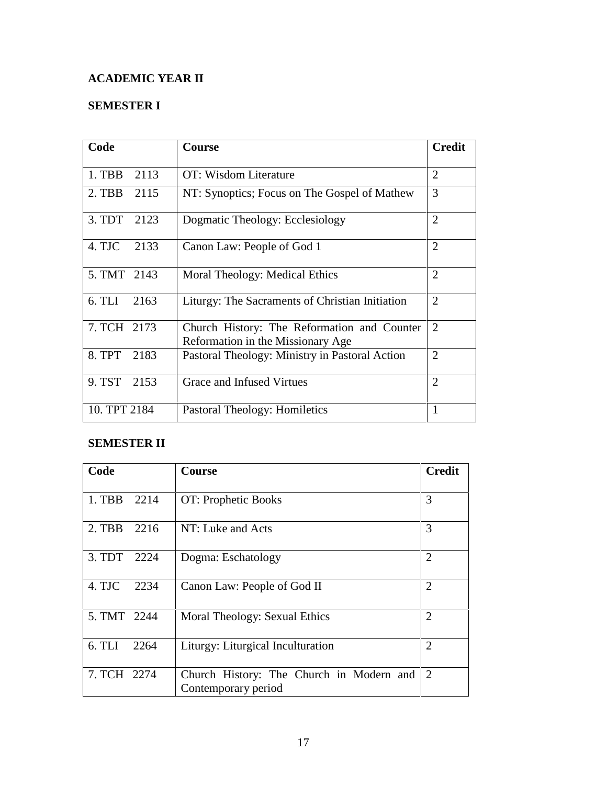# **ACADEMIC YEAR II**

# **SEMESTER I**

| Code             | <b>Course</b>                                                                    | <b>Credit</b>  |
|------------------|----------------------------------------------------------------------------------|----------------|
| $1.$ TBB<br>2113 | OT: Wisdom Literature                                                            | $\overline{2}$ |
| 2. TBB 2115      | NT: Synoptics; Focus on The Gospel of Mathew                                     | 3              |
| 3. TDT<br>2123   | Dogmatic Theology: Ecclesiology                                                  | $\overline{2}$ |
| 4. TJC<br>2133   | Canon Law: People of God 1                                                       | $\overline{2}$ |
| 5. TMT 2143      | Moral Theology: Medical Ethics                                                   | $\overline{2}$ |
| 6. TLI<br>2163   | Liturgy: The Sacraments of Christian Initiation                                  | $\overline{2}$ |
| 7. TCH 2173      | Church History: The Reformation and Counter<br>Reformation in the Missionary Age | $\overline{2}$ |
| 8. TPT<br>2183   | Pastoral Theology: Ministry in Pastoral Action                                   | $\overline{2}$ |
| 9. TST<br>2153   | Grace and Infused Virtues                                                        | $\overline{2}$ |
| 10. TPT 2184     | Pastoral Theology: Homiletics                                                    | $\mathbf{1}$   |

# **SEMESTER II**

| Code        |      | Course                                                          | <b>Credit</b>  |
|-------------|------|-----------------------------------------------------------------|----------------|
| 1. TBB 2214 |      | OT: Prophetic Books                                             | 3              |
| 2. TBB 2216 |      | NT: Luke and Acts                                               | 3              |
| 3. TDT 2224 |      | Dogma: Eschatology                                              | $\overline{2}$ |
| 4. TJC      | 2234 | Canon Law: People of God II                                     | $\overline{2}$ |
| 5. TMT 2244 |      | Moral Theology: Sexual Ethics                                   | $\overline{2}$ |
| 6. TLI      | 2264 | Liturgy: Liturgical Inculturation                               | $\overline{2}$ |
| 7. TCH 2274 |      | Church History: The Church in Modern and<br>Contemporary period | 2              |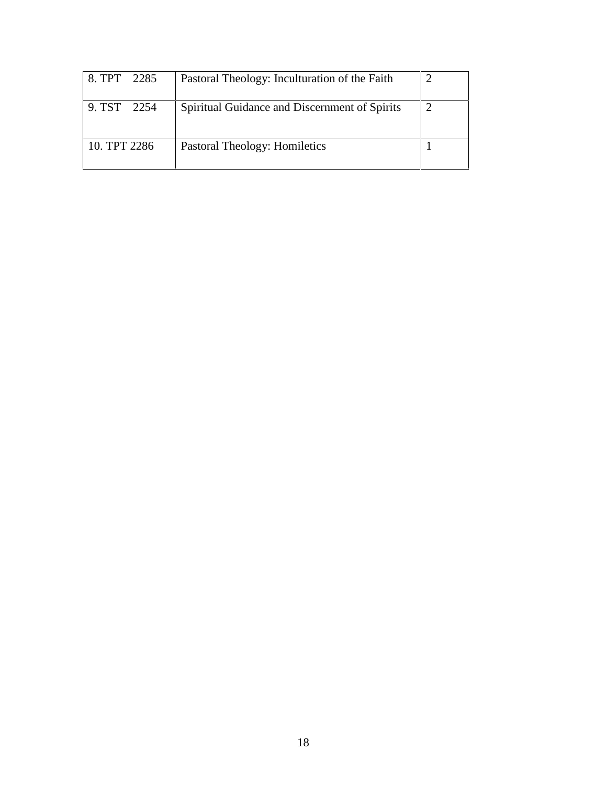| 8. TPT 2285  | Pastoral Theology: Inculturation of the Faith |  |
|--------------|-----------------------------------------------|--|
| 9. TST 2254  | Spiritual Guidance and Discernment of Spirits |  |
| 10. TPT 2286 | Pastoral Theology: Homiletics                 |  |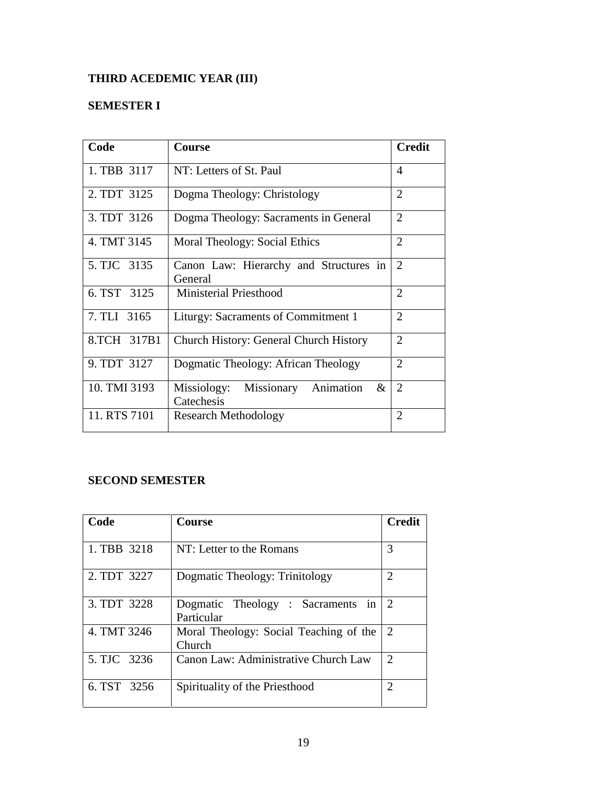# **THIRD ACEDEMIC YEAR (III)**

# **SEMESTER I**

| Code         | <b>Course</b>                                          | <b>Credit</b>  |
|--------------|--------------------------------------------------------|----------------|
| 1. TBB 3117  | NT: Letters of St. Paul                                | 4              |
| 2. TDT 3125  | Dogma Theology: Christology                            | $\overline{2}$ |
| 3. TDT 3126  | Dogma Theology: Sacraments in General                  | $\overline{2}$ |
| 4. TMT 3145  | Moral Theology: Social Ethics                          | $\overline{2}$ |
| 5. TJC 3135  | Canon Law: Hierarchy and Structures in<br>General      | $\overline{2}$ |
| 6. TST 3125  | <b>Ministerial Priesthood</b>                          | $\overline{2}$ |
| 7. TLI 3165  | Liturgy: Sacraments of Commitment 1                    | $\overline{2}$ |
| 8.TCH 317B1  | Church History: General Church History                 | $\overline{2}$ |
| 9. TDT 3127  | Dogmatic Theology: African Theology                    | $\overline{2}$ |
| 10. TMI 3193 | Missionary Animation<br>Missiology:<br>&<br>Catechesis | $\overline{2}$ |
| 11. RTS 7101 | <b>Research Methodology</b>                            | $\overline{2}$ |

# **SECOND SEMESTER**

| Code        | <b>Course</b>                                    | <b>Credit</b>                                                                                                                              |
|-------------|--------------------------------------------------|--------------------------------------------------------------------------------------------------------------------------------------------|
| 1. TBB 3218 | NT: Letter to the Romans                         | 3                                                                                                                                          |
| 2. TDT 3227 | Dogmatic Theology: Trinitology                   | $\mathcal{D}_{\mathcal{L}}$                                                                                                                |
| 3. TDT 3228 | Dogmatic Theology : Sacraments in<br>Particular  | 2                                                                                                                                          |
| 4. TMT 3246 | Moral Theology: Social Teaching of the<br>Church | 2                                                                                                                                          |
| 5. TJC 3236 | Canon Law: Administrative Church Law             | $\mathcal{D}_{\mathcal{L}}$                                                                                                                |
| 6. TST 3256 | Spirituality of the Priesthood                   | $\mathcal{D}_{\mathcal{A}}^{(n)}(\mathcal{A}) = \mathcal{D}_{\mathcal{A}}^{(n)}(\mathcal{A}) \mathcal{D}_{\mathcal{A}}^{(n)}(\mathcal{A})$ |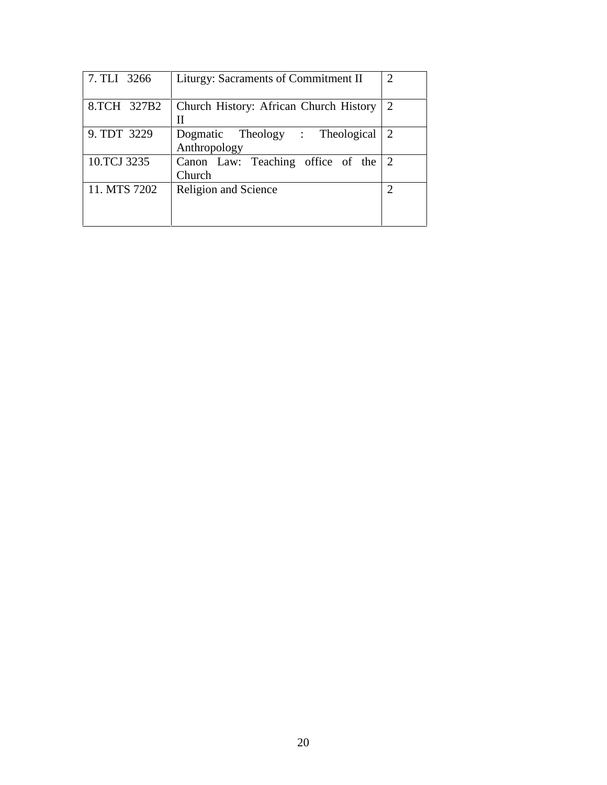| 7. TLI 3266  | Liturgy: Sacraments of Commitment II            | $\overline{2}$ |
|--------------|-------------------------------------------------|----------------|
| 8.TCH 327B2  | Church History: African Church History<br>Н     |                |
| 9. TDT 3229  | Dogmatic Theology : Theological<br>Anthropology | 2              |
| 10.TCJ 3235  | Canon Law: Teaching office of the<br>Church     |                |
| 11. MTS 7202 | Religion and Science                            |                |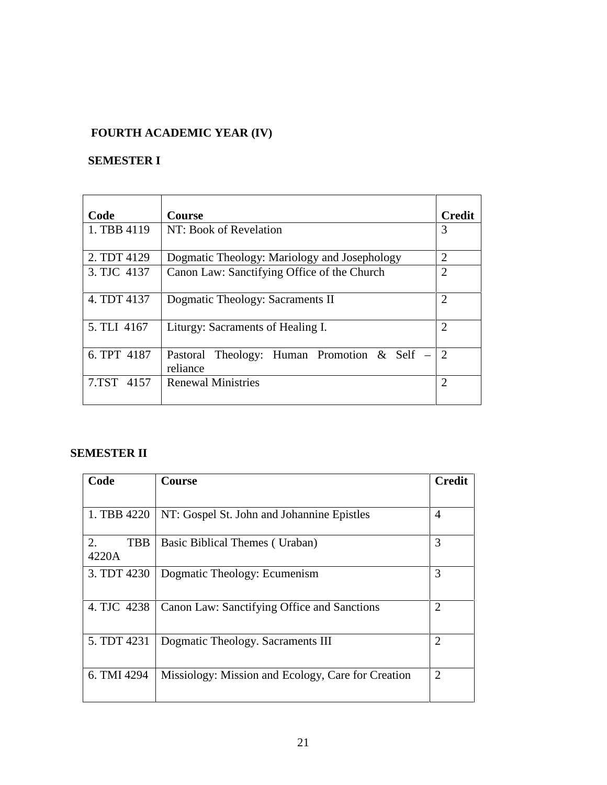# **FOURTH ACADEMIC YEAR (IV)**

# **SEMESTER I**

| Code        | <b>Course</b>                                           | <b>Credit</b>  |
|-------------|---------------------------------------------------------|----------------|
| 1. TBB 4119 | NT: Book of Revelation                                  | 3              |
| 2. TDT 4129 | Dogmatic Theology: Mariology and Josephology            | $\overline{2}$ |
| 3. TJC 4137 | Canon Law: Sanctifying Office of the Church             | $\overline{2}$ |
| 4. TDT 4137 | Dogmatic Theology: Sacraments II                        | $\overline{2}$ |
| 5. TLI 4167 | Liturgy: Sacraments of Healing I.                       | $\overline{2}$ |
| 6. TPT 4187 | Pastoral Theology: Human Promotion & Self –<br>reliance | 2              |
| 7.TST 4157  | <b>Renewal Ministries</b>                               | $\overline{2}$ |

# **SEMESTER II**

| Code               | Course                                             | <b>Credit</b>  |
|--------------------|----------------------------------------------------|----------------|
| 1. TBB 4220        | NT: Gospel St. John and Johannine Epistles         | $\overline{4}$ |
| 2.<br>TBB<br>4220A | Basic Biblical Themes (Uraban)                     | 3              |
| 3. TDT 4230        | Dogmatic Theology: Ecumenism                       | 3              |
| 4. TJC 4238        | Canon Law: Sanctifying Office and Sanctions        | $\overline{2}$ |
| 5. TDT 4231        | Dogmatic Theology. Sacraments III                  | $\overline{2}$ |
| 6. TMI 4294        | Missiology: Mission and Ecology, Care for Creation | $\overline{2}$ |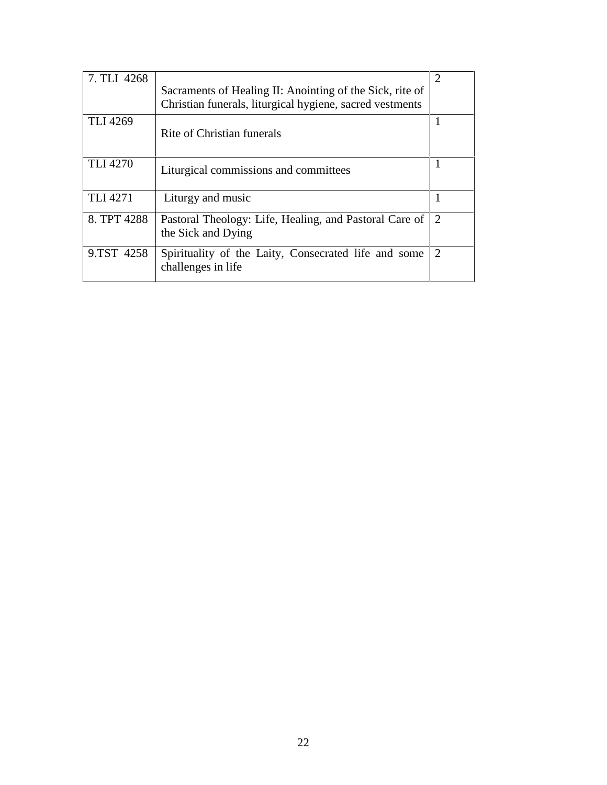| 7. TLI 4268     | Sacraments of Healing II: Anointing of the Sick, rite of<br>Christian funerals, liturgical hygiene, sacred vestments | 2 |
|-----------------|----------------------------------------------------------------------------------------------------------------------|---|
| <b>TLI 4269</b> | Rite of Christian funerals                                                                                           |   |
| <b>TLI 4270</b> | Liturgical commissions and committees                                                                                |   |
| TLI 4271        | Liturgy and music                                                                                                    |   |
| 8. TPT 4288     | Pastoral Theology: Life, Healing, and Pastoral Care of<br>the Sick and Dying                                         | 2 |
| 9.TST 4258      | Spirituality of the Laity, Consecrated life and some<br>challenges in life                                           | 2 |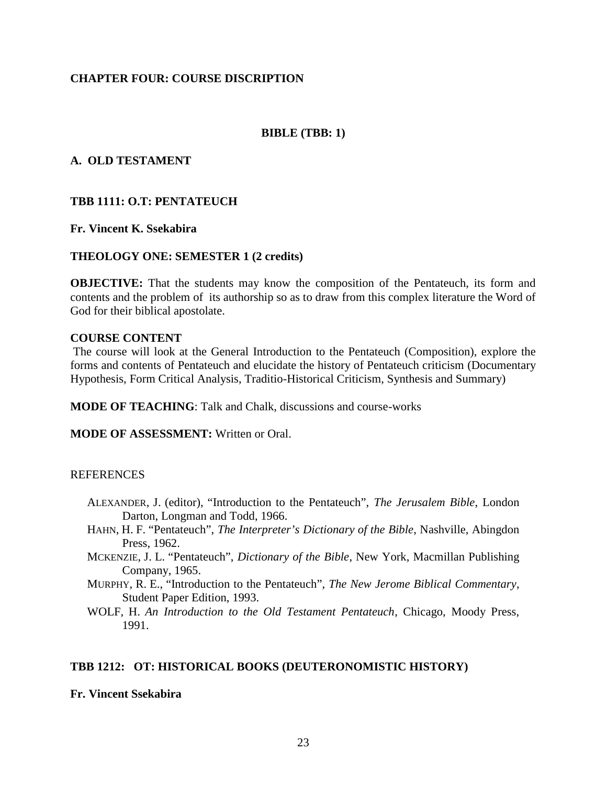## **CHAPTER FOUR: COURSE DISCRIPTION**

## **BIBLE (TBB: 1)**

## **A. OLD TESTAMENT**

## **TBB 1111: O.T: PENTATEUCH**

### **Fr. Vincent K. Ssekabira**

## **THEOLOGY ONE: SEMESTER 1 (2 credits)**

**OBJECTIVE:** That the students may know the composition of the Pentateuch, its form and contents and the problem of its authorship so as to draw from this complex literature the Word of God for their biblical apostolate.

#### **COURSE CONTENT**

The course will look at the General Introduction to the Pentateuch (Composition), explore the forms and contents of Pentateuch and elucidate the history of Pentateuch criticism (Documentary Hypothesis, Form Critical Analysis, Traditio-Historical Criticism, Synthesis and Summary)

**MODE OF TEACHING**: Talk and Chalk, discussions and course-works

**MODE OF ASSESSMENT:** Written or Oral.

## **REFERENCES**

- ALEXANDER, J. (editor), "Introduction to the Pentateuch", *The Jerusalem Bible*, London Darton, Longman and Todd, 1966.
- HAHN, H. F. "Pentateuch", *The Interpreter's Dictionary of the Bible*, Nashville, Abingdon Press, 1962.
- MCKENZIE, J. L. "Pentateuch", *Dictionary of the Bible*, New York, Macmillan Publishing Company, 1965.
- MURPHY, R. E., "Introduction to the Pentateuch", *The New Jerome Biblical Commentary*, Student Paper Edition, 1993.
- WOLF, H. *An Introduction to the Old Testament Pentateuch*, Chicago, Moody Press, 1991.

## **TBB 1212: OT: HISTORICAL BOOKS (DEUTERONOMISTIC HISTORY)**

#### **Fr. Vincent Ssekabira**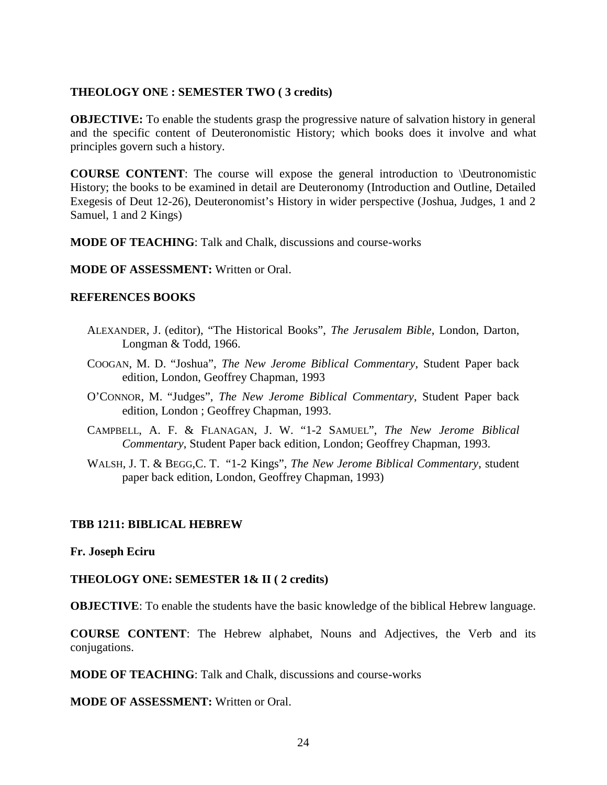## **THEOLOGY ONE : SEMESTER TWO ( 3 credits)**

**OBJECTIVE:** To enable the students grasp the progressive nature of salvation history in general and the specific content of Deuteronomistic History; which books does it involve and what principles govern such a history.

**COURSE CONTENT**: The course will expose the general introduction to \Deutronomistic History; the books to be examined in detail are Deuteronomy (Introduction and Outline, Detailed Exegesis of Deut 12-26), Deuteronomist's History in wider perspective (Joshua, Judges, 1 and 2 Samuel, 1 and 2 Kings)

**MODE OF TEACHING**: Talk and Chalk, discussions and course-works

#### **MODE OF ASSESSMENT:** Written or Oral.

#### **REFERENCES BOOKS**

- ALEXANDER, J. (editor), "The Historical Books", *The Jerusalem Bible*, London, Darton, Longman & Todd, 1966.
- COOGAN, M. D. "Joshua", *The New Jerome Biblical Commentary*, Student Paper back edition, London, Geoffrey Chapman, 1993
- O'CONNOR, M. "Judges", *The New Jerome Biblical Commentary*, Student Paper back edition, London ; Geoffrey Chapman, 1993.
- CAMPBELL, A. F. & FLANAGAN, J. W. "1-2 SAMUEL", *The New Jerome Biblical Commentary*, Student Paper back edition, London; Geoffrey Chapman, 1993.
- WALSH, J. T. & BEGG,C. T. "1-2 Kings", *The New Jerome Biblical Commentary*, student paper back edition, London, Geoffrey Chapman, 1993)

## **TBB 1211: BIBLICAL HEBREW**

#### **Fr. Joseph Eciru**

## **THEOLOGY ONE: SEMESTER 1& II ( 2 credits)**

**OBJECTIVE:** To enable the students have the basic knowledge of the biblical Hebrew language.

**COURSE CONTENT**: The Hebrew alphabet, Nouns and Adjectives, the Verb and its conjugations.

**MODE OF TEACHING**: Talk and Chalk, discussions and course-works

**MODE OF ASSESSMENT:** Written or Oral.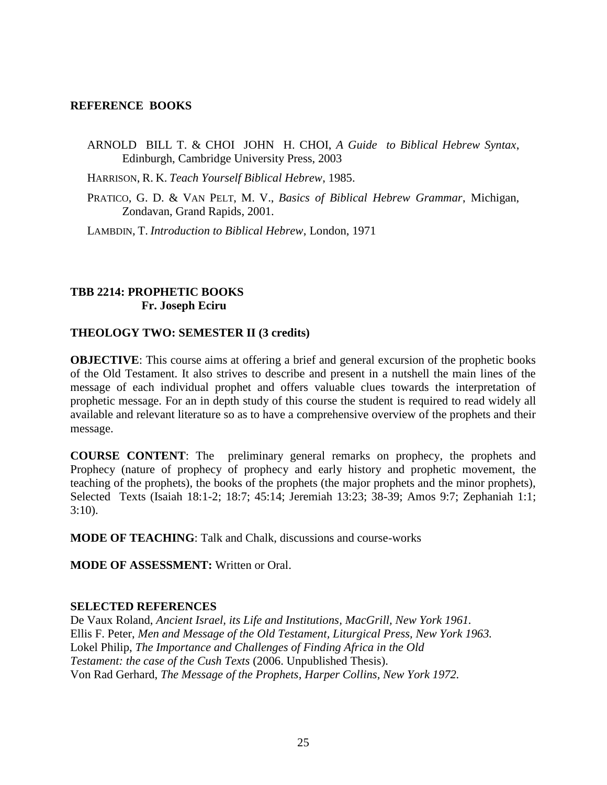#### **REFERENCE BOOKS**

ARNOLD BILL T. & CHOI JOHN H. CHOI, *A Guide to Biblical Hebrew Syntax*, Edinburgh, Cambridge University Press, 2003

HARRISON, R. K. *Teach Yourself Biblical Hebrew*, 1985.

PRATICO, G. D. & VAN PELT, M. V., *Basics of Biblical Hebrew Grammar*, Michigan, Zondavan, Grand Rapids, 2001.

LAMBDIN, T. *Introduction to Biblical Hebrew*, London, 1971

# **TBB 2214: PROPHETIC BOOKS Fr. Joseph Eciru**

## **THEOLOGY TWO: SEMESTER II (3 credits)**

**OBJECTIVE:** This course aims at offering a brief and general excursion of the prophetic books of the Old Testament. It also strives to describe and present in a nutshell the main lines of the message of each individual prophet and offers valuable clues towards the interpretation of prophetic message. For an in depth study of this course the student is required to read widely all available and relevant literature so as to have a comprehensive overview of the prophets and their message.

**COURSE CONTENT**: The preliminary general remarks on prophecy, the prophets and Prophecy (nature of prophecy of prophecy and early history and prophetic movement, the teaching of the prophets), the books of the prophets (the major prophets and the minor prophets), Selected Texts (Isaiah 18:1-2; 18:7; 45:14; Jeremiah 13:23; 38-39; Amos 9:7; Zephaniah 1:1; 3:10).

**MODE OF TEACHING**: Talk and Chalk, discussions and course-works

**MODE OF ASSESSMENT:** Written or Oral.

## **SELECTED REFERENCES**

De Vaux Roland, *Ancient Israel, its Life and Institutions, MacGrill, New York 1961.* Ellis F. Peter, *Men and Message of the Old Testament, Liturgical Press, New York 1963.* Lokel Philip, *The Importance and Challenges of Finding Africa in the Old Testament: the case of the Cush Texts* (2006. Unpublished Thesis). Von Rad Gerhard, *The Message of the Prophets, Harper Collins, New York 1972.*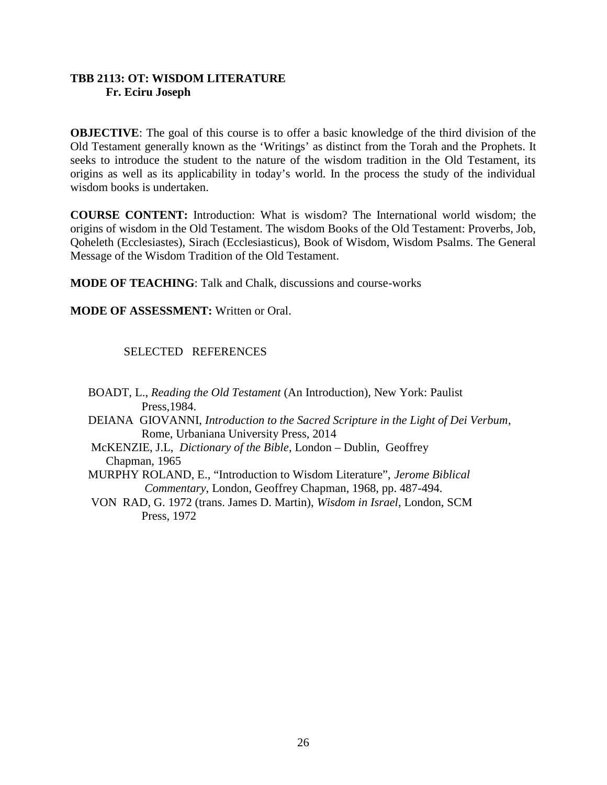# **TBB 2113: OT: WISDOM LITERATURE Fr. Eciru Joseph**

**OBJECTIVE:** The goal of this course is to offer a basic knowledge of the third division of the Old Testament generally known as the 'Writings' as distinct from the Torah and the Prophets. It seeks to introduce the student to the nature of the wisdom tradition in the Old Testament, its origins as well as its applicability in today's world. In the process the study of the individual wisdom books is undertaken.

**COURSE CONTENT:** Introduction: What is wisdom? The International world wisdom; the origins of wisdom in the Old Testament. The wisdom Books of the Old Testament: Proverbs, Job, Qoheleth (Ecclesiastes), Sirach (Ecclesiasticus), Book of Wisdom, Wisdom Psalms. The General Message of the Wisdom Tradition of the Old Testament.

**MODE OF TEACHING**: Talk and Chalk, discussions and course-works

**MODE OF ASSESSMENT:** Written or Oral.

SELECTED REFERENCES

BOADT, L., *Reading the Old Testament* (An Introduction), New York: Paulist Press,1984. DEIANA GIOVANNI, *Introduction to the Sacred Scripture in the Light of Dei Verbum*, Rome, Urbaniana University Press, 2014 McKENZIE, J.L, *Dictionary of the Bible*, London – Dublin, Geoffrey Chapman, 1965 MURPHY ROLAND, E., "Introduction to Wisdom Literature", *Jerome Biblical Commentary*, London, Geoffrey Chapman, 1968, pp. 487-494. VON RAD, G. 1972 (trans. James D. Martin), *Wisdom in Israel*, London, SCM Press, 1972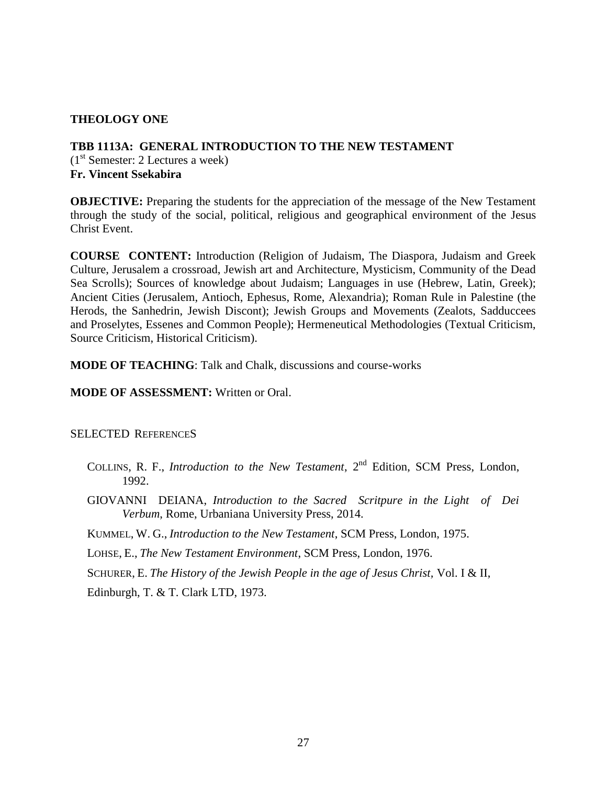## **THEOLOGY ONE**

# **TBB 1113A: GENERAL INTRODUCTION TO THE NEW TESTAMENT**  $(1<sup>st</sup>$  Semester: 2 Lectures a week) **Fr. Vincent Ssekabira**

**OBJECTIVE:** Preparing the students for the appreciation of the message of the New Testament through the study of the social, political, religious and geographical environment of the Jesus Christ Event.

**COURSE CONTENT:** Introduction (Religion of Judaism, The Diaspora, Judaism and Greek Culture, Jerusalem a crossroad, Jewish art and Architecture, Mysticism, Community of the Dead Sea Scrolls); Sources of knowledge about Judaism; Languages in use (Hebrew, Latin, Greek); Ancient Cities (Jerusalem, Antioch, Ephesus, Rome, Alexandria); Roman Rule in Palestine (the Herods, the Sanhedrin, Jewish Discont); Jewish Groups and Movements (Zealots, Sadduccees and Proselytes, Essenes and Common People); Hermeneutical Methodologies (Textual Criticism, Source Criticism, Historical Criticism).

**MODE OF TEACHING**: Talk and Chalk, discussions and course-works

## **MODE OF ASSESSMENT:** Written or Oral.

SELECTED REFERENCES

- COLLINS, R. F., *Introduction to the New Testament*, 2<sup>nd</sup> Edition, SCM Press, London, 1992.
- GIOVANNI DEIANA, *Introduction to the Sacred Scritpure in the Light of Dei Verbum*, Rome, Urbaniana University Press, 2014.
- KUMMEL, W. G., *Introduction to the New Testament*, SCM Press, London, 1975.

LOHSE, E., *The New Testament Environment*, SCM Press, London, 1976.

SCHURER, E. *The History of the Jewish People in the age of Jesus Christ,* Vol. I & II,

Edinburgh, T. & T. Clark LTD, 1973.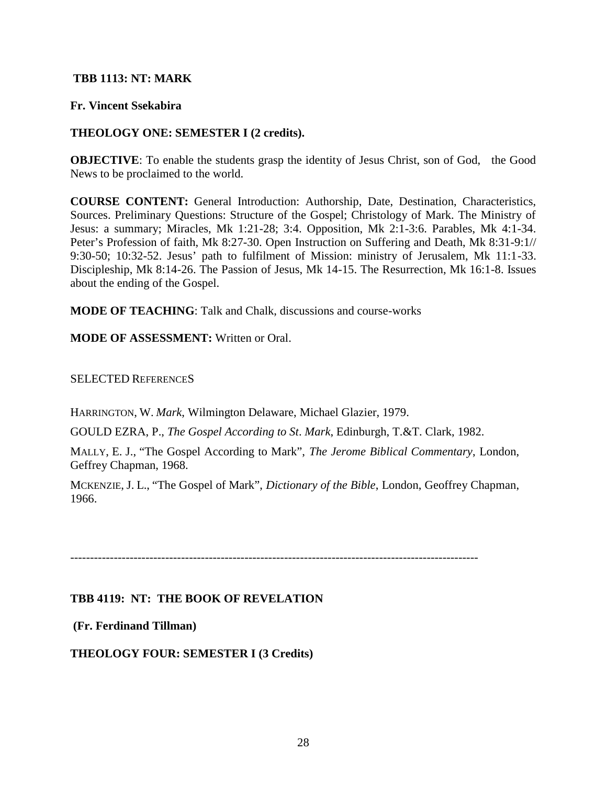## **TBB 1113: NT: MARK**

## **Fr. Vincent Ssekabira**

## **THEOLOGY ONE: SEMESTER I (2 credits).**

**OBJECTIVE:** To enable the students grasp the identity of Jesus Christ, son of God, the Good News to be proclaimed to the world.

**COURSE CONTENT:** General Introduction: Authorship, Date, Destination, Characteristics, Sources. Preliminary Questions: Structure of the Gospel; Christology of Mark. The Ministry of Jesus: a summary; Miracles, Mk 1:21-28; 3:4. Opposition, Mk 2:1-3:6. Parables, Mk 4:1-34. Peter's Profession of faith, Mk 8:27-30. Open Instruction on Suffering and Death, Mk 8:31-9:1// 9:30-50; 10:32-52. Jesus' path to fulfilment of Mission: ministry of Jerusalem, Mk 11:1-33. Discipleship, Mk 8:14-26. The Passion of Jesus, Mk 14-15. The Resurrection, Mk 16:1-8. Issues about the ending of the Gospel.

**MODE OF TEACHING**: Talk and Chalk, discussions and course-works

**MODE OF ASSESSMENT:** Written or Oral.

SELECTED REFERENCES

HARRINGTON, W. *Mark*, Wilmington Delaware, Michael Glazier, 1979.

GOULD EZRA, P., *The Gospel According to St*. *Mark*, Edinburgh, T.&T. Clark, 1982.

MALLY, E. J., "The Gospel According to Mark", *The Jerome Biblical Commentary*, London, Geffrey Chapman, 1968.

MCKENZIE, J. L., "The Gospel of Mark", *Dictionary of the Bible*, London, Geoffrey Chapman, 1966.

-------------------------------------------------------------------------------------------------------

# **TBB 4119: NT: THE BOOK OF REVELATION**

**(Fr. Ferdinand Tillman)**

**THEOLOGY FOUR: SEMESTER I (3 Credits)**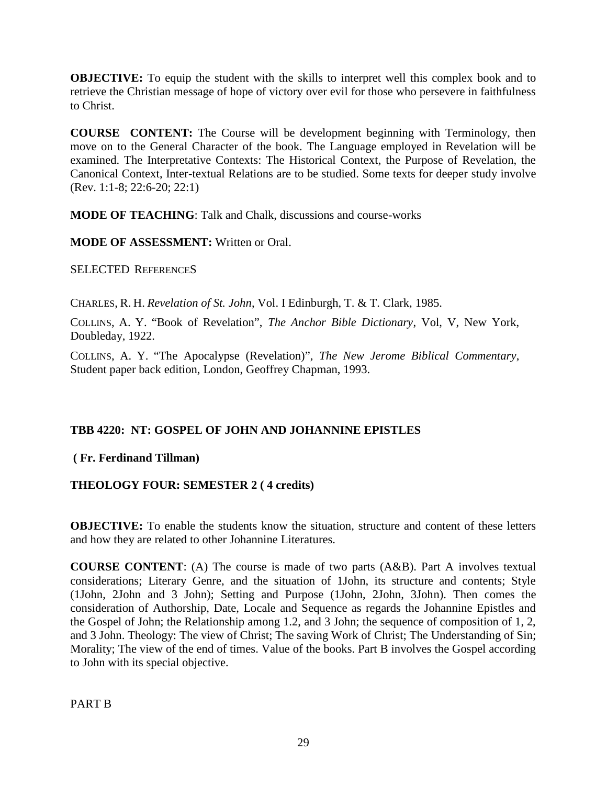**OBJECTIVE:** To equip the student with the skills to interpret well this complex book and to retrieve the Christian message of hope of victory over evil for those who persevere in faithfulness to Christ.

**COURSE CONTENT:** The Course will be development beginning with Terminology, then move on to the General Character of the book. The Language employed in Revelation will be examined. The Interpretative Contexts: The Historical Context, the Purpose of Revelation, the Canonical Context, Inter-textual Relations are to be studied. Some texts for deeper study involve (Rev. 1:1-8; 22:6-20; 22:1)

**MODE OF TEACHING**: Talk and Chalk, discussions and course-works

**MODE OF ASSESSMENT:** Written or Oral.

SELECTED REFERENCES

CHARLES, R. H. *Revelation of St. John*, Vol. I Edinburgh, T. & T. Clark, 1985.

COLLINS, A. Y. "Book of Revelation", *The Anchor Bible Dictionary*, Vol, V, New York, Doubleday, 1922.

COLLINS, A. Y. "The Apocalypse (Revelation)", *The New Jerome Biblical Commentary*, Student paper back edition, London, Geoffrey Chapman, 1993.

# **TBB 4220: NT: GOSPEL OF JOHN AND JOHANNINE EPISTLES**

# **( Fr. Ferdinand Tillman)**

# **THEOLOGY FOUR: SEMESTER 2 ( 4 credits)**

**OBJECTIVE:** To enable the students know the situation, structure and content of these letters and how they are related to other Johannine Literatures.

**COURSE CONTENT**: (A) The course is made of two parts (A&B). Part A involves textual considerations; Literary Genre, and the situation of 1John, its structure and contents; Style (1John, 2John and 3 John); Setting and Purpose (1John, 2John, 3John). Then comes the consideration of Authorship, Date, Locale and Sequence as regards the Johannine Epistles and the Gospel of John; the Relationship among 1.2, and 3 John; the sequence of composition of 1, 2, and 3 John. Theology: The view of Christ; The saving Work of Christ; The Understanding of Sin; Morality; The view of the end of times. Value of the books. Part B involves the Gospel according to John with its special objective.

PART B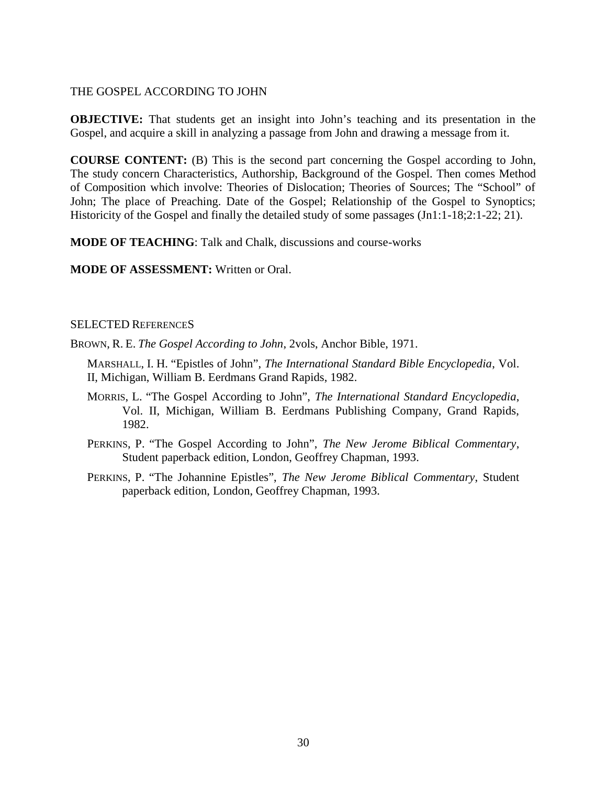## THE GOSPEL ACCORDING TO JOHN

**OBJECTIVE:** That students get an insight into John's teaching and its presentation in the Gospel, and acquire a skill in analyzing a passage from John and drawing a message from it.

**COURSE CONTENT:** (B) This is the second part concerning the Gospel according to John, The study concern Characteristics, Authorship, Background of the Gospel. Then comes Method of Composition which involve: Theories of Dislocation; Theories of Sources; The "School" of John; The place of Preaching. Date of the Gospel; Relationship of the Gospel to Synoptics; Historicity of the Gospel and finally the detailed study of some passages (Jn1:1-18;2:1-22; 21).

**MODE OF TEACHING**: Talk and Chalk, discussions and course-works

**MODE OF ASSESSMENT:** Written or Oral.

#### SELECTED REFERENCES

BROWN, R. E. *The Gospel According to John*, 2vols, Anchor Bible, 1971.

MARSHALL, I. H. "Epistles of John", *The International Standard Bible Encyclopedia*, Vol. II, Michigan, William B. Eerdmans Grand Rapids, 1982.

- MORRIS, L. "The Gospel According to John", *The International Standard Encyclopedia*, Vol. II, Michigan, William B. Eerdmans Publishing Company, Grand Rapids, 1982.
- PERKINS, P. "The Gospel According to John", *The New Jerome Biblical Commentary*, Student paperback edition, London, Geoffrey Chapman, 1993.
- PERKINS, P. "The Johannine Epistles", *The New Jerome Biblical Commentary*, Student paperback edition, London, Geoffrey Chapman, 1993.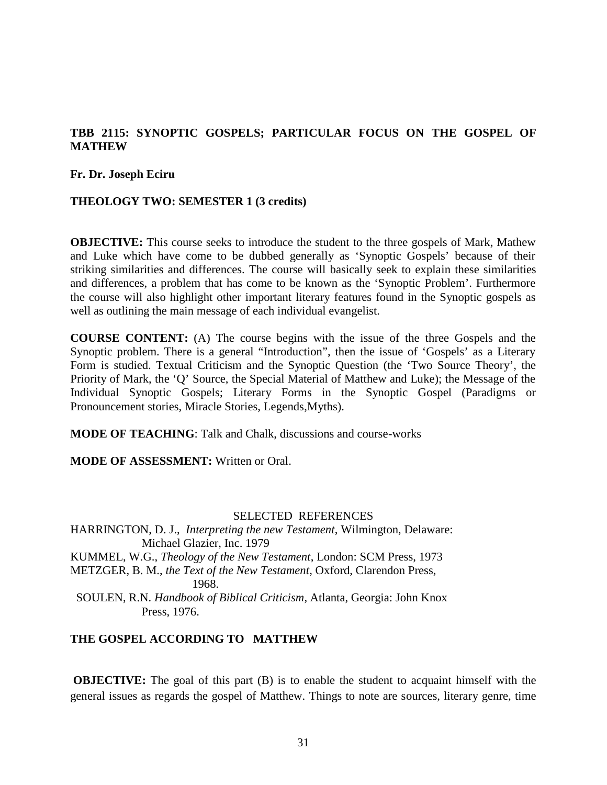# **TBB 2115: SYNOPTIC GOSPELS; PARTICULAR FOCUS ON THE GOSPEL OF MATHEW**

**Fr. Dr. Joseph Eciru**

#### **THEOLOGY TWO: SEMESTER 1 (3 credits)**

**OBJECTIVE:** This course seeks to introduce the student to the three gospels of Mark, Mathew and Luke which have come to be dubbed generally as 'Synoptic Gospels' because of their striking similarities and differences. The course will basically seek to explain these similarities and differences, a problem that has come to be known as the 'Synoptic Problem'. Furthermore the course will also highlight other important literary features found in the Synoptic gospels as well as outlining the main message of each individual evangelist.

**COURSE CONTENT:** (A) The course begins with the issue of the three Gospels and the Synoptic problem. There is a general "Introduction", then the issue of 'Gospels' as a Literary Form is studied. Textual Criticism and the Synoptic Question (the 'Two Source Theory', the Priority of Mark, the 'Q' Source, the Special Material of Matthew and Luke); the Message of the Individual Synoptic Gospels; Literary Forms in the Synoptic Gospel (Paradigms or Pronouncement stories, Miracle Stories, Legends,Myths).

**MODE OF TEACHING**: Talk and Chalk, discussions and course-works

**MODE OF ASSESSMENT:** Written or Oral.

#### SELECTED REFERENCES

HARRINGTON, D. J., *Interpreting the new Testament*, Wilmington, Delaware: Michael Glazier, Inc. 1979 KUMMEL, W.G., *Theology of the New Testament*, London: SCM Press, 1973 METZGER, B. M., *the Text of the New Testament*, Oxford, Clarendon Press, 1968. SOULEN, R.N. *Handbook of Biblical Criticism*, Atlanta, Georgia: John Knox Press, 1976.

#### **THE GOSPEL ACCORDING TO MATTHEW**

**OBJECTIVE:** The goal of this part (B) is to enable the student to acquaint himself with the general issues as regards the gospel of Matthew. Things to note are sources, literary genre, time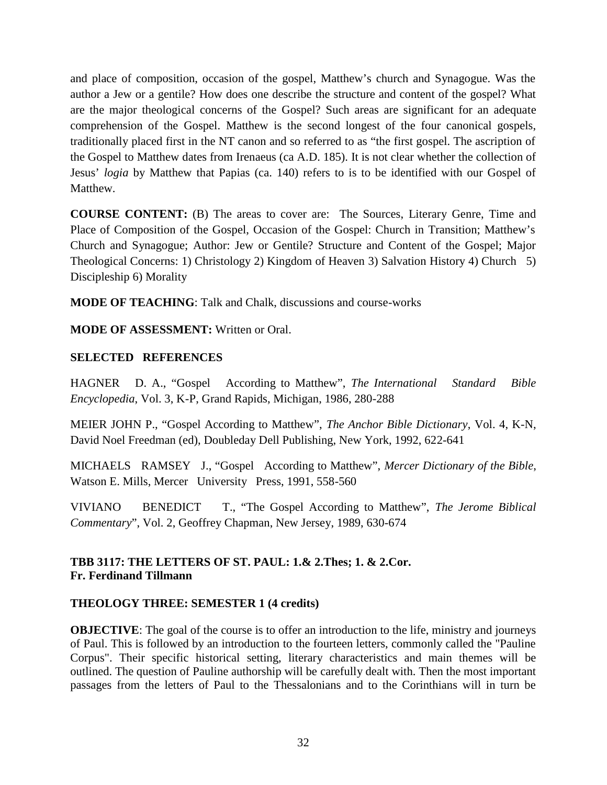and place of composition, occasion of the gospel, Matthew's church and Synagogue. Was the author a Jew or a gentile? How does one describe the structure and content of the gospel? What are the major theological concerns of the Gospel? Such areas are significant for an adequate comprehension of the Gospel. Matthew is the second longest of the four canonical gospels, traditionally placed first in the NT canon and so referred to as "the first gospel. The ascription of the Gospel to Matthew dates from Irenaeus (ca A.D. 185). It is not clear whether the collection of Jesus' *logia* by Matthew that Papias (ca. 140) refers to is to be identified with our Gospel of Matthew.

**COURSE CONTENT:** (B) The areas to cover are: The Sources, Literary Genre, Time and Place of Composition of the Gospel, Occasion of the Gospel: Church in Transition; Matthew's Church and Synagogue; Author: Jew or Gentile? Structure and Content of the Gospel; Major Theological Concerns: 1) Christology 2) Kingdom of Heaven 3) Salvation History 4) Church 5) Discipleship 6) Morality

**MODE OF TEACHING**: Talk and Chalk, discussions and course-works

**MODE OF ASSESSMENT:** Written or Oral.

## **SELECTED REFERENCES**

HAGNER D. A., "Gospel According to Matthew", *The International Standard Bible Encyclopedia*, Vol. 3, K-P, Grand Rapids, Michigan, 1986, 280-288

MEIER JOHN P., "Gospel According to Matthew", *The Anchor Bible Dictionary*, Vol. 4, K-N, David Noel Freedman (ed), Doubleday Dell Publishing, New York, 1992, 622-641

MICHAELS RAMSEY J., "Gospel According to Matthew", *Mercer Dictionary of the Bible*, Watson E. Mills, Mercer University Press, 1991, 558-560

VIVIANO BENEDICT T., "The Gospel According to Matthew", *The Jerome Biblical Commentary*", Vol. 2, Geoffrey Chapman, New Jersey, 1989, 630-674

# **TBB 3117: THE LETTERS OF ST. PAUL: 1.& 2.Thes; 1. & 2.Cor. Fr. Ferdinand Tillmann**

# **THEOLOGY THREE: SEMESTER 1 (4 credits)**

**OBJECTIVE:** The goal of the course is to offer an introduction to the life, ministry and journeys of Paul. This is followed by an introduction to the fourteen letters, commonly called the "Pauline Corpus". Their specific historical setting, literary characteristics and main themes will be outlined. The question of Pauline authorship will be carefully dealt with. Then the most important passages from the letters of Paul to the Thessalonians and to the Corinthians will in turn be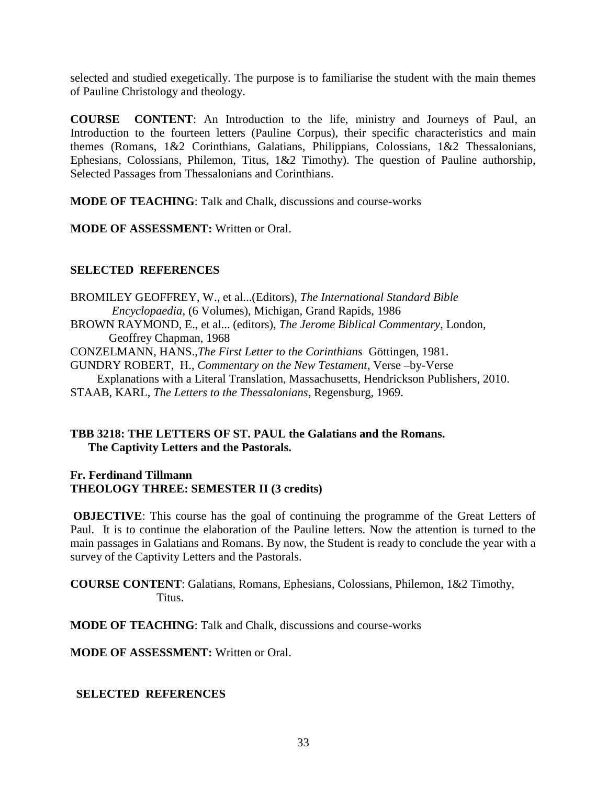selected and studied exegetically. The purpose is to familiarise the student with the main themes of Pauline Christology and theology.

**COURSE CONTENT**: An Introduction to the life, ministry and Journeys of Paul, an Introduction to the fourteen letters (Pauline Corpus), their specific characteristics and main themes (Romans, 1&2 Corinthians, Galatians, Philippians, Colossians, 1&2 Thessalonians, Ephesians, Colossians, Philemon, Titus, 1&2 Timothy). The question of Pauline authorship, Selected Passages from Thessalonians and Corinthians.

**MODE OF TEACHING**: Talk and Chalk, discussions and course-works

**MODE OF ASSESSMENT:** Written or Oral.

# **SELECTED REFERENCES**

BROMILEY GEOFFREY, W., et al...(Editors), *The International Standard Bible Encyclopaedia*, (6 Volumes), Michigan, Grand Rapids, 1986 BROWN RAYMOND, E., et al... (editors), *The Jerome Biblical Commentary*, London, Geoffrey Chapman, 1968 CONZELMANN, HANS.,*The First Letter to the Corinthians* Göttingen, 1981. GUNDRY ROBERT, H., *Commentary on the New Testament*, Verse –by-Verse Explanations with a Literal Translation, Massachusetts, Hendrickson Publishers, 2010. STAAB, KARL, *The Letters to the Thessalonians*, Regensburg, 1969.

# **TBB 3218: THE LETTERS OF ST. PAUL the Galatians and the Romans. The Captivity Letters and the Pastorals.**

**Fr. Ferdinand Tillmann THEOLOGY THREE: SEMESTER II (3 credits)**

**OBJECTIVE:** This course has the goal of continuing the programme of the Great Letters of Paul. It is to continue the elaboration of the Pauline letters. Now the attention is turned to the main passages in Galatians and Romans. By now, the Student is ready to conclude the year with a survey of the Captivity Letters and the Pastorals.

**COURSE CONTENT**: Galatians, Romans, Ephesians, Colossians, Philemon, 1&2 Timothy, Titus.

**MODE OF TEACHING**: Talk and Chalk, discussions and course-works

**MODE OF ASSESSMENT:** Written or Oral.

**SELECTED REFERENCES**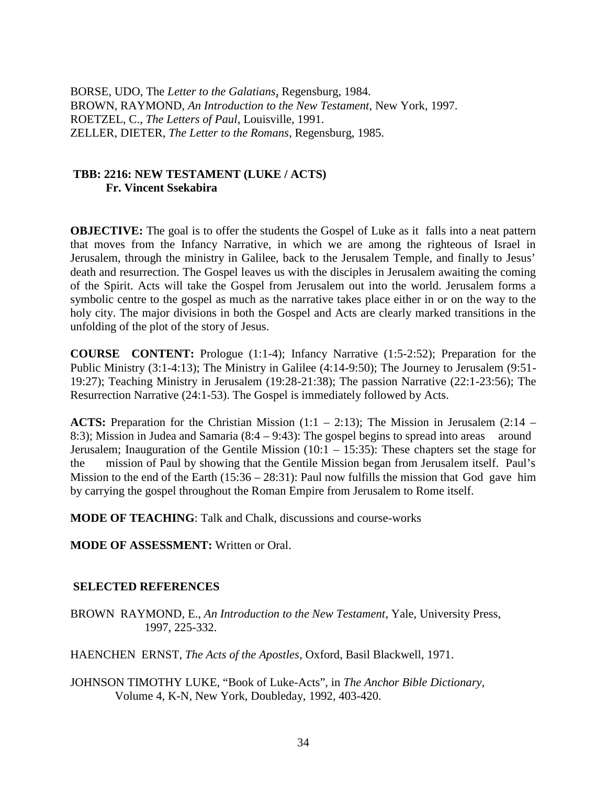BORSE, UDO, The *Letter to the Galatians*, Regensburg, 1984. BROWN, RAYMOND, *An Introduction to the New Testament*, New York, 1997. ROETZEL, C., *The Letters of Paul*, Louisville, 1991. ZELLER, DIETER, *The Letter to the Romans*, Regensburg, 1985.

# **TBB: 2216: NEW TESTAMENT (LUKE / ACTS) Fr. Vincent Ssekabira**

**OBJECTIVE:** The goal is to offer the students the Gospel of Luke as it falls into a neat pattern that moves from the Infancy Narrative, in which we are among the righteous of Israel in Jerusalem, through the ministry in Galilee, back to the Jerusalem Temple, and finally to Jesus' death and resurrection. The Gospel leaves us with the disciples in Jerusalem awaiting the coming of the Spirit. Acts will take the Gospel from Jerusalem out into the world. Jerusalem forms a symbolic centre to the gospel as much as the narrative takes place either in or on the way to the holy city. The major divisions in both the Gospel and Acts are clearly marked transitions in the unfolding of the plot of the story of Jesus.

**COURSE CONTENT:** Prologue (1:1-4); Infancy Narrative (1:5-2:52); Preparation for the Public Ministry (3:1-4:13); The Ministry in Galilee (4:14-9:50); The Journey to Jerusalem (9:51- 19:27); Teaching Ministry in Jerusalem (19:28-21:38); The passion Narrative (22:1-23:56); The Resurrection Narrative (24:1-53). The Gospel is immediately followed by Acts.

**ACTS:** Preparation for the Christian Mission (1:1 – 2:13); The Mission in Jerusalem (2:14 – 8:3); Mission in Judea and Samaria (8:4 – 9:43): The gospel begins to spread into areas around Jerusalem; Inauguration of the Gentile Mission  $(10:1 - 15:35)$ : These chapters set the stage for the mission of Paul by showing that the Gentile Mission began from Jerusalem itself. Paul's Mission to the end of the Earth (15:36 – 28:31): Paul now fulfills the mission that God gave him by carrying the gospel throughout the Roman Empire from Jerusalem to Rome itself.

**MODE OF TEACHING**: Talk and Chalk, discussions and course-works

**MODE OF ASSESSMENT:** Written or Oral.

# **SELECTED REFERENCES**

BROWN RAYMOND, E., *An Introduction to the New Testament*, Yale, University Press, 1997, 225-332.

HAENCHEN ERNST, *The Acts of the Apostles*, Oxford, Basil Blackwell, 1971.

JOHNSON TIMOTHY LUKE, "Book of Luke-Acts", in *The Anchor Bible Dictionary*, Volume 4, K-N, New York, Doubleday, 1992, 403-420.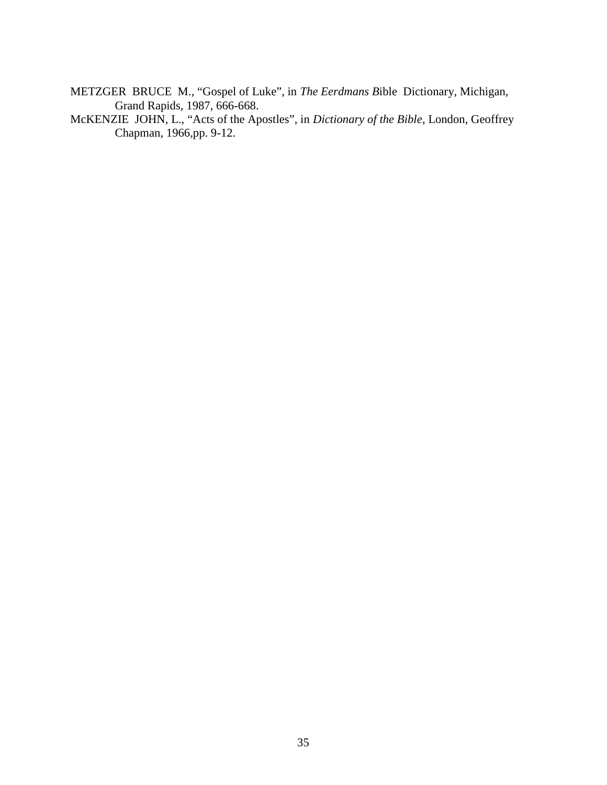METZGER BRUCE M., "Gospel of Luke", in *The Eerdmans B*ible Dictionary, Michigan, Grand Rapids, 1987, 666-668.

McKENZIE JOHN, L., "Acts of the Apostles", in *Dictionary of the Bible*, London, Geoffrey Chapman, 1966,pp. 9-12.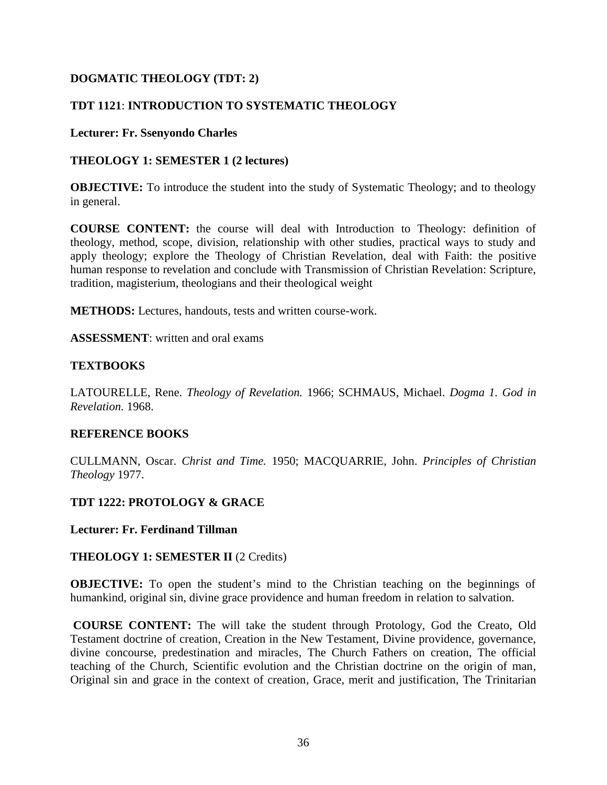# **DOGMATIC THEOLOGY (TDT: 2)**

# **TDT 1121**: **INTRODUCTION TO SYSTEMATIC THEOLOGY**

### **Lecturer: Fr. Ssenyondo Charles**

### **THEOLOGY 1: SEMESTER 1 (2 lectures)**

**OBJECTIVE:** To introduce the student into the study of Systematic Theology; and to theology in general.

**COURSE CONTENT:** the course will deal with Introduction to Theology: definition of theology, method, scope, division, relationship with other studies, practical ways to study and apply theology; explore the Theology of Christian Revelation, deal with Faith: the positive human response to revelation and conclude with Transmission of Christian Revelation: Scripture, tradition, magisterium, theologians and their theological weight

**METHODS:** Lectures, handouts, tests and written course-work.

**ASSESSMENT**: written and oral exams

## **TEXTBOOKS**

LATOURELLE, Rene. *Theology of Revelation.* 1966; SCHMAUS, Michael. *Dogma 1. God in Revelation.* 1968.

## **REFERENCE BOOKS**

CULLMANN, Oscar. *Christ and Time.* 1950; MACQUARRIE, John. *Principles of Christian Theology* 1977.

## **TDT 1222: PROTOLOGY & GRACE**

**Lecturer: Fr. Ferdinand Tillman**

## **THEOLOGY 1: SEMESTER II** (2 Credits)

**OBJECTIVE:** To open the student's mind to the Christian teaching on the beginnings of humankind, original sin, divine grace providence and human freedom in relation to salvation.

**COURSE CONTENT:** The will take the student through Protology, God the Creato, Old Testament doctrine of creation, Creation in the New Testament, Divine providence, governance, divine concourse, predestination and miracles, The Church Fathers on creation, The official teaching of the Church, Scientific evolution and the Christian doctrine on the origin of man, Original sin and grace in the context of creation, Grace, merit and justification, The Trinitarian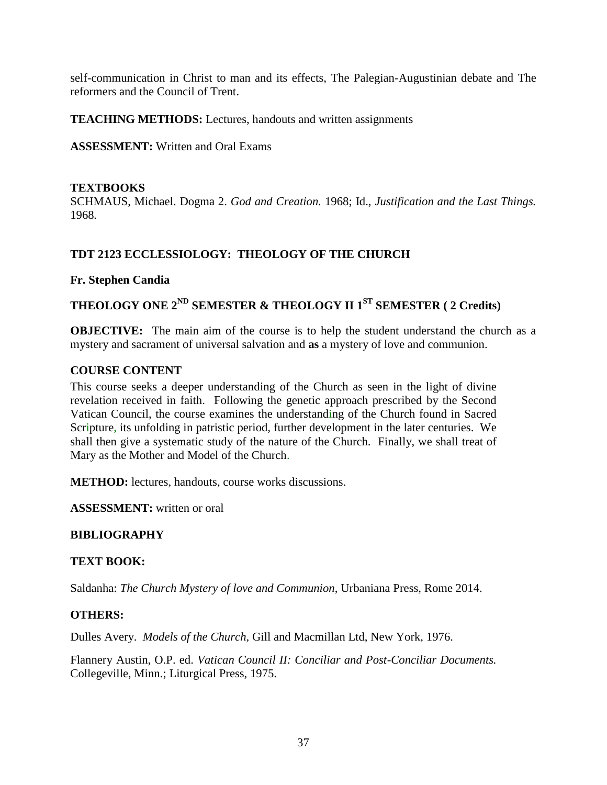self-communication in Christ to man and its effects, The Palegian-Augustinian debate and The reformers and the Council of Trent.

**TEACHING METHODS:** Lectures, handouts and written assignments

**ASSESSMENT:** Written and Oral Exams

### **TEXTBOOKS**

SCHMAUS, Michael. Dogma 2. *God and Creation.* 1968; Id., *Justification and the Last Things.* 1968*.*

# **TDT 2123 ECCLESSIOLOGY: THEOLOGY OF THE CHURCH**

### **Fr. Stephen Candia**

# **THEOLOGY ONE 2ND SEMESTER & THEOLOGY II 1ST SEMESTER ( 2 Credits)**

**OBJECTIVE:** The main aim of the course is to help the student understand the church as a mystery and sacrament of universal salvation and **as** a mystery of love and communion.

### **COURSE CONTENT**

This course seeks a deeper understanding of the Church as seen in the light of divine revelation received in faith. Following the genetic approach prescribed by the Second Vatican Council, the course examines the understanding of the Church found in Sacred Scripture, its unfolding in patristic period, further development in the later centuries. We shall then give a systematic study of the nature of the Church. Finally, we shall treat of Mary as the Mother and Model of the Church.

**METHOD:** lectures, handouts, course works discussions.

**ASSESSMENT:** written or oral

# **BIBLIOGRAPHY**

# **TEXT BOOK:**

Saldanha: *The Church Mystery of love and Communion*, Urbaniana Press, Rome 2014.

#### **OTHERS:**

Dulles Avery. *Models of the Church,* Gill and Macmillan Ltd, New York, 1976.

Flannery Austin, O.P. ed. *Vatican Council II: Conciliar and Post-Conciliar Documents.* Collegeville, Minn.; Liturgical Press, 1975.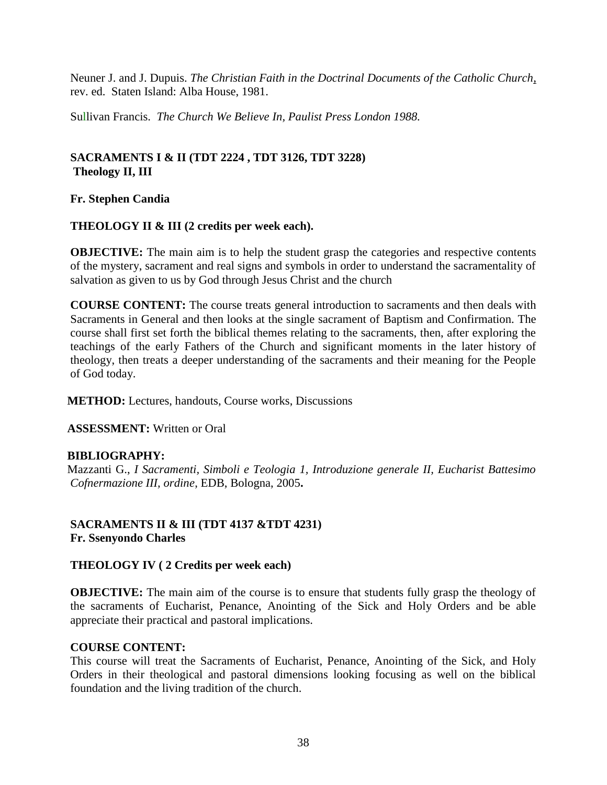Neuner J. and J. Dupuis. *The Christian Faith in the Doctrinal Documents of the Catholic Church*, rev. ed. Staten Island: Alba House, 1981.

Sullivan Francis. *The Church We Believe In, Paulist Press London 1988.*

# **SACRAMENTS I & II (TDT 2224 , TDT 3126, TDT 3228) Theology II, III**

**Fr. Stephen Candia**

### **THEOLOGY II & III (2 credits per week each).**

**OBJECTIVE:** The main aim is to help the student grasp the categories and respective contents of the mystery, sacrament and real signs and symbols in order to understand the sacramentality of salvation as given to us by God through Jesus Christ and the church

**COURSE CONTENT:** The course treats general introduction to sacraments and then deals with Sacraments in General and then looks at the single sacrament of Baptism and Confirmation. The course shall first set forth the biblical themes relating to the sacraments, then, after exploring the teachings of the early Fathers of the Church and significant moments in the later history of theology, then treats a deeper understanding of the sacraments and their meaning for the People of God today.

**METHOD:** Lectures, handouts, Course works, Discussions

**ASSESSMENT:** Written or Oral

# **BIBLIOGRAPHY:**

Mazzanti G., *I Sacramenti, Simboli e Teologia 1, Introduzione generale II, Eucharist Battesimo Cofnermazione III, ordine*, EDB, Bologna, 2005**.**

### **SACRAMENTS II & III (TDT 4137 &TDT 4231) Fr. Ssenyondo Charles**

#### **THEOLOGY IV ( 2 Credits per week each)**

**OBJECTIVE:** The main aim of the course is to ensure that students fully grasp the theology of the sacraments of Eucharist, Penance, Anointing of the Sick and Holy Orders and be able appreciate their practical and pastoral implications.

#### **COURSE CONTENT:**

This course will treat the Sacraments of Eucharist, Penance, Anointing of the Sick, and Holy Orders in their theological and pastoral dimensions looking focusing as well on the biblical foundation and the living tradition of the church.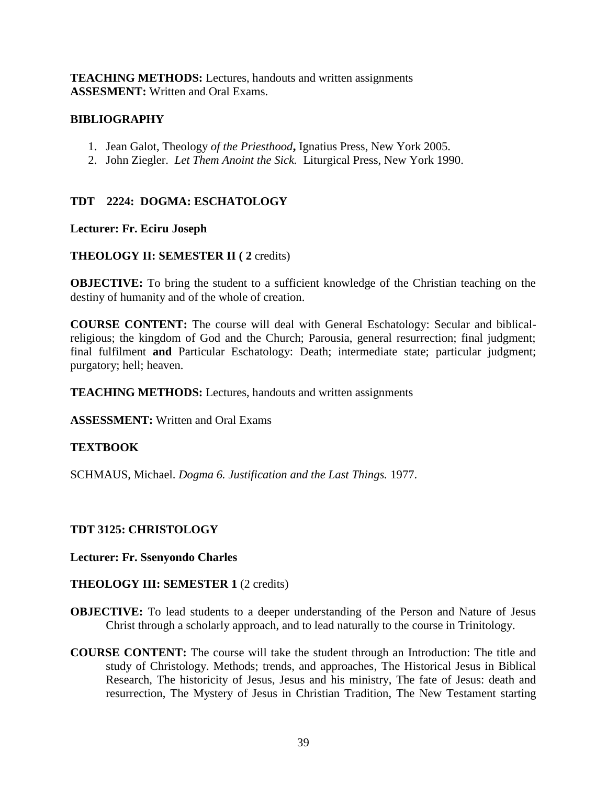**TEACHING METHODS:** Lectures, handouts and written assignments **ASSESMENT:** Written and Oral Exams.

### **BIBLIOGRAPHY**

- 1. Jean Galot, Theology *of the Priesthood***,** Ignatius Press, New York 2005.
- 2. John Ziegler. *Let Them Anoint the Sick.* Liturgical Press, New York 1990.

# **TDT 2224: DOGMA: ESCHATOLOGY**

### **Lecturer: Fr. Eciru Joseph**

# **THEOLOGY II: SEMESTER II ( 2** credits)

**OBJECTIVE:** To bring the student to a sufficient knowledge of the Christian teaching on the destiny of humanity and of the whole of creation.

**COURSE CONTENT:** The course will deal with General Eschatology: Secular and biblicalreligious; the kingdom of God and the Church; Parousia, general resurrection; final judgment; final fulfilment **and** Particular Eschatology: Death; intermediate state; particular judgment; purgatory; hell; heaven.

**TEACHING METHODS:** Lectures, handouts and written assignments

**ASSESSMENT:** Written and Oral Exams

# **TEXTBOOK**

SCHMAUS, Michael. *Dogma 6. Justification and the Last Things.* 1977.

# **TDT 3125: CHRISTOLOGY**

#### **Lecturer: Fr. Ssenyondo Charles**

#### **THEOLOGY III: SEMESTER 1** (2 credits)

- **OBJECTIVE:** To lead students to a deeper understanding of the Person and Nature of Jesus Christ through a scholarly approach, and to lead naturally to the course in Trinitology.
- **COURSE CONTENT:** The course will take the student through an Introduction: The title and study of Christology. Methods; trends, and approaches, The Historical Jesus in Biblical Research, The historicity of Jesus, Jesus and his ministry, The fate of Jesus: death and resurrection, The Mystery of Jesus in Christian Tradition, The New Testament starting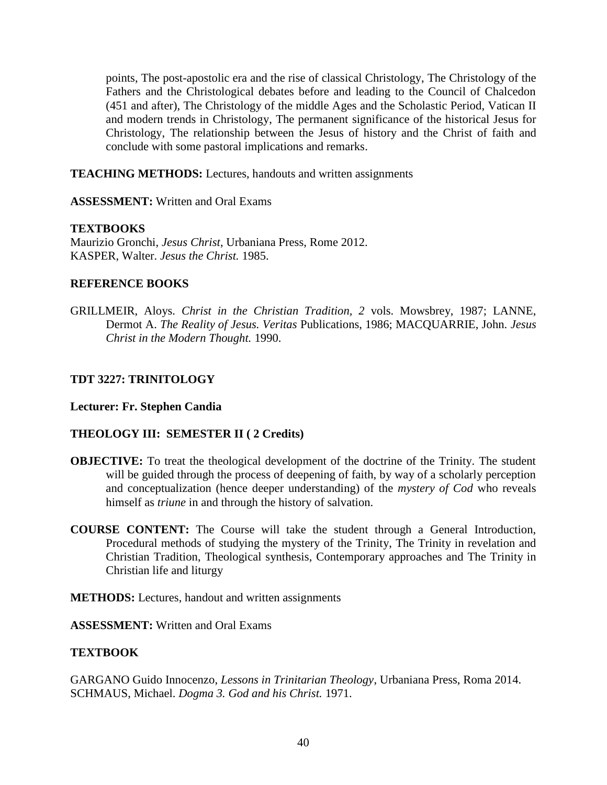points, The post-apostolic era and the rise of classical Christology, The Christology of the Fathers and the Christological debates before and leading to the Council of Chalcedon (451 and after), The Christology of the middle Ages and the Scholastic Period, Vatican II and modern trends in Christology, The permanent significance of the historical Jesus for Christology, The relationship between the Jesus of history and the Christ of faith and conclude with some pastoral implications and remarks.

**TEACHING METHODS:** Lectures, handouts and written assignments

**ASSESSMENT:** Written and Oral Exams

### **TEXTBOOKS**

Maurizio Gronchi, *Jesus Christ*, Urbaniana Press, Rome 2012. KASPER, Walter. *Jesus the Christ.* 1985.

### **REFERENCE BOOKS**

GRILLMEIR, Aloys. *Christ in the Christian Tradition, 2* vols. Mowsbrey, 1987; LANNE, Dermot A. *The Reality of Jesus. Veritas* Publications, 1986; MACQUARRIE, John. *Jesus Christ in the Modern Thought.* 1990.

### **TDT 3227: TRINITOLOGY**

#### **Lecturer: Fr. Stephen Candia**

#### **THEOLOGY III: SEMESTER II ( 2 Credits)**

- **OBJECTIVE:** To treat the theological development of the doctrine of the Trinity. The student will be guided through the process of deepening of faith, by way of a scholarly perception and conceptualization (hence deeper understanding) of the *mystery of Cod* who reveals himself as *triune* in and through the history of salvation.
- **COURSE CONTENT:** The Course will take the student through a General Introduction, Procedural methods of studying the mystery of the Trinity, The Trinity in revelation and Christian Tradition, Theological synthesis, Contemporary approaches and The Trinity in Christian life and liturgy
- **METHODS:** Lectures, handout and written assignments
- **ASSESSMENT:** Written and Oral Exams

# **TEXTBOOK**

GARGANO Guido Innocenzo, *Lessons in Trinitarian Theology*, Urbaniana Press, Roma 2014. SCHMAUS, Michael. *Dogma 3. God and his Christ.* 1971.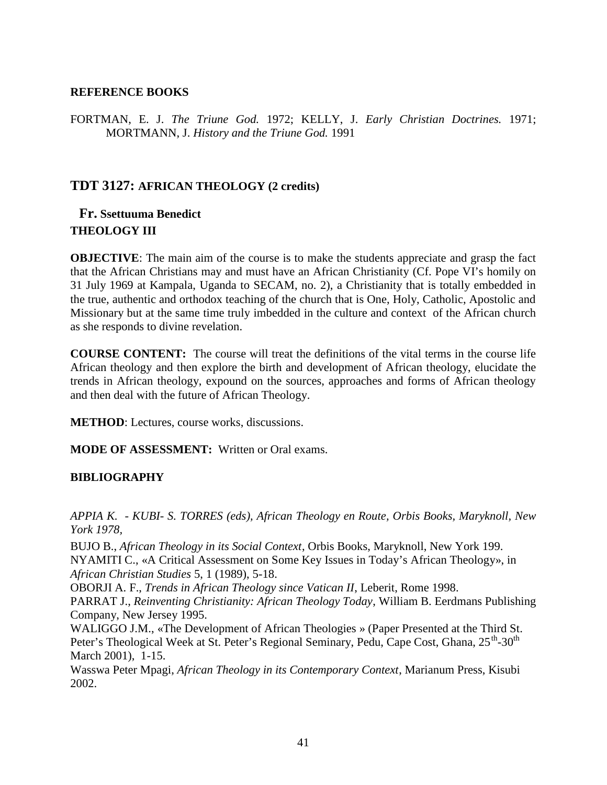#### **REFERENCE BOOKS**

FORTMAN, E. J. *The Triune God.* 1972; KELLY, J. *Early Christian Doctrines.* 1971; MORTMANN, J. *History and the Triune God.* 1991

# **TDT 3127: AFRICAN THEOLOGY (2 credits)**

# **Fr. Ssettuuma Benedict THEOLOGY III**

**OBJECTIVE:** The main aim of the course is to make the students appreciate and grasp the fact that the African Christians may and must have an African Christianity (Cf. Pope VI's homily on 31 July 1969 at Kampala, Uganda to SECAM, no. 2), a Christianity that is totally embedded in the true, authentic and orthodox teaching of the church that is One, Holy, Catholic, Apostolic and Missionary but at the same time truly imbedded in the culture and context of the African church as she responds to divine revelation.

**COURSE CONTENT:** The course will treat the definitions of the vital terms in the course life African theology and then explore the birth and development of African theology, elucidate the trends in African theology, expound on the sources, approaches and forms of African theology and then deal with the future of African Theology.

**METHOD**: Lectures, course works, discussions.

**MODE OF ASSESSMENT:** Written or Oral exams.

# **BIBLIOGRAPHY**

*APPIA K. - KUBI- S. TORRES (eds), African Theology en Route, Orbis Books, Maryknoll, New York 1978,*

BUJO B., *African Theology in its Social Context*, Orbis Books, Maryknoll, New York 199. NYAMITI C., «A Critical Assessment on Some Key Issues in Today's African Theology», in *African Christian Studies* 5, 1 (1989), 5-18.

OBORJI A. F., *Trends in African Theology since Vatican II*, Leberit, Rome 1998.

PARRAT J., *Reinventing Christianity: African Theology Today*, William B. Eerdmans Publishing Company, New Jersey 1995.

WALIGGO J.M., «The Development of African Theologies » (Paper Presented at the Third St. Peter's Theological Week at St. Peter's Regional Seminary, Pedu, Cape Cost, Ghana, 25<sup>th</sup>-30<sup>th</sup> March 2001), 1-15.

Wasswa Peter Mpagi, *African Theology in its Contemporary Context*, Marianum Press, Kisubi 2002.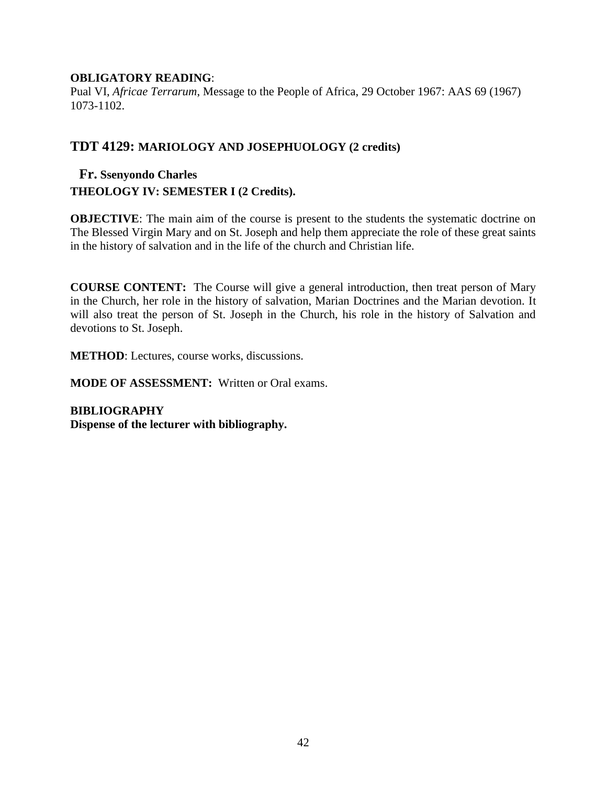### **OBLIGATORY READING**:

Pual VI, *Africae Terrarum*, Message to the People of Africa, 29 October 1967: AAS 69 (1967) 1073-1102.

# **TDT 4129: MARIOLOGY AND JOSEPHUOLOGY (2 credits)**

# **Fr. Ssenyondo Charles THEOLOGY IV: SEMESTER I (2 Credits).**

**OBJECTIVE:** The main aim of the course is present to the students the systematic doctrine on The Blessed Virgin Mary and on St. Joseph and help them appreciate the role of these great saints in the history of salvation and in the life of the church and Christian life.

**COURSE CONTENT:** The Course will give a general introduction, then treat person of Mary in the Church, her role in the history of salvation, Marian Doctrines and the Marian devotion. It will also treat the person of St. Joseph in the Church, his role in the history of Salvation and devotions to St. Joseph.

**METHOD**: Lectures, course works, discussions.

**MODE OF ASSESSMENT:** Written or Oral exams.

**BIBLIOGRAPHY Dispense of the lecturer with bibliography.**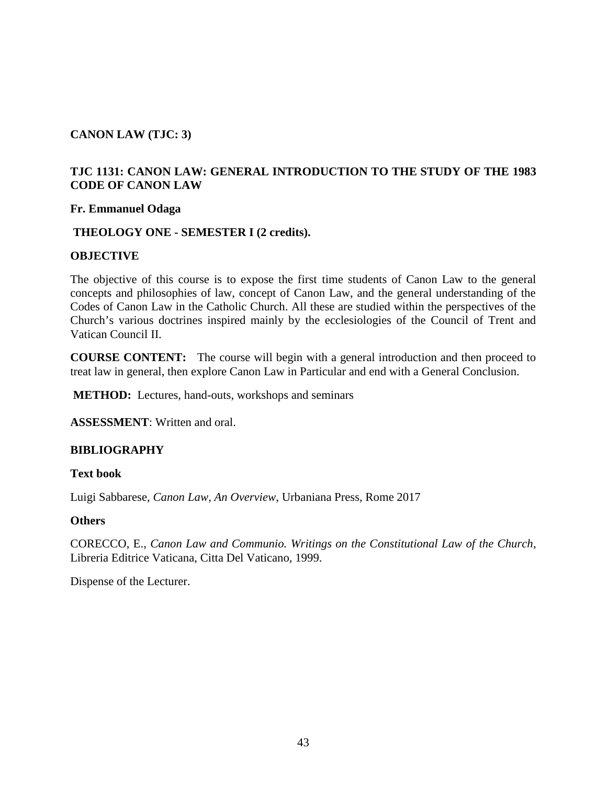# **CANON LAW (TJC: 3)**

# **TJC 1131: CANON LAW: GENERAL INTRODUCTION TO THE STUDY OF THE 1983 CODE OF CANON LAW**

#### **Fr. Emmanuel Odaga**

### **THEOLOGY ONE - SEMESTER I (2 credits).**

#### **OBJECTIVE**

The objective of this course is to expose the first time students of Canon Law to the general concepts and philosophies of law, concept of Canon Law, and the general understanding of the Codes of Canon Law in the Catholic Church. All these are studied within the perspectives of the Church's various doctrines inspired mainly by the ecclesiologies of the Council of Trent and Vatican Council II.

**COURSE CONTENT:** The course will begin with a general introduction and then proceed to treat law in general, then explore Canon Law in Particular and end with a General Conclusion.

**METHOD:** Lectures, hand-outs, workshops and seminars

**ASSESSMENT**: Written and oral.

#### **BIBLIOGRAPHY**

#### **Text book**

Luigi Sabbarese, *Canon Law, An Overview*, Urbaniana Press, Rome 2017

#### **Others**

CORECCO, E., *Canon Law and Communio. Writings on the Constitutional Law of the Church*, Libreria Editrice Vaticana, Citta Del Vaticano, 1999.

Dispense of the Lecturer.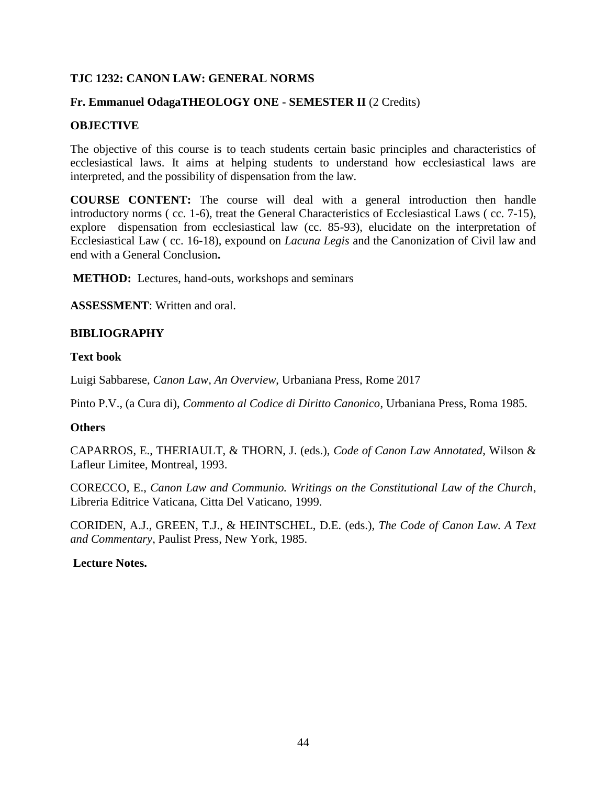### **TJC 1232: CANON LAW: GENERAL NORMS**

### **Fr. Emmanuel OdagaTHEOLOGY ONE - SEMESTER II** (2 Credits)

### **OBJECTIVE**

The objective of this course is to teach students certain basic principles and characteristics of ecclesiastical laws. It aims at helping students to understand how ecclesiastical laws are interpreted, and the possibility of dispensation from the law.

**COURSE CONTENT:** The course will deal with a general introduction then handle introductory norms ( cc. 1-6), treat the General Characteristics of Ecclesiastical Laws ( cc. 7-15), explore dispensation from ecclesiastical law (cc. 85-93), elucidate on the interpretation of Ecclesiastical Law ( cc. 16-18), expound on *Lacuna Legis* and the Canonization of Civil law and end with a General Conclusion**.**

**METHOD:** Lectures, hand-outs, workshops and seminars

**ASSESSMENT**: Written and oral.

#### **BIBLIOGRAPHY**

#### **Text book**

Luigi Sabbarese, *Canon Law, An Overview*, Urbaniana Press, Rome 2017

Pinto P.V., (a Cura di), *Commento al Codice di Diritto Canonico*, Urbaniana Press, Roma 1985.

### **Others**

CAPARROS, E., THERIAULT, & THORN, J. (eds.), *Code of Canon Law Annotated*, Wilson & Lafleur Limitee, Montreal, 1993.

CORECCO, E., *Canon Law and Communio. Writings on the Constitutional Law of the Church*, Libreria Editrice Vaticana, Citta Del Vaticano, 1999.

CORIDEN, A.J., GREEN, T.J., & HEINTSCHEL, D.E. (eds.), *The Code of Canon Law. A Text and Commentary*, Paulist Press, New York, 1985.

#### **Lecture Notes.**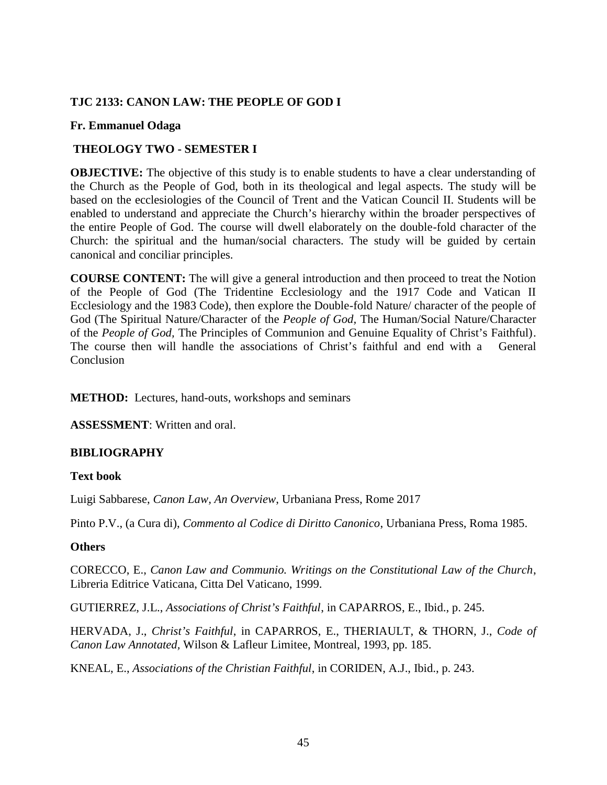### **TJC 2133: CANON LAW: THE PEOPLE OF GOD I**

### **Fr. Emmanuel Odaga**

# **THEOLOGY TWO - SEMESTER I**

**OBJECTIVE:** The objective of this study is to enable students to have a clear understanding of the Church as the People of God, both in its theological and legal aspects. The study will be based on the ecclesiologies of the Council of Trent and the Vatican Council II. Students will be enabled to understand and appreciate the Church's hierarchy within the broader perspectives of the entire People of God. The course will dwell elaborately on the double-fold character of the Church: the spiritual and the human/social characters. The study will be guided by certain canonical and conciliar principles.

**COURSE CONTENT:** The will give a general introduction and then proceed to treat the Notion of the People of God (The Tridentine Ecclesiology and the 1917 Code and Vatican II Ecclesiology and the 1983 Code), then explore the Double-fold Nature/ character of the people of God (The Spiritual Nature/Character of the *People of God,* The Human/Social Nature/Character of the *People of God,* The Principles of Communion and Genuine Equality of Christ's Faithful). The course then will handle the associations of Christ's faithful and end with a General **Conclusion** 

**METHOD:** Lectures, hand-outs, workshops and seminars

**ASSESSMENT**: Written and oral.

# **BIBLIOGRAPHY**

# **Text book**

Luigi Sabbarese, *Canon Law, An Overview*, Urbaniana Press, Rome 2017

Pinto P.V., (a Cura di), *Commento al Codice di Diritto Canonico*, Urbaniana Press, Roma 1985.

# **Others**

CORECCO, E., *Canon Law and Communio. Writings on the Constitutional Law of the Church*, Libreria Editrice Vaticana, Citta Del Vaticano, 1999.

GUTIERREZ, J.L., *Associations of Christ's Faithful*, in CAPARROS, E., Ibid., p. 245.

HERVADA, J., *Christ's Faithful*, in CAPARROS, E., THERIAULT, & THORN, J., *Code of Canon Law Annotated,* Wilson & Lafleur Limitee, Montreal, 1993, pp. 185.

KNEAL, E., *Associations of the Christian Faithful*, in CORIDEN, A.J., Ibid., p. 243.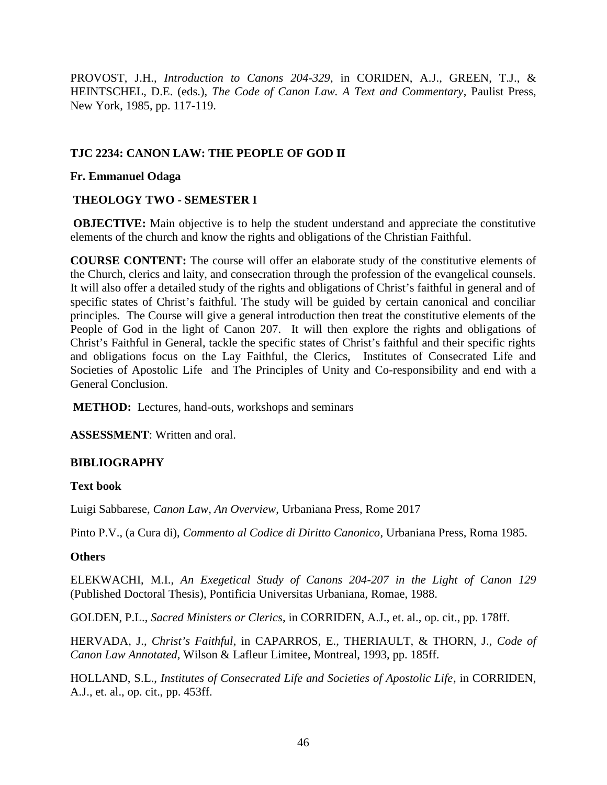PROVOST, J.H., *Introduction to Canons 204-329*, in CORIDEN, A.J., GREEN, T.J., & HEINTSCHEL, D.E. (eds.), *The Code of Canon Law. A Text and Commentary*, Paulist Press, New York, 1985, pp. 117-119.

# **TJC 2234: CANON LAW: THE PEOPLE OF GOD II**

# **Fr. Emmanuel Odaga**

# **THEOLOGY TWO - SEMESTER I**

**OBJECTIVE:** Main objective is to help the student understand and appreciate the constitutive elements of the church and know the rights and obligations of the Christian Faithful.

**COURSE CONTENT:** The course will offer an elaborate study of the constitutive elements of the Church, clerics and laity, and consecration through the profession of the evangelical counsels. It will also offer a detailed study of the rights and obligations of Christ's faithful in general and of specific states of Christ's faithful. The study will be guided by certain canonical and conciliar principles*.* The Course will give a general introduction then treat the constitutive elements of the People of God in the light of Canon 207. It will then explore the rights and obligations of Christ's Faithful in General, tackle the specific states of Christ's faithful and their specific rights and obligations focus on the Lay Faithful, the Clerics, Institutes of Consecrated Life and Societies of Apostolic Life and The Principles of Unity and Co-responsibility and end with a General Conclusion.

**METHOD:** Lectures, hand-outs, workshops and seminars

**ASSESSMENT**: Written and oral.

# **BIBLIOGRAPHY**

# **Text book**

Luigi Sabbarese, *Canon Law, An Overview*, Urbaniana Press, Rome 2017

Pinto P.V., (a Cura di), *Commento al Codice di Diritto Canonico*, Urbaniana Press, Roma 1985.

# **Others**

ELEKWACHI, M.I., *An Exegetical Study of Canons 204-207 in the Light of Canon 129* (Published Doctoral Thesis), Pontificia Universitas Urbaniana, Romae, 1988.

GOLDEN, P.L., *Sacred Ministers or Clerics*, in CORRIDEN, A.J., et. al., op. cit., pp. 178ff.

HERVADA, J., *Christ's Faithful*, in CAPARROS, E., THERIAULT, & THORN, J., *Code of Canon Law Annotated,* Wilson & Lafleur Limitee, Montreal, 1993, pp. 185ff.

HOLLAND, S.L., *Institutes of Consecrated Life and Societies of Apostolic Life*, in CORRIDEN, A.J., et. al., op. cit., pp. 453ff.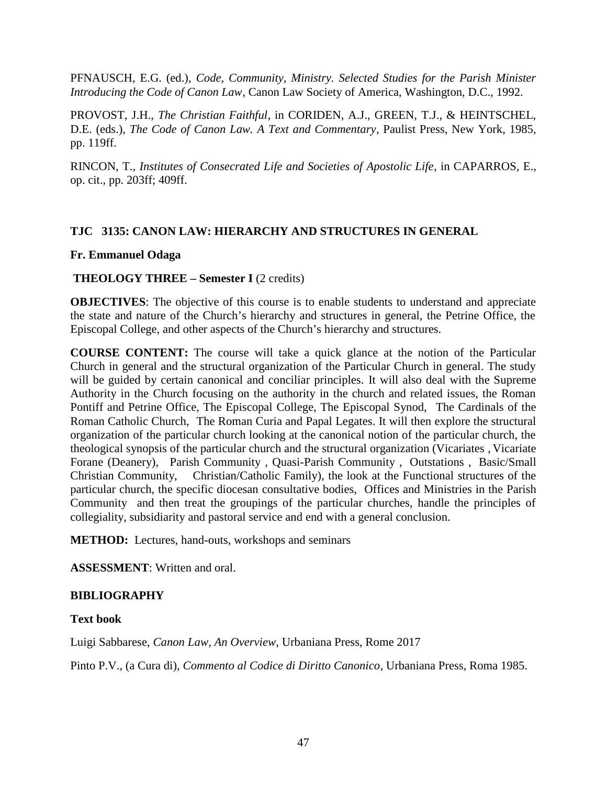PFNAUSCH, E.G. (ed.), *Code, Community, Ministry. Selected Studies for the Parish Minister Introducing the Code of Canon Law*, Canon Law Society of America, Washington, D.C., 1992.

PROVOST, J.H., *The Christian Faithful*, in CORIDEN, A.J., GREEN, T.J., & HEINTSCHEL, D.E. (eds.), *The Code of Canon Law. A Text and Commentary*, Paulist Press, New York, 1985, pp. 119ff.

RINCON, T., *Institutes of Consecrated Life and Societies of Apostolic Life*, in CAPARROS, E., op. cit., pp. 203ff; 409ff.

### **TJC 3135: CANON LAW: HIERARCHY AND STRUCTURES IN GENERAL**

### **Fr. Emmanuel Odaga**

### **THEOLOGY THREE – Semester I** (2 credits)

**OBJECTIVES:** The objective of this course is to enable students to understand and appreciate the state and nature of the Church's hierarchy and structures in general, the Petrine Office, the Episcopal College, and other aspects of the Church's hierarchy and structures.

**COURSE CONTENT:** The course will take a quick glance at the notion of the Particular Church in general and the structural organization of the Particular Church in general. The study will be guided by certain canonical and conciliar principles. It will also deal with the Supreme Authority in the Church focusing on the authority in the church and related issues, the Roman Pontiff and Petrine Office, The Episcopal College, The Episcopal Synod, The Cardinals of the Roman Catholic Church, The Roman Curia and Papal Legates. It will then explore the structural organization of the particular church looking at the canonical notion of the particular church, the theological synopsis of the particular church and the structural organization (Vicariates , Vicariate Forane (Deanery), Parish Community , Quasi-Parish Community , Outstations , Basic/Small Christian Community, Christian/Catholic Family), the look at the Functional structures of the particular church, the specific diocesan consultative bodies, Offices and Ministries in the Parish Community and then treat the groupings of the particular churches, handle the principles of collegiality, subsidiarity and pastoral service and end with a general conclusion.

**METHOD:** Lectures, hand-outs, workshops and seminars

**ASSESSMENT**: Written and oral.

#### **BIBLIOGRAPHY**

#### **Text book**

Luigi Sabbarese, *Canon Law, An Overview*, Urbaniana Press, Rome 2017

Pinto P.V., (a Cura di), *Commento al Codice di Diritto Canonico*, Urbaniana Press, Roma 1985.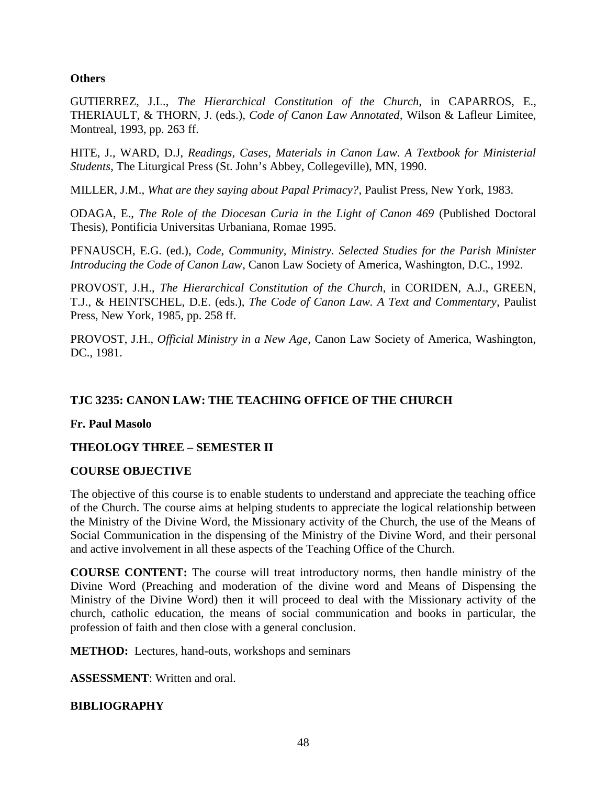### **Others**

GUTIERREZ, J.L., *The Hierarchical Constitution of the Church*, in CAPARROS, E., THERIAULT, & THORN, J. (eds.), *Code of Canon Law Annotated,* Wilson & Lafleur Limitee, Montreal, 1993, pp. 263 ff.

HITE, J., WARD, D.J, *Readings, Cases, Materials in Canon Law. A Textbook for Ministerial Students*, The Liturgical Press (St. John's Abbey, Collegeville), MN, 1990.

MILLER, J.M., *What are they saying about Papal Primacy?*, Paulist Press, New York, 1983.

ODAGA, E., *The Role of the Diocesan Curia in the Light of Canon 469* (Published Doctoral Thesis), Pontificia Universitas Urbaniana, Romae 1995.

PFNAUSCH, E.G. (ed.), *Code, Community, Ministry. Selected Studies for the Parish Minister Introducing the Code of Canon Law*, Canon Law Society of America, Washington, D.C., 1992.

PROVOST, J.H., *The Hierarchical Constitution of the Church*, in CORIDEN, A.J., GREEN, T.J., & HEINTSCHEL, D.E. (eds.), *The Code of Canon Law. A Text and Commentary*, Paulist Press, New York, 1985, pp. 258 ff.

PROVOST, J.H., *Official Ministry in a New Age*, Canon Law Society of America, Washington, DC., 1981.

# **TJC 3235: CANON LAW: THE TEACHING OFFICE OF THE CHURCH**

**Fr. Paul Masolo**

# **THEOLOGY THREE – SEMESTER II**

#### **COURSE OBJECTIVE**

The objective of this course is to enable students to understand and appreciate the teaching office of the Church. The course aims at helping students to appreciate the logical relationship between the Ministry of the Divine Word, the Missionary activity of the Church, the use of the Means of Social Communication in the dispensing of the Ministry of the Divine Word, and their personal and active involvement in all these aspects of the Teaching Office of the Church.

**COURSE CONTENT:** The course will treat introductory norms, then handle ministry of the Divine Word (Preaching and moderation of the divine word and Means of Dispensing the Ministry of the Divine Word) then it will proceed to deal with the Missionary activity of the church, catholic education, the means of social communication and books in particular, the profession of faith and then close with a general conclusion.

**METHOD:** Lectures, hand-outs, workshops and seminars

**ASSESSMENT**: Written and oral.

#### **BIBLIOGRAPHY**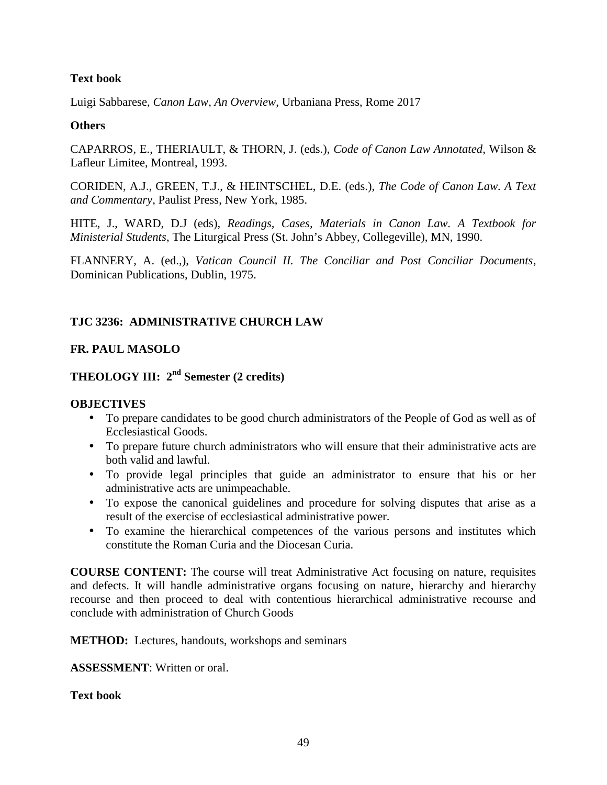### **Text book**

Luigi Sabbarese, *Canon Law, An Overview*, Urbaniana Press, Rome 2017

### **Others**

CAPARROS, E., THERIAULT, & THORN, J. (eds.), *Code of Canon Law Annotated*, Wilson & Lafleur Limitee, Montreal, 1993.

CORIDEN, A.J., GREEN, T.J., & HEINTSCHEL, D.E. (eds.), *The Code of Canon Law. A Text and Commentary*, Paulist Press, New York, 1985.

HITE, J., WARD, D.J (eds), *Readings, Cases, Materials in Canon Law. A Textbook for Ministerial Students*, The Liturgical Press (St. John's Abbey, Collegeville), MN, 1990.

FLANNERY, A. (ed.,), *Vatican Council II. The Conciliar and Post Conciliar Documents*, Dominican Publications, Dublin, 1975.

# **TJC 3236: ADMINISTRATIVE CHURCH LAW**

# **FR. PAUL MASOLO**

# **THEOLOGY III: 2nd Semester (2 credits)**

# **OBJECTIVES**

- To prepare candidates to be good church administrators of the People of God as well as of Ecclesiastical Goods.
- To prepare future church administrators who will ensure that their administrative acts are both valid and lawful.
- To provide legal principles that guide an administrator to ensure that his or her administrative acts are unimpeachable.
- To expose the canonical guidelines and procedure for solving disputes that arise as a result of the exercise of ecclesiastical administrative power.
- To examine the hierarchical competences of the various persons and institutes which constitute the Roman Curia and the Diocesan Curia.

**COURSE CONTENT:** The course will treat Administrative Act focusing on nature, requisites and defects. It will handle administrative organs focusing on nature, hierarchy and hierarchy recourse and then proceed to deal with contentious hierarchical administrative recourse and conclude with administration of Church Goods

**METHOD:** Lectures, handouts, workshops and seminars

**ASSESSMENT**: Written or oral.

**Text book**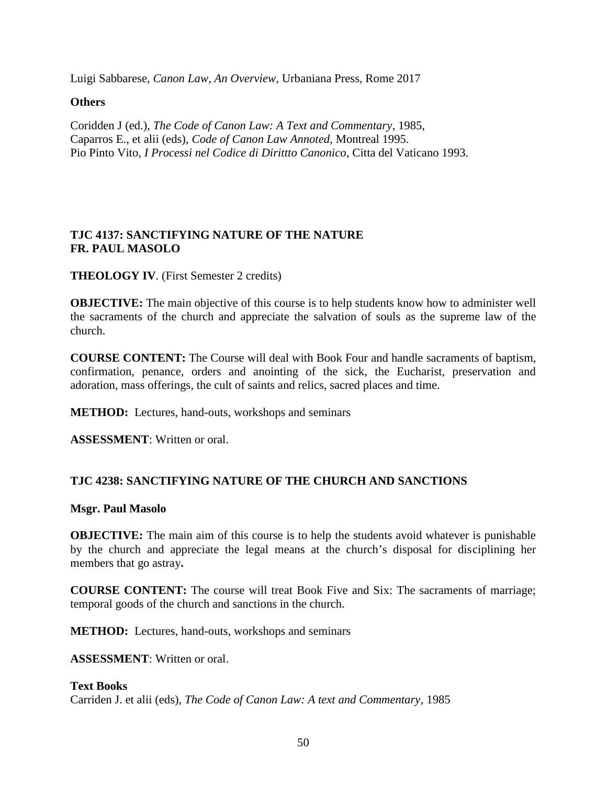Luigi Sabbarese, *Canon Law, An Overview*, Urbaniana Press, Rome 2017

### **Others**

Coridden J (ed.), *The Code of Canon Law: A Text and Commentary*, 1985, Caparros E., et alii (eds), *Code of Canon Law Annoted*, Montreal 1995. Pio Pinto Vito, *I Processi nel Codice di Dirittto Canonico*, Citta del Vaticano 1993.

# **TJC 4137: SANCTIFYING NATURE OF THE NATURE FR. PAUL MASOLO**

**THEOLOGY IV**. (First Semester 2 credits)

**OBJECTIVE:** The main objective of this course is to help students know how to administer well the sacraments of the church and appreciate the salvation of souls as the supreme law of the church.

**COURSE CONTENT:** The Course will deal with Book Four and handle sacraments of baptism, confirmation, penance, orders and anointing of the sick, the Eucharist, preservation and adoration, mass offerings, the cult of saints and relics, sacred places and time.

**METHOD:** Lectures, hand-outs, workshops and seminars

**ASSESSMENT**: Written or oral.

# **TJC 4238: SANCTIFYING NATURE OF THE CHURCH AND SANCTIONS**

#### **Msgr. Paul Masolo**

**OBJECTIVE:** The main aim of this course is to help the students avoid whatever is punishable by the church and appreciate the legal means at the church's disposal for disciplining her members that go astray**.**

**COURSE CONTENT:** The course will treat Book Five and Six: The sacraments of marriage; temporal goods of the church and sanctions in the church.

**METHOD:** Lectures, hand-outs, workshops and seminars

**ASSESSMENT**: Written or oral.

# **Text Books**

Carriden J. et alii (eds), *The Code of Canon Law: A text and Commentary*, 1985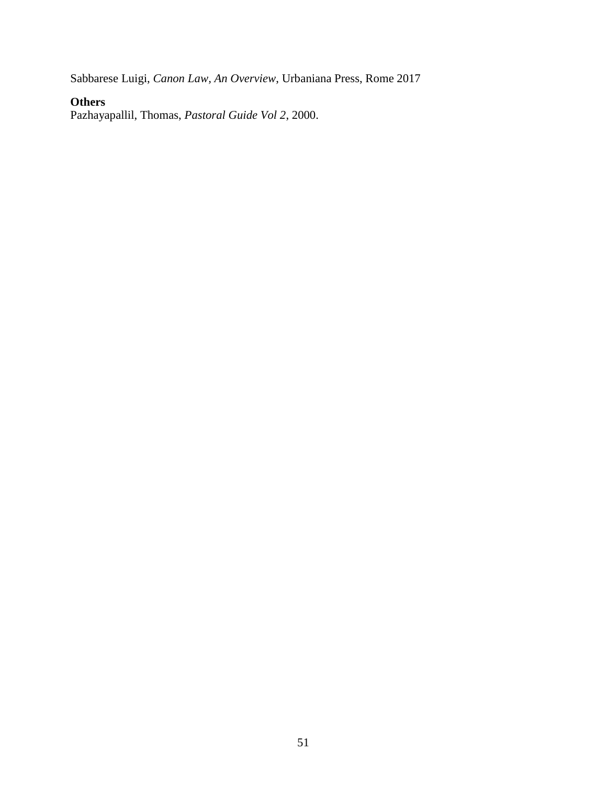Sabbarese Luigi, *Canon Law, An Overview*, Urbaniana Press, Rome 2017

# **Others**

Pazhayapallil, Thomas, *Pastoral Guide Vol 2*, 2000.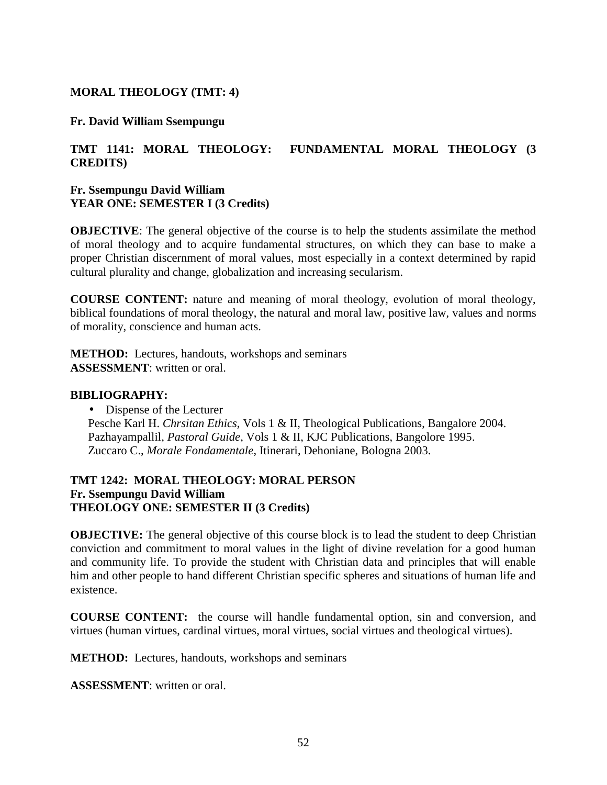### **MORAL THEOLOGY (TMT: 4)**

#### **Fr. David William Ssempungu**

### **TMT 1141: MORAL THEOLOGY: FUNDAMENTAL MORAL THEOLOGY (3 CREDITS)**

#### **Fr. Ssempungu David William YEAR ONE: SEMESTER I (3 Credits)**

**OBJECTIVE:** The general objective of the course is to help the students assimilate the method of moral theology and to acquire fundamental structures, on which they can base to make a proper Christian discernment of moral values, most especially in a context determined by rapid cultural plurality and change, globalization and increasing secularism.

**COURSE CONTENT:** nature and meaning of moral theology, evolution of moral theology, biblical foundations of moral theology, the natural and moral law, positive law, values and norms of morality, conscience and human acts.

**METHOD:** Lectures, handouts, workshops and seminars **ASSESSMENT**: written or oral.

#### **BIBLIOGRAPHY:**

• Dispense of the Lecturer

Pesche Karl H. *Chrsitan Ethics,* Vols 1 & II, Theological Publications, Bangalore 2004. Pazhayampallil, *Pastoral Guide*, Vols 1 & II, KJC Publications, Bangolore 1995. Zuccaro C., *Morale Fondamentale*, Itinerari, Dehoniane, Bologna 2003.

#### **TMT 1242: MORAL THEOLOGY: MORAL PERSON Fr. Ssempungu David William THEOLOGY ONE: SEMESTER II (3 Credits)**

**OBJECTIVE:** The general objective of this course block is to lead the student to deep Christian conviction and commitment to moral values in the light of divine revelation for a good human and community life. To provide the student with Christian data and principles that will enable him and other people to hand different Christian specific spheres and situations of human life and existence.

**COURSE CONTENT:** the course will handle fundamental option, sin and conversion, and virtues (human virtues, cardinal virtues, moral virtues, social virtues and theological virtues).

**METHOD:** Lectures, handouts, workshops and seminars

**ASSESSMENT**: written or oral.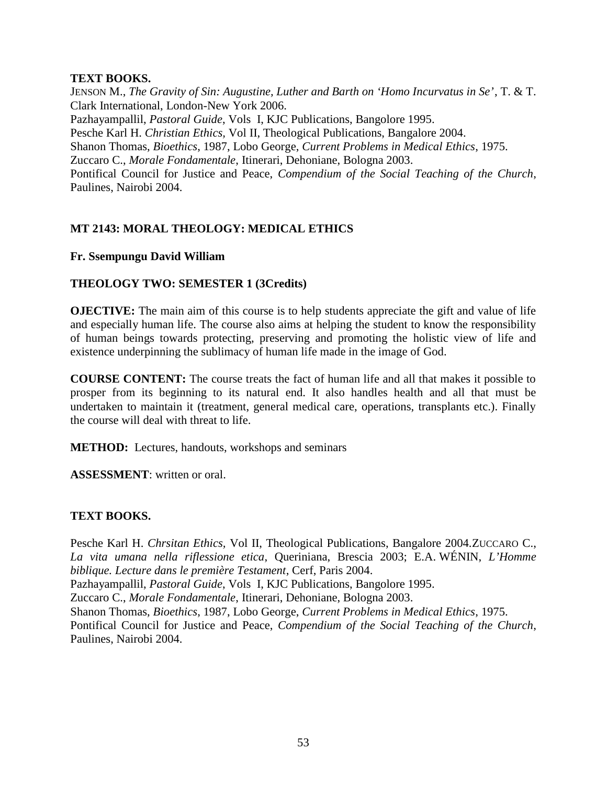### **TEXT BOOKS.**

JENSON M., *The Gravity of Sin: Augustine, Luther and Barth on 'Homo Incurvatus in Se'*, T. & T. Clark International, London-New York 2006. Pazhayampallil, *Pastoral Guide*, Vols I, KJC Publications, Bangolore 1995. Pesche Karl H. *Christian Ethics,* Vol II, Theological Publications, Bangalore 2004. Shanon Thomas, *Bioethics*, 1987, Lobo George, *Current Problems in Medical Ethics*, 1975. Zuccaro C., *Morale Fondamentale*, Itinerari, Dehoniane, Bologna 2003. Pontifical Council for Justice and Peace, *Compendium of the Social Teaching of the Church*, Paulines, Nairobi 2004.

# **MT 2143: MORAL THEOLOGY: MEDICAL ETHICS**

### **Fr. Ssempungu David William**

# **THEOLOGY TWO: SEMESTER 1 (3Credits)**

**OJECTIVE:** The main aim of this course is to help students appreciate the gift and value of life and especially human life. The course also aims at helping the student to know the responsibility of human beings towards protecting, preserving and promoting the holistic view of life and existence underpinning the sublimacy of human life made in the image of God.

**COURSE CONTENT:** The course treats the fact of human life and all that makes it possible to prosper from its beginning to its natural end. It also handles health and all that must be undertaken to maintain it (treatment, general medical care, operations, transplants etc.). Finally the course will deal with threat to life.

**METHOD:** Lectures, handouts, workshops and seminars

**ASSESSMENT**: written or oral.

# **TEXT BOOKS.**

Pesche Karl H. *Chrsitan Ethics,* Vol II, Theological Publications, Bangalore 2004.ZUCCARO C., *La vita umana nella riflessione etica*, Queriniana, Brescia 2003; E.A. WÉNIN, *L'Homme biblique. Lecture dans le première Testament*, Cerf, Paris 2004.

Pazhayampallil, *Pastoral Guide*, Vols I, KJC Publications, Bangolore 1995.

Zuccaro C., *Morale Fondamentale*, Itinerari, Dehoniane, Bologna 2003.

Shanon Thomas, *Bioethics*, 1987, Lobo George, *Current Problems in Medical Ethics*, 1975.

Pontifical Council for Justice and Peace, *Compendium of the Social Teaching of the Church*, Paulines, Nairobi 2004.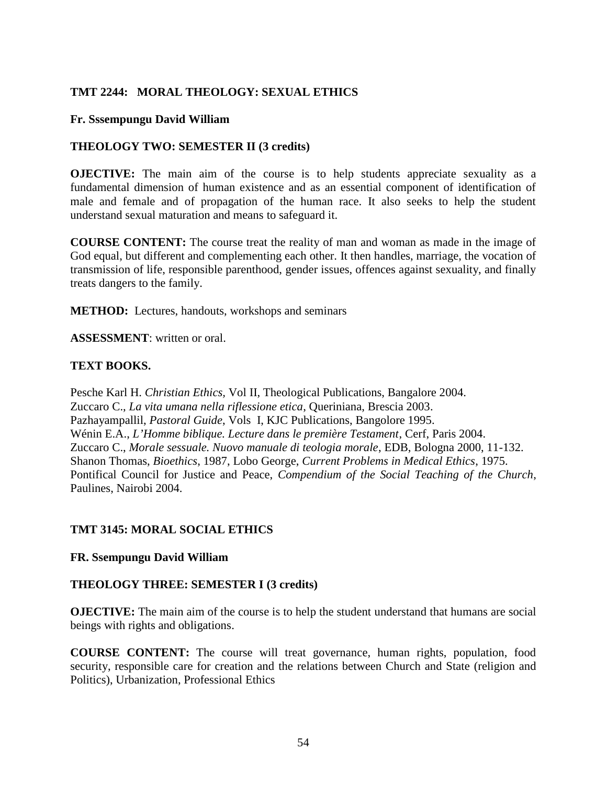# **TMT 2244: MORAL THEOLOGY: SEXUAL ETHICS**

#### **Fr. Sssempungu David William**

### **THEOLOGY TWO: SEMESTER II (3 credits)**

**OJECTIVE:** The main aim of the course is to help students appreciate sexuality as a fundamental dimension of human existence and as an essential component of identification of male and female and of propagation of the human race. It also seeks to help the student understand sexual maturation and means to safeguard it.

**COURSE CONTENT:** The course treat the reality of man and woman as made in the image of God equal, but different and complementing each other. It then handles, marriage, the vocation of transmission of life, responsible parenthood, gender issues, offences against sexuality, and finally treats dangers to the family.

**METHOD:** Lectures, handouts, workshops and seminars

**ASSESSMENT**: written or oral.

### **TEXT BOOKS.**

Pesche Karl H. *Christian Ethics,* Vol II, Theological Publications, Bangalore 2004. Zuccaro C., *La vita umana nella riflessione etica*, Queriniana, Brescia 2003. Pazhayampallil, *Pastoral Guide*, Vols I, KJC Publications, Bangolore 1995. Wénin E.A., *L'Homme biblique. Lecture dans le première Testament*, Cerf, Paris 2004. Zuccaro C., *Morale sessuale. Nuovo manuale di teologia morale*, EDB, Bologna 2000, 11-132. Shanon Thomas, *Bioethics*, 1987, Lobo George, *Current Problems in Medical Ethics*, 1975. Pontifical Council for Justice and Peace, *Compendium of the Social Teaching of the Church*, Paulines, Nairobi 2004.

#### **TMT 3145: MORAL SOCIAL ETHICS**

#### **FR. Ssempungu David William**

#### **THEOLOGY THREE: SEMESTER I (3 credits)**

**OJECTIVE:** The main aim of the course is to help the student understand that humans are social beings with rights and obligations.

**COURSE CONTENT:** The course will treat governance, human rights, population, food security, responsible care for creation and the relations between Church and State (religion and Politics), Urbanization, Professional Ethics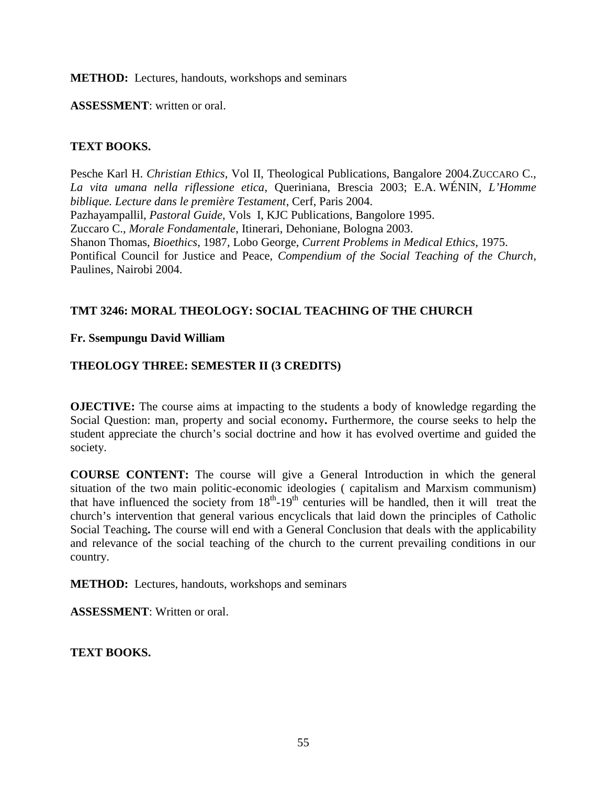#### **METHOD:** Lectures, handouts, workshops and seminars

**ASSESSMENT**: written or oral.

### **TEXT BOOKS.**

Pesche Karl H. *Christian Ethics,* Vol II, Theological Publications, Bangalore 2004.ZUCCARO C., *La vita umana nella riflessione etica*, Queriniana, Brescia 2003; E.A. WÉNIN, *L'Homme biblique. Lecture dans le première Testament*, Cerf, Paris 2004. Pazhayampallil, *Pastoral Guide*, Vols I, KJC Publications, Bangolore 1995. Zuccaro C., *Morale Fondamentale*, Itinerari, Dehoniane, Bologna 2003. Shanon Thomas, *Bioethics*, 1987, Lobo George, *Current Problems in Medical Ethics*, 1975. Pontifical Council for Justice and Peace, *Compendium of the Social Teaching of the Church*, Paulines, Nairobi 2004.

# **TMT 3246: MORAL THEOLOGY: SOCIAL TEACHING OF THE CHURCH**

#### **Fr. Ssempungu David William**

# **THEOLOGY THREE: SEMESTER II (3 CREDITS)**

**OJECTIVE:** The course aims at impacting to the students a body of knowledge regarding the Social Question: man, property and social economy**.** Furthermore, the course seeks to help the student appreciate the church's social doctrine and how it has evolved overtime and guided the society.

**COURSE CONTENT:** The course will give a General Introduction in which the general situation of the two main politic-economic ideologies ( capitalism and Marxism communism) that have influenced the society from  $18<sup>th</sup>$ -19<sup>th</sup> centuries will be handled, then it will treat the church's intervention that general various encyclicals that laid down the principles of Catholic Social Teaching**.** The course will end with a General Conclusion that deals with the applicability and relevance of the social teaching of the church to the current prevailing conditions in our country.

**METHOD:** Lectures, handouts, workshops and seminars

**ASSESSMENT**: Written or oral.

**TEXT BOOKS.**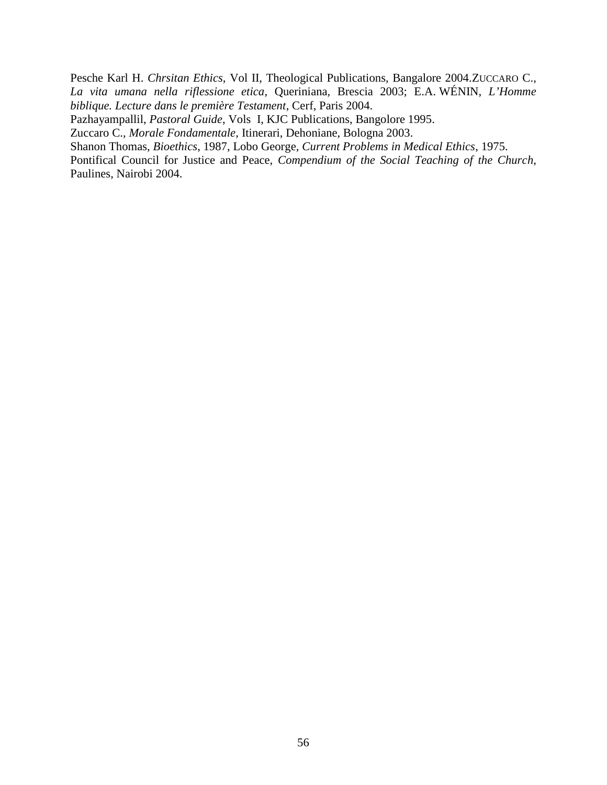Pesche Karl H. *Chrsitan Ethics,* Vol II, Theological Publications, Bangalore 2004.ZUCCARO C., *La vita umana nella riflessione etica*, Queriniana, Brescia 2003; E.A. WÉNIN, *L'Homme biblique. Lecture dans le première Testament*, Cerf, Paris 2004.

Pazhayampallil, *Pastoral Guide*, Vols I, KJC Publications, Bangolore 1995.

Zuccaro C., *Morale Fondamentale*, Itinerari, Dehoniane, Bologna 2003.

Shanon Thomas, *Bioethics*, 1987, Lobo George, *Current Problems in Medical Ethics*, 1975.

Pontifical Council for Justice and Peace, *Compendium of the Social Teaching of the Church*, Paulines, Nairobi 2004.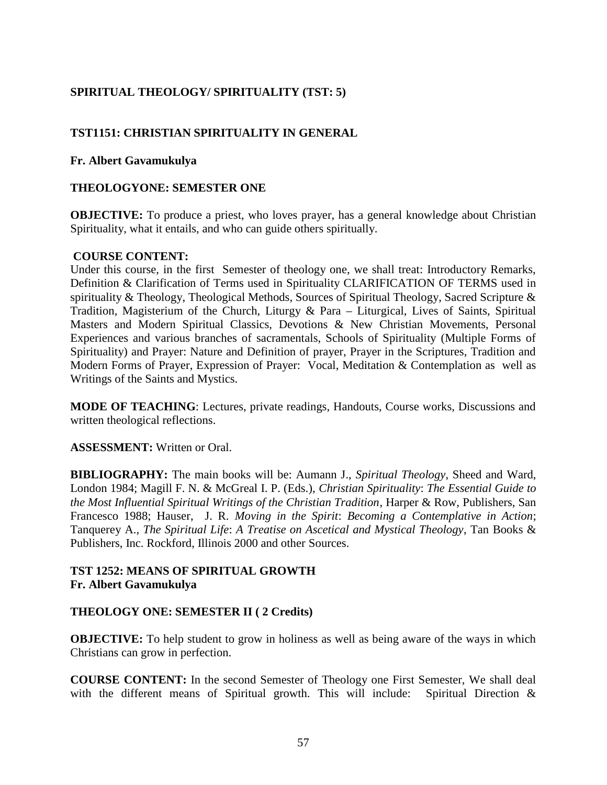# **SPIRITUAL THEOLOGY/ SPIRITUALITY (TST: 5)**

# **TST1151: CHRISTIAN SPIRITUALITY IN GENERAL**

### **Fr. Albert Gavamukulya**

### **THEOLOGYONE: SEMESTER ONE**

**OBJECTIVE:** To produce a priest, who loves prayer, has a general knowledge about Christian Spirituality, what it entails, and who can guide others spiritually.

#### **COURSE CONTENT:**

Under this course, in the first Semester of theology one, we shall treat: Introductory Remarks, Definition & Clarification of Terms used in Spirituality CLARIFICATION OF TERMS used in spirituality & Theology, Theological Methods, Sources of Spiritual Theology, Sacred Scripture & Tradition, Magisterium of the Church, Liturgy & Para – Liturgical, Lives of Saints, Spiritual Masters and Modern Spiritual Classics, Devotions & New Christian Movements, Personal Experiences and various branches of sacramentals, Schools of Spirituality (Multiple Forms of Spirituality) and Prayer: Nature and Definition of prayer, Prayer in the Scriptures, Tradition and Modern Forms of Prayer, Expression of Prayer: Vocal, Meditation & Contemplation as well as Writings of the Saints and Mystics.

**MODE OF TEACHING**: Lectures, private readings, Handouts, Course works, Discussions and written theological reflections.

#### **ASSESSMENT:** Written or Oral.

**BIBLIOGRAPHY:** The main books will be: Aumann J., *Spiritual Theology*, Sheed and Ward, London 1984; Magill F. N. & McGreal I. P. (Eds.), *Christian Spirituality*: *The Essential Guide to the Most Influential Spiritual Writings of the Christian Tradition*, Harper & Row, Publishers, San Francesco 1988; Hauser, J. R. *Moving in the Spirit*: *Becoming a Contemplative in Action*; Tanquerey A., *The Spiritual Life*: *A Treatise on Ascetical and Mystical Theology*, Tan Books & Publishers, Inc. Rockford, Illinois 2000 and other Sources.

# **TST 1252: MEANS OF SPIRITUAL GROWTH Fr. Albert Gavamukulya**

#### **THEOLOGY ONE: SEMESTER II ( 2 Credits)**

**OBJECTIVE:** To help student to grow in holiness as well as being aware of the ways in which Christians can grow in perfection.

**COURSE CONTENT:** In the second Semester of Theology one First Semester, We shall deal with the different means of Spiritual growth. This will include: Spiritual Direction  $\&$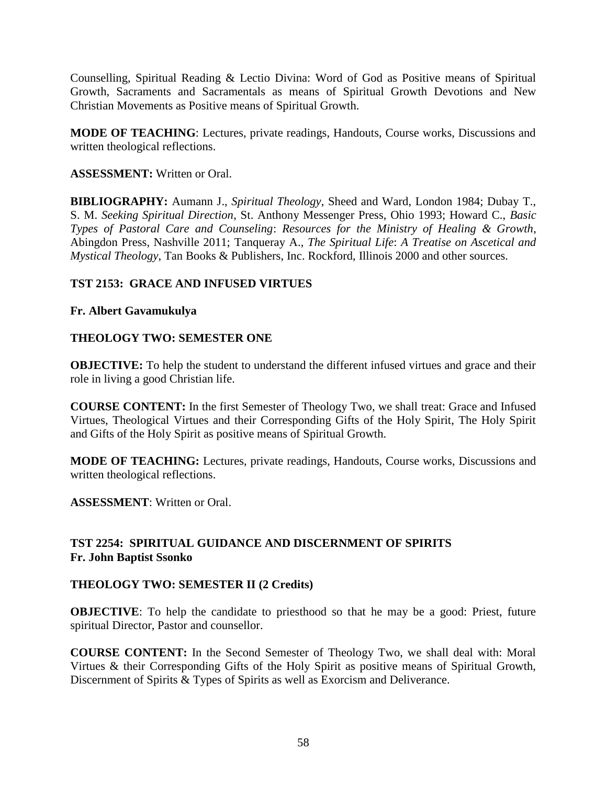Counselling, Spiritual Reading & Lectio Divina: Word of God as Positive means of Spiritual Growth, Sacraments and Sacramentals as means of Spiritual Growth Devotions and New Christian Movements as Positive means of Spiritual Growth.

**MODE OF TEACHING**: Lectures, private readings, Handouts, Course works, Discussions and written theological reflections.

### **ASSESSMENT:** Written or Oral.

**BIBLIOGRAPHY:** Aumann J., *Spiritual Theology*, Sheed and Ward, London 1984; Dubay T., S. M. *Seeking Spiritual Direction*, St. Anthony Messenger Press, Ohio 1993; Howard C., *Basic Types of Pastoral Care and Counseling*: *Resources for the Ministry of Healing & Growth*, Abingdon Press, Nashville 2011; Tanqueray A., *The Spiritual Life*: *A Treatise on Ascetical and Mystical Theology*, Tan Books & Publishers, Inc. Rockford, Illinois 2000 and other sources.

# **TST 2153: GRACE AND INFUSED VIRTUES**

### **Fr. Albert Gavamukulya**

# **THEOLOGY TWO: SEMESTER ONE**

**OBJECTIVE:** To help the student to understand the different infused virtues and grace and their role in living a good Christian life.

**COURSE CONTENT:** In the first Semester of Theology Two, we shall treat: Grace and Infused Virtues, Theological Virtues and their Corresponding Gifts of the Holy Spirit, The Holy Spirit and Gifts of the Holy Spirit as positive means of Spiritual Growth.

**MODE OF TEACHING:** Lectures, private readings, Handouts, Course works, Discussions and written theological reflections.

**ASSESSMENT**: Written or Oral.

# **TST 2254: SPIRITUAL GUIDANCE AND DISCERNMENT OF SPIRITS Fr. John Baptist Ssonko**

#### **THEOLOGY TWO: SEMESTER II (2 Credits)**

**OBJECTIVE:** To help the candidate to priesthood so that he may be a good: Priest, future spiritual Director, Pastor and counsellor.

**COURSE CONTENT:** In the Second Semester of Theology Two, we shall deal with: Moral Virtues & their Corresponding Gifts of the Holy Spirit as positive means of Spiritual Growth, Discernment of Spirits & Types of Spirits as well as Exorcism and Deliverance.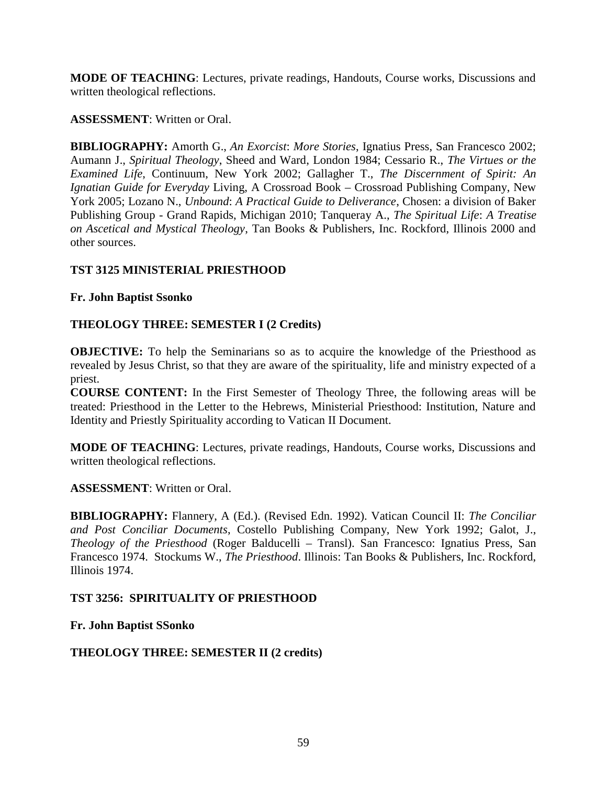**MODE OF TEACHING**: Lectures, private readings, Handouts, Course works, Discussions and written theological reflections.

### **ASSESSMENT**: Written or Oral.

**BIBLIOGRAPHY:** Amorth G., *An Exorcist*: *More Stories*, Ignatius Press, San Francesco 2002; Aumann J., *Spiritual Theology*, Sheed and Ward, London 1984; Cessario R., *The Virtues or the Examined Life*, Continuum, New York 2002; Gallagher T., *The Discernment of Spirit: An Ignatian Guide for Everyday* Living, A Crossroad Book – Crossroad Publishing Company, New York 2005; Lozano N., *Unbound*: *A Practical Guide to Deliverance*, Chosen: a division of Baker Publishing Group - Grand Rapids, Michigan 2010; Tanqueray A., *The Spiritual Life*: *A Treatise on Ascetical and Mystical Theology*, Tan Books & Publishers, Inc. Rockford, Illinois 2000 and other sources.

# **TST 3125 MINISTERIAL PRIESTHOOD**

# **Fr. John Baptist Ssonko**

# **THEOLOGY THREE: SEMESTER I (2 Credits)**

**OBJECTIVE:** To help the Seminarians so as to acquire the knowledge of the Priesthood as revealed by Jesus Christ, so that they are aware of the spirituality, life and ministry expected of a priest.

**COURSE CONTENT:** In the First Semester of Theology Three, the following areas will be treated: Priesthood in the Letter to the Hebrews, Ministerial Priesthood: Institution, Nature and Identity and Priestly Spirituality according to Vatican II Document.

**MODE OF TEACHING**: Lectures, private readings, Handouts, Course works, Discussions and written theological reflections.

# **ASSESSMENT**: Written or Oral.

**BIBLIOGRAPHY:** Flannery, A (Ed.). (Revised Edn. 1992). Vatican Council II: *The Conciliar and Post Conciliar Documents*, Costello Publishing Company, New York 1992; Galot, J., *Theology of the Priesthood* (Roger Balducelli – Transl). San Francesco: Ignatius Press, San Francesco 1974. Stockums W., *The Priesthood*. Illinois: Tan Books & Publishers, Inc. Rockford, Illinois 1974.

# **TST 3256: SPIRITUALITY OF PRIESTHOOD**

**Fr. John Baptist SSonko**

# **THEOLOGY THREE: SEMESTER II (2 credits)**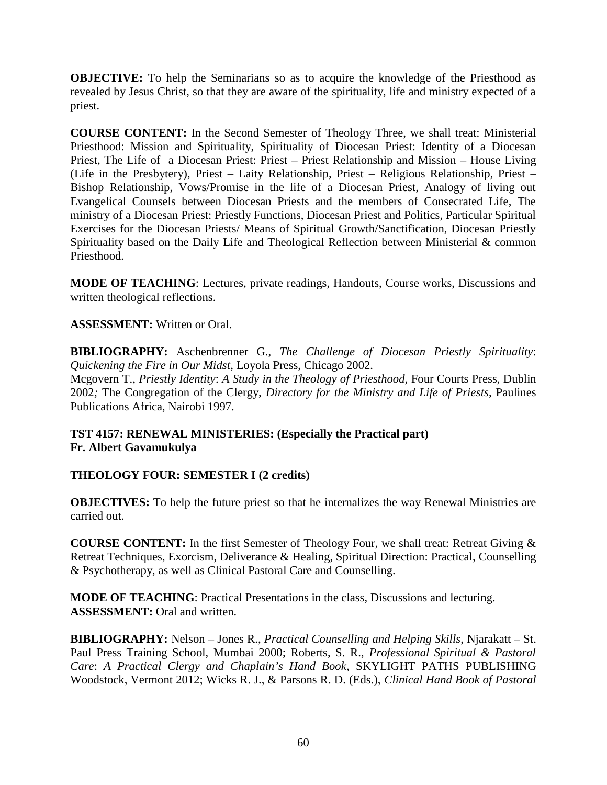**OBJECTIVE:** To help the Seminarians so as to acquire the knowledge of the Priesthood as revealed by Jesus Christ, so that they are aware of the spirituality, life and ministry expected of a priest.

**COURSE CONTENT:** In the Second Semester of Theology Three, we shall treat: Ministerial Priesthood: Mission and Spirituality, Spirituality of Diocesan Priest: Identity of a Diocesan Priest, The Life of a Diocesan Priest: Priest – Priest Relationship and Mission – House Living (Life in the Presbytery), Priest – Laity Relationship, Priest – Religious Relationship, Priest – Bishop Relationship, Vows/Promise in the life of a Diocesan Priest, Analogy of living out Evangelical Counsels between Diocesan Priests and the members of Consecrated Life, The ministry of a Diocesan Priest: Priestly Functions, Diocesan Priest and Politics, Particular Spiritual Exercises for the Diocesan Priests/ Means of Spiritual Growth/Sanctification, Diocesan Priestly Spirituality based on the Daily Life and Theological Reflection between Ministerial & common Priesthood.

**MODE OF TEACHING**: Lectures, private readings, Handouts, Course works, Discussions and written theological reflections.

**ASSESSMENT:** Written or Oral.

**BIBLIOGRAPHY:** Aschenbrenner G., *The Challenge of Diocesan Priestly Spirituality*: *Quickening the Fire in Our Midst*, Loyola Press, Chicago 2002. Mcgovern T., *Priestly Identity*: *A Study in the Theology of Priesthood,* Four Courts Press, Dublin 2002*;* The Congregation of the Clergy, *Directory for the Ministry and Life of Priests*, Paulines Publications Africa, Nairobi 1997.

# **TST 4157: RENEWAL MINISTERIES: (Especially the Practical part) Fr. Albert Gavamukulya**

# **THEOLOGY FOUR: SEMESTER I (2 credits)**

**OBJECTIVES:** To help the future priest so that he internalizes the way Renewal Ministries are carried out.

**COURSE CONTENT:** In the first Semester of Theology Four, we shall treat: Retreat Giving & Retreat Techniques, Exorcism, Deliverance & Healing, Spiritual Direction: Practical, Counselling & Psychotherapy, as well as Clinical Pastoral Care and Counselling.

**MODE OF TEACHING**: Practical Presentations in the class, Discussions and lecturing. **ASSESSMENT:** Oral and written.

**BIBLIOGRAPHY:** Nelson – Jones R., *Practical Counselling and Helping Skills*, Njarakatt – St. Paul Press Training School, Mumbai 2000; Roberts, S. R., *Professional Spiritual & Pastoral Care*: *A Practical Clergy and Chaplain's Hand Book*, SKYLIGHT PATHS PUBLISHING Woodstock, Vermont 2012; Wicks R. J., & Parsons R. D. (Eds.), *Clinical Hand Book of Pastoral*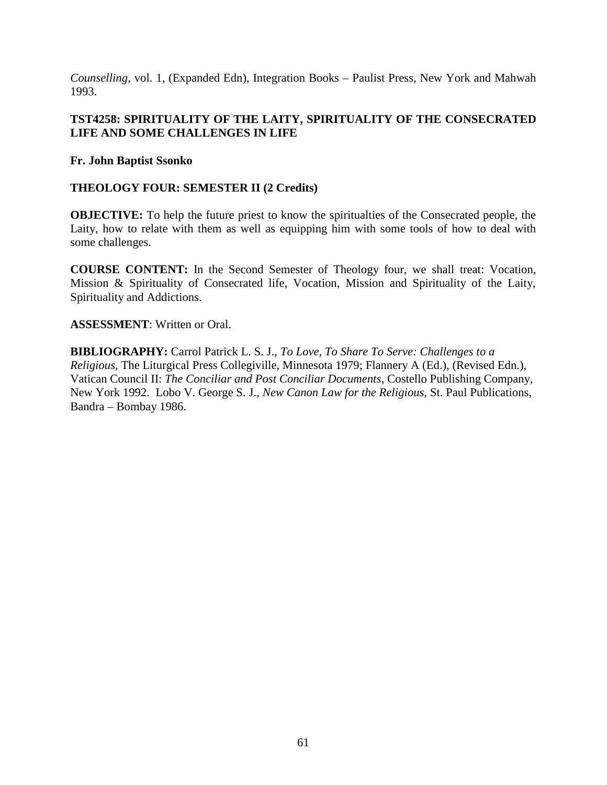*Counselling,* vol. 1, (Expanded Edn), Integration Books – Paulist Press, New York and Mahwah 1993.

# **TST4258: SPIRITUALITY OF THE LAITY, SPIRITUALITY OF THE CONSECRATED LIFE AND SOME CHALLENGES IN LIFE**

**Fr. John Baptist Ssonko**

### **THEOLOGY FOUR: SEMESTER II (2 Credits)**

**OBJECTIVE:** To help the future priest to know the spiritualties of the Consecrated people, the Laity, how to relate with them as well as equipping him with some tools of how to deal with some challenges.

**COURSE CONTENT:** In the Second Semester of Theology four, we shall treat: Vocation, Mission & Spirituality of Consecrated life, Vocation, Mission and Spirituality of the Laity, Spirituality and Addictions.

**ASSESSMENT**: Written or Oral.

**BIBLIOGRAPHY:** Carrol Patrick L. S. J., *To Love, To Share To Serve: Challenges to a Religious*, The Liturgical Press Collegiville, Minnesota 1979; Flannery A (Ed.), (Revised Edn.), Vatican Council II: *The Conciliar and Post Conciliar Documents*, Costello Publishing Company, New York 1992. Lobo V. George S. J., *New Canon Law for the Religious*, St. Paul Publications, Bandra – Bombay 1986.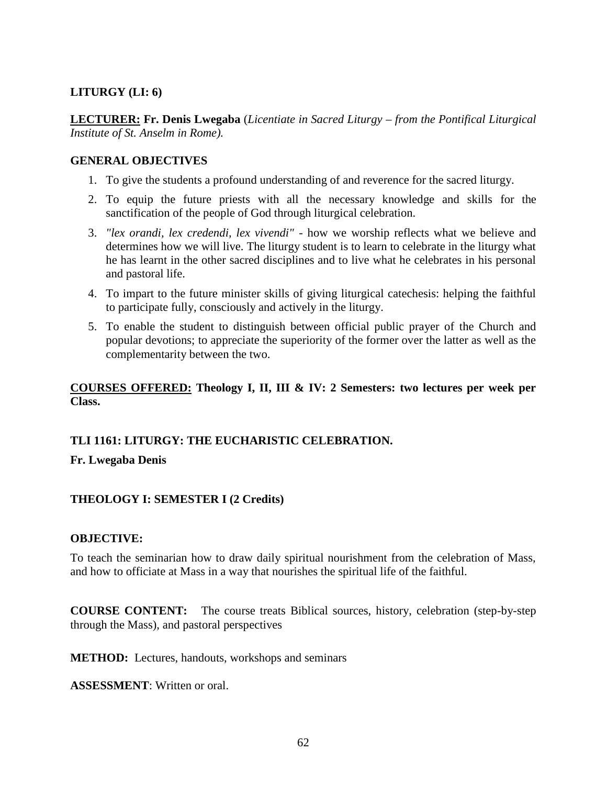### **LITURGY (LI: 6)**

**LECTURER: Fr. Denis Lwegaba** (*Licentiate in Sacred Liturgy – from the Pontifical Liturgical Institute of St. Anselm in Rome).*

### **GENERAL OBJECTIVES**

- 1. To give the students a profound understanding of and reverence for the sacred liturgy.
- 2. To equip the future priests with all the necessary knowledge and skills for the sanctification of the people of God through liturgical celebration.
- 3. *"lex orandi, lex credendi, lex vivendi"* how we worship reflects what we believe and determines how we will live. The liturgy student is to learn to celebrate in the liturgy what he has learnt in the other sacred disciplines and to live what he celebrates in his personal and pastoral life.
- 4. To impart to the future minister skills of giving liturgical catechesis: helping the faithful to participate fully, consciously and actively in the liturgy.
- 5. To enable the student to distinguish between official public prayer of the Church and popular devotions; to appreciate the superiority of the former over the latter as well as the complementarity between the two.

# **COURSES OFFERED: Theology I, II, III & IV: 2 Semesters: two lectures per week per Class.**

# **TLI 1161: LITURGY: THE EUCHARISTIC CELEBRATION.**

#### **Fr. Lwegaba Denis**

# **THEOLOGY I: SEMESTER I (2 Credits)**

#### **OBJECTIVE:**

To teach the seminarian how to draw daily spiritual nourishment from the celebration of Mass, and how to officiate at Mass in a way that nourishes the spiritual life of the faithful.

**COURSE CONTENT:** The course treats Biblical sources, history, celebration (step-by-step through the Mass), and pastoral perspectives

**METHOD:** Lectures, handouts, workshops and seminars

**ASSESSMENT**: Written or oral.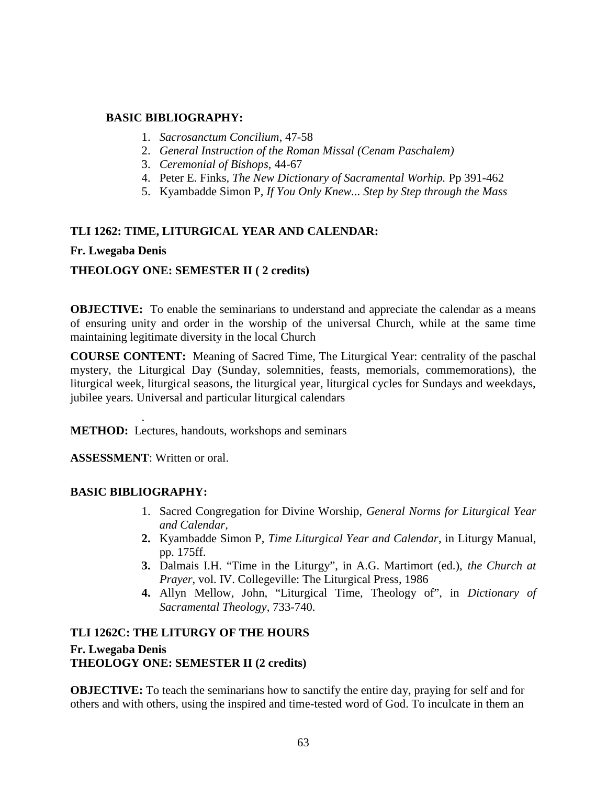### **BASIC BIBLIOGRAPHY:**

- 1. *Sacrosanctum Concilium*, 47-58
- 2. *General Instruction of the Roman Missal (Cenam Paschalem)*
- 3. *Ceremonial of Bishops,* 44-67
- 4. Peter E. Finks*, The New Dictionary of Sacramental Worhip.* Pp 391-462
- 5. Kyambadde Simon P, *If You Only Knew... Step by Step through the Mass*

### **TLI 1262: TIME, LITURGICAL YEAR AND CALENDAR:**

### **Fr. Lwegaba Denis**

# **THEOLOGY ONE: SEMESTER II ( 2 credits)**

**OBJECTIVE:** To enable the seminarians to understand and appreciate the calendar as a means of ensuring unity and order in the worship of the universal Church, while at the same time maintaining legitimate diversity in the local Church

**COURSE CONTENT:** Meaning of Sacred Time, The Liturgical Year: centrality of the paschal mystery, the Liturgical Day (Sunday, solemnities, feasts, memorials, commemorations), the liturgical week, liturgical seasons, the liturgical year, liturgical cycles for Sundays and weekdays, jubilee years. Universal and particular liturgical calendars

**METHOD:** Lectures, handouts, workshops and seminars

**ASSESSMENT**: Written or oral.

.

#### **BASIC BIBLIOGRAPHY:**

- 1. Sacred Congregation for Divine Worship, *General Norms for Liturgical Year and Calendar,*
- **2.** Kyambadde Simon P, *Time Liturgical Year and Calendar*, in Liturgy Manual, pp. 175ff.
- **3.** Dalmais I.H. "Time in the Liturgy", in A.G. Martimort (ed.), *the Church at Prayer*, vol. IV. Collegeville: The Liturgical Press, 1986
- **4.** Allyn Mellow, John, "Liturgical Time, Theology of", in *Dictionary of Sacramental Theology*, 733-740.

# **TLI 1262C: THE LITURGY OF THE HOURS Fr. Lwegaba Denis THEOLOGY ONE: SEMESTER II (2 credits)**

**OBJECTIVE:** To teach the seminarians how to sanctify the entire day, praying for self and for others and with others, using the inspired and time-tested word of God. To inculcate in them an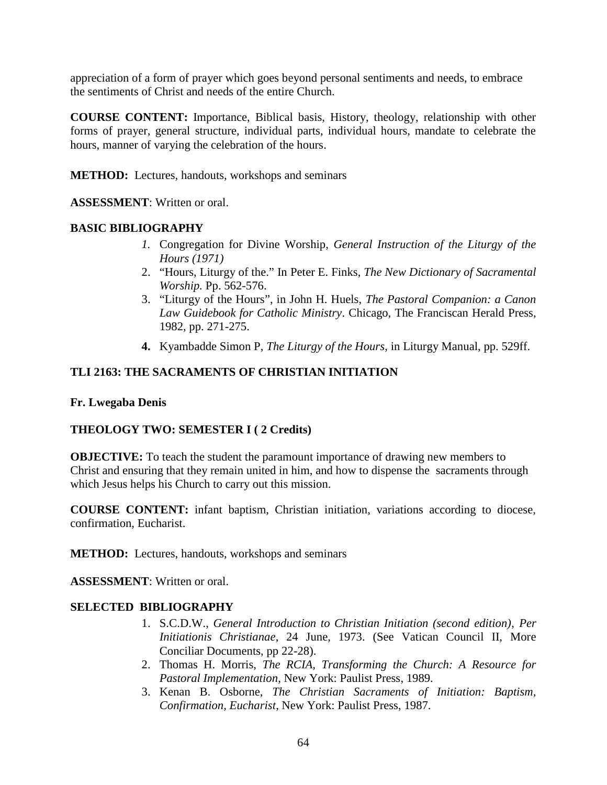appreciation of a form of prayer which goes beyond personal sentiments and needs, to embrace the sentiments of Christ and needs of the entire Church.

**COURSE CONTENT:** Importance, Biblical basis, History, theology, relationship with other forms of prayer, general structure, individual parts, individual hours, mandate to celebrate the hours, manner of varying the celebration of the hours.

**METHOD:** Lectures, handouts, workshops and seminars

**ASSESSMENT**: Written or oral.

### **BASIC BIBLIOGRAPHY**

- *1.* Congregation for Divine Worship, *General Instruction of the Liturgy of the Hours (1971)*
- 2. "Hours, Liturgy of the." In Peter E. Finks, *The New Dictionary of Sacramental Worship.* Pp. 562-576.
- 3. "Liturgy of the Hours", in John H. Huels, *The Pastoral Companion: a Canon Law Guidebook for Catholic Ministry*. Chicago, The Franciscan Herald Press, 1982, pp. 271-275.
- **4.** Kyambadde Simon P, *The Liturgy of the Hours*, in Liturgy Manual, pp. 529ff.

# **TLI 2163: THE SACRAMENTS OF CHRISTIAN INITIATION**

#### **Fr. Lwegaba Denis**

# **THEOLOGY TWO: SEMESTER I ( 2 Credits)**

**OBJECTIVE:** To teach the student the paramount importance of drawing new members to Christ and ensuring that they remain united in him, and how to dispense the sacraments through which Jesus helps his Church to carry out this mission.

**COURSE CONTENT:** infant baptism, Christian initiation, variations according to diocese, confirmation, Eucharist.

**METHOD:** Lectures, handouts, workshops and seminars

**ASSESSMENT**: Written or oral.

# **SELECTED BIBLIOGRAPHY**

- 1. S.C.D.W., *General Introduction to Christian Initiation (second edition)*, *Per Initiationis Christianae*, 24 June, 1973. (See Vatican Council II, More Conciliar Documents, pp 22-28).
- 2. Thomas H. Morris, *The RCIA, Transforming the Church: A Resource for Pastoral Implementation*, New York: Paulist Press, 1989.
- 3. Kenan B. Osborne, *The Christian Sacraments of Initiation: Baptism, Confirmation, Eucharist*, New York: Paulist Press, 1987.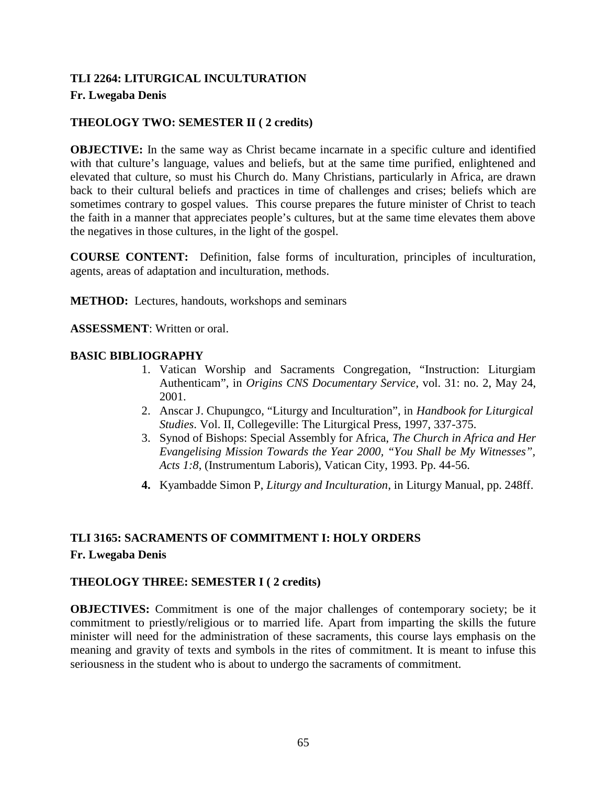# **TLI 2264: LITURGICAL INCULTURATION Fr. Lwegaba Denis**

# **THEOLOGY TWO: SEMESTER II ( 2 credits)**

**OBJECTIVE:** In the same way as Christ became incarnate in a specific culture and identified with that culture's language, values and beliefs, but at the same time purified, enlightened and elevated that culture, so must his Church do. Many Christians, particularly in Africa, are drawn back to their cultural beliefs and practices in time of challenges and crises; beliefs which are sometimes contrary to gospel values. This course prepares the future minister of Christ to teach the faith in a manner that appreciates people's cultures, but at the same time elevates them above the negatives in those cultures, in the light of the gospel.

**COURSE CONTENT:** Definition, false forms of inculturation, principles of inculturation, agents, areas of adaptation and inculturation, methods.

**METHOD:** Lectures, handouts, workshops and seminars

**ASSESSMENT**: Written or oral.

### **BASIC BIBLIOGRAPHY**

- 1. Vatican Worship and Sacraments Congregation, "Instruction: Liturgiam Authenticam", in *Origins CNS Documentary Service*, vol. 31: no. 2, May 24, 2001.
- 2. Anscar J. Chupungco, "Liturgy and Inculturation", in *Handbook for Liturgical Studies*. Vol. II, Collegeville: The Liturgical Press, 1997, 337-375.
- 3. Synod of Bishops: Special Assembly for Africa, *The Church in Africa and Her Evangelising Mission Towards the Year 2000, "You Shall be My Witnesses", Acts 1:8*, (Instrumentum Laboris), Vatican City, 1993. Pp. 44-56.
- **4.** Kyambadde Simon P, *Liturgy and Inculturation*, in Liturgy Manual, pp. 248ff.

# **TLI 3165: SACRAMENTS OF COMMITMENT I: HOLY ORDERS Fr. Lwegaba Denis**

# **THEOLOGY THREE: SEMESTER I ( 2 credits)**

**OBJECTIVES:** Commitment is one of the major challenges of contemporary society; be it commitment to priestly/religious or to married life. Apart from imparting the skills the future minister will need for the administration of these sacraments, this course lays emphasis on the meaning and gravity of texts and symbols in the rites of commitment. It is meant to infuse this seriousness in the student who is about to undergo the sacraments of commitment.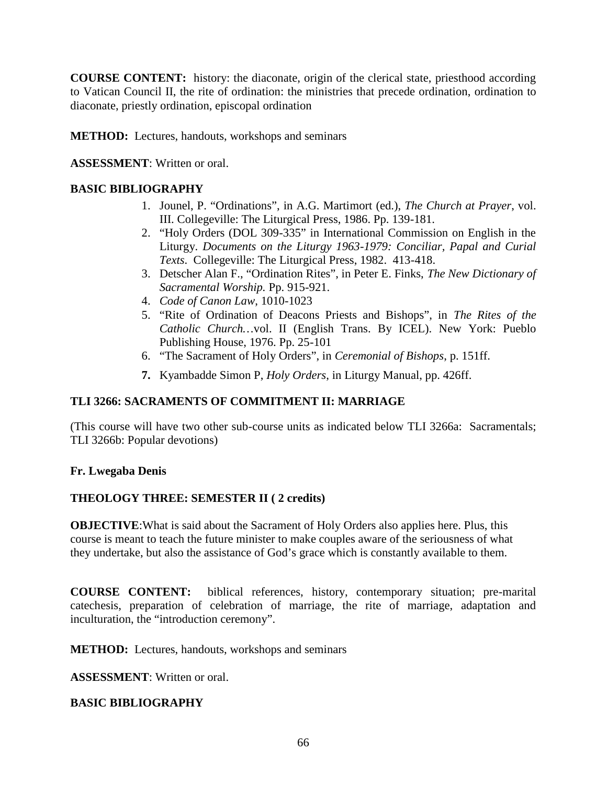**COURSE CONTENT:** history: the diaconate, origin of the clerical state, priesthood according to Vatican Council II, the rite of ordination: the ministries that precede ordination, ordination to diaconate, priestly ordination, episcopal ordination

**METHOD:** Lectures, handouts, workshops and seminars

**ASSESSMENT**: Written or oral.

# **BASIC BIBLIOGRAPHY**

- 1. Jounel, P. "Ordinations", in A.G. Martimort (ed.), *The Church at Prayer*, vol. III. Collegeville: The Liturgical Press, 1986. Pp. 139-181.
- 2. "Holy Orders (DOL 309-335" in International Commission on English in the Liturgy. *Documents on the Liturgy 1963-1979: Conciliar, Papal and Curial Texts*. Collegeville: The Liturgical Press, 1982. 413-418.
- 3. Detscher Alan F., "Ordination Rites", in Peter E. Finks, *The New Dictionary of Sacramental Worship.* Pp. 915-921.
- 4. *Code of Canon Law*, 1010-1023
- 5. "Rite of Ordination of Deacons Priests and Bishops", in *The Rites of the Catholic Church…*vol. II (English Trans. By ICEL). New York: Pueblo Publishing House, 1976. Pp. 25-101
- 6. "The Sacrament of Holy Orders", in *Ceremonial of Bishops*, p. 151ff.
- **7.** Kyambadde Simon P, *Holy Orders*, in Liturgy Manual, pp. 426ff.

# **TLI 3266: SACRAMENTS OF COMMITMENT II: MARRIAGE**

(This course will have two other sub-course units as indicated below TLI 3266a: Sacramentals; TLI 3266b: Popular devotions)

# **Fr. Lwegaba Denis**

# **THEOLOGY THREE: SEMESTER II ( 2 credits)**

**OBJECTIVE**:What is said about the Sacrament of Holy Orders also applies here. Plus, this course is meant to teach the future minister to make couples aware of the seriousness of what they undertake, but also the assistance of God's grace which is constantly available to them.

**COURSE CONTENT:** biblical references, history, contemporary situation; pre-marital catechesis, preparation of celebration of marriage, the rite of marriage, adaptation and inculturation, the "introduction ceremony".

**METHOD:** Lectures, handouts, workshops and seminars

**ASSESSMENT**: Written or oral.

# **BASIC BIBLIOGRAPHY**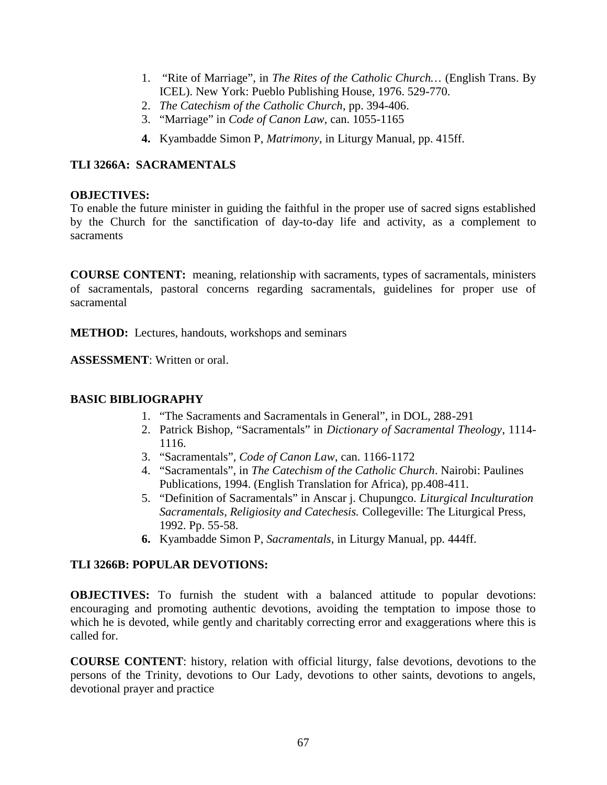- 1. "Rite of Marriage", in *The Rites of the Catholic Church…* (English Trans. By ICEL). New York: Pueblo Publishing House, 1976. 529-770.
- 2. *The Catechism of the Catholic Church*, pp. 394-406.
- 3. "Marriage" in *Code of Canon Law*, can. 1055-1165
- **4.** Kyambadde Simon P, *Matrimony*, in Liturgy Manual, pp. 415ff.

# **TLI 3266A: SACRAMENTALS**

### **OBJECTIVES:**

To enable the future minister in guiding the faithful in the proper use of sacred signs established by the Church for the sanctification of day-to-day life and activity, as a complement to sacraments

**COURSE CONTENT:** meaning, relationship with sacraments, types of sacramentals, ministers of sacramentals, pastoral concerns regarding sacramentals, guidelines for proper use of sacramental

**METHOD:** Lectures, handouts, workshops and seminars

**ASSESSMENT**: Written or oral.

# **BASIC BIBLIOGRAPHY**

- 1. "The Sacraments and Sacramentals in General", in DOL, 288-291
- 2. Patrick Bishop, "Sacramentals" in *Dictionary of Sacramental Theology*, 1114- 1116.
- 3. "Sacramentals", *Code of Canon Law*, can. 1166-1172
- 4. "Sacramentals", in *The Catechism of the Catholic Church*. Nairobi: Paulines Publications, 1994. (English Translation for Africa), pp.408-411.
- 5. "Definition of Sacramentals" in Anscar j. Chupungco. *Liturgical Inculturation Sacramentals, Religiosity and Catechesis.* Collegeville: The Liturgical Press, 1992. Pp. 55-58.
- **6.** Kyambadde Simon P, *Sacramentals*, in Liturgy Manual, pp. 444ff.

# **TLI 3266B: POPULAR DEVOTIONS:**

**OBJECTIVES:** To furnish the student with a balanced attitude to popular devotions: encouraging and promoting authentic devotions, avoiding the temptation to impose those to which he is devoted, while gently and charitably correcting error and exaggerations where this is called for.

**COURSE CONTENT**: history, relation with official liturgy, false devotions, devotions to the persons of the Trinity, devotions to Our Lady, devotions to other saints, devotions to angels, devotional prayer and practice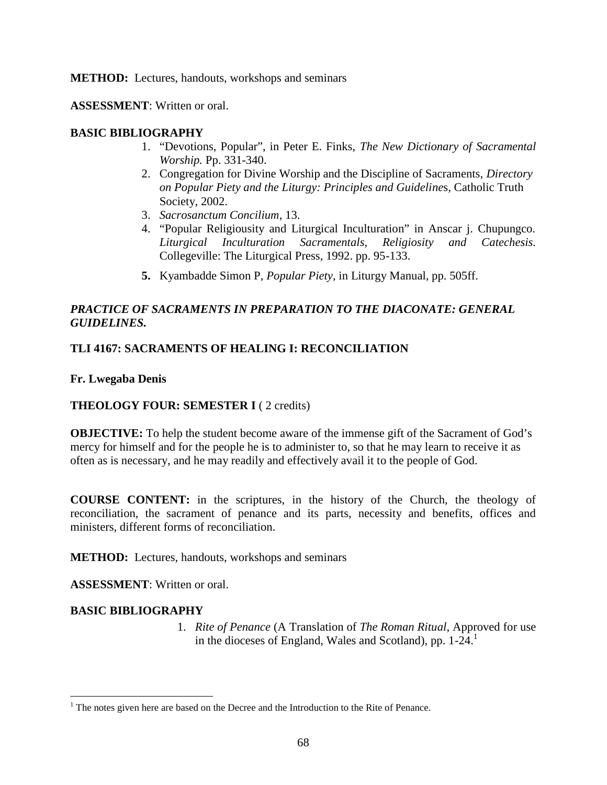**METHOD:** Lectures, handouts, workshops and seminars

**ASSESSMENT**: Written or oral.

### **BASIC BIBLIOGRAPHY**

- 1. "Devotions, Popular", in Peter E. Finks, *The New Dictionary of Sacramental Worship.* Pp. 331-340.
- 2. Congregation for Divine Worship and the Discipline of Sacraments, *Directory on Popular Piety and the Liturgy: Principles and Guideline*s, Catholic Truth Society, 2002.
- 3. *Sacrosanctum Concilium*, 13.
- 4. "Popular Religiousity and Liturgical Inculturation" in Anscar j. Chupungco. *Liturgical Inculturation Sacramentals, Religiosity and Catechesis.* Collegeville: The Liturgical Press, 1992. pp. 95-133.
- **5.** Kyambadde Simon P, *Popular Piety*, in Liturgy Manual, pp. 505ff.

# *PRACTICE OF SACRAMENTS IN PREPARATION TO THE DIACONATE: GENERAL GUIDELINES.*

### **TLI 4167: SACRAMENTS OF HEALING I: RECONCILIATION**

**Fr. Lwegaba Denis**

#### **THEOLOGY FOUR: SEMESTER I** ( 2 credits)

**OBJECTIVE:** To help the student become aware of the immense gift of the Sacrament of God's mercy for himself and for the people he is to administer to, so that he may learn to receive it as often as is necessary, and he may readily and effectively avail it to the people of God.

**COURSE CONTENT:** in the scriptures, in the history of the Church, the theology of reconciliation, the sacrament of penance and its parts, necessity and benefits, offices and ministers, different forms of reconciliation.

**METHOD:** Lectures, handouts, workshops and seminars

**ASSESSMENT**: Written or oral.

# **BASIC BIBLIOGRAPHY**

1. *Rite of Penance* (A Translation of *The Roman Ritual*, Approved for use in the dioceses of England, Wales and Scotland), pp.  $1-24$ <sup>1</sup>

 $1$  The notes given here are based on the Decree and the Introduction to the Rite of Penance.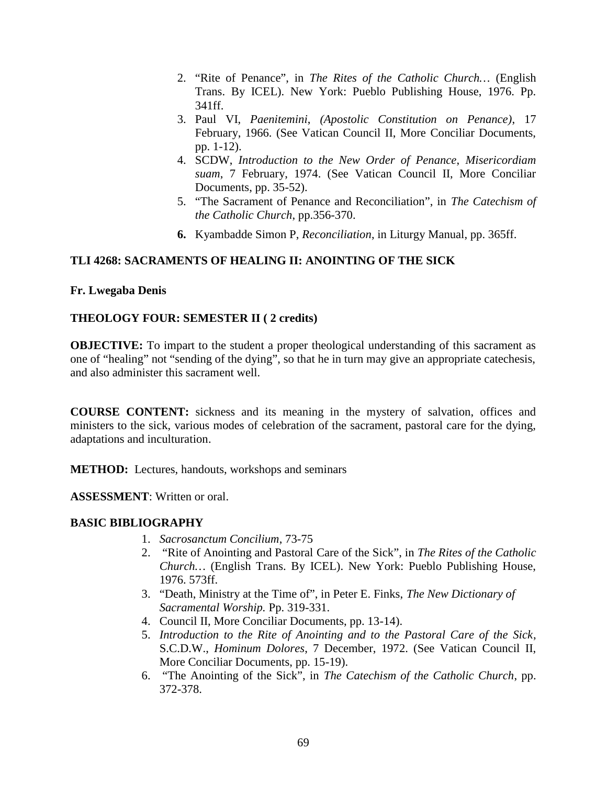- 2. "Rite of Penance", in *The Rites of the Catholic Church…* (English Trans. By ICEL). New York: Pueblo Publishing House, 1976. Pp. 341ff.
- 3. Paul VI, *Paenitemini*, *(Apostolic Constitution on Penance)*, 17 February, 1966. (See Vatican Council II, More Conciliar Documents, pp. 1-12).
- 4. SCDW, *Introduction to the New Order of Penance*, *Misericordiam suam*, 7 February, 1974. (See Vatican Council II, More Conciliar Documents, pp. 35-52).
- 5. "The Sacrament of Penance and Reconciliation", in *The Catechism of the Catholic Church*, pp.356-370.
- **6.** Kyambadde Simon P, *Reconciliation*, in Liturgy Manual, pp. 365ff.

# **TLI 4268: SACRAMENTS OF HEALING II: ANOINTING OF THE SICK**

### **Fr. Lwegaba Denis**

# **THEOLOGY FOUR: SEMESTER II ( 2 credits)**

**OBJECTIVE:** To impart to the student a proper theological understanding of this sacrament as one of "healing" not "sending of the dying", so that he in turn may give an appropriate catechesis, and also administer this sacrament well.

**COURSE CONTENT:** sickness and its meaning in the mystery of salvation, offices and ministers to the sick, various modes of celebration of the sacrament, pastoral care for the dying, adaptations and inculturation.

**METHOD:** Lectures, handouts, workshops and seminars

**ASSESSMENT**: Written or oral.

# **BASIC BIBLIOGRAPHY**

- 1. *Sacrosanctum Concilium*, 73-75
- 2. "Rite of Anointing and Pastoral Care of the Sick", in *The Rites of the Catholic Church…* (English Trans. By ICEL). New York: Pueblo Publishing House, 1976. 573ff.
- 3. "Death, Ministry at the Time of", in Peter E. Finks, *The New Dictionary of Sacramental Worship.* Pp. 319-331.
- 4. Council II, More Conciliar Documents, pp. 13-14).
- 5. *Introduction to the Rite of Anointing and to the Pastoral Care of the Sick*, S.C.D.W., *Hominum Dolores*, 7 December, 1972. (See Vatican Council II, More Conciliar Documents, pp. 15-19).
- 6. "The Anointing of the Sick", in *The Catechism of the Catholic Church*, pp. 372-378.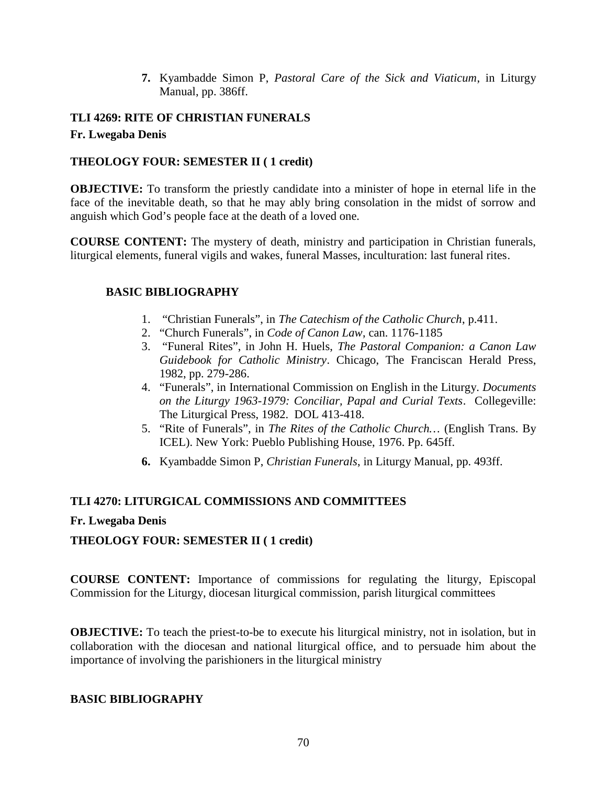**7.** Kyambadde Simon P, *Pastoral Care of the Sick and Viaticum*, in Liturgy Manual, pp. 386ff.

# **TLI 4269: RITE OF CHRISTIAN FUNERALS Fr. Lwegaba Denis**

### **THEOLOGY FOUR: SEMESTER II ( 1 credit)**

**OBJECTIVE:** To transform the priestly candidate into a minister of hope in eternal life in the face of the inevitable death, so that he may ably bring consolation in the midst of sorrow and anguish which God's people face at the death of a loved one.

**COURSE CONTENT:** The mystery of death, ministry and participation in Christian funerals, liturgical elements, funeral vigils and wakes, funeral Masses, inculturation: last funeral rites.

# **BASIC BIBLIOGRAPHY**

- 1. "Christian Funerals", in *The Catechism of the Catholic Church*, p.411.
- 2. "Church Funerals", in *Code of Canon Law*, can. 1176-1185
- 3. "Funeral Rites", in John H. Huels, *The Pastoral Companion: a Canon Law Guidebook for Catholic Ministry*. Chicago, The Franciscan Herald Press, 1982, pp. 279-286.
- 4. "Funerals", in International Commission on English in the Liturgy. *Documents on the Liturgy 1963-1979: Conciliar, Papal and Curial Texts*. Collegeville: The Liturgical Press, 1982. DOL 413-418.
- 5. "Rite of Funerals", in *The Rites of the Catholic Church…* (English Trans. By ICEL). New York: Pueblo Publishing House, 1976. Pp. 645ff.
- **6.** Kyambadde Simon P, *Christian Funerals*, in Liturgy Manual, pp. 493ff.

# **TLI 4270: LITURGICAL COMMISSIONS AND COMMITTEES**

#### **Fr. Lwegaba Denis**

# **THEOLOGY FOUR: SEMESTER II ( 1 credit)**

**COURSE CONTENT:** Importance of commissions for regulating the liturgy, Episcopal Commission for the Liturgy, diocesan liturgical commission, parish liturgical committees

**OBJECTIVE:** To teach the priest-to-be to execute his liturgical ministry, not in isolation, but in collaboration with the diocesan and national liturgical office, and to persuade him about the importance of involving the parishioners in the liturgical ministry

#### **BASIC BIBLIOGRAPHY**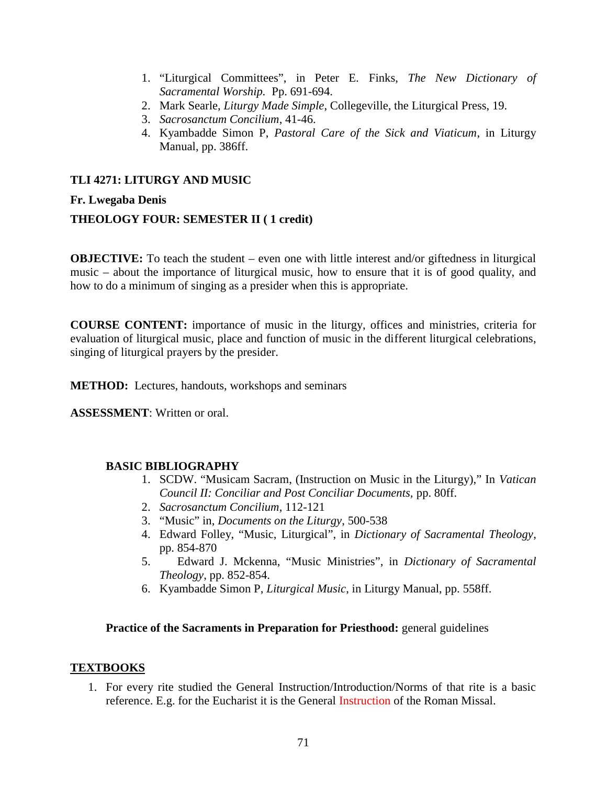- 1. "Liturgical Committees", in Peter E. Finks, *The New Dictionary of Sacramental Worship.* Pp. 691-694.
- 2. Mark Searle, *Liturgy Made Simple*, Collegeville, the Liturgical Press, 19.
- 3. *Sacrosanctum Concilium*, 41-46.
- 4. Kyambadde Simon P, *Pastoral Care of the Sick and Viaticum*, in Liturgy Manual, pp. 386ff.

# **TLI 4271: LITURGY AND MUSIC**

# **Fr. Lwegaba Denis**

# **THEOLOGY FOUR: SEMESTER II ( 1 credit)**

**OBJECTIVE:** To teach the student – even one with little interest and/or giftedness in liturgical music – about the importance of liturgical music, how to ensure that it is of good quality, and how to do a minimum of singing as a presider when this is appropriate.

**COURSE CONTENT:** importance of music in the liturgy, offices and ministries, criteria for evaluation of liturgical music, place and function of music in the different liturgical celebrations, singing of liturgical prayers by the presider.

**METHOD:** Lectures, handouts, workshops and seminars

**ASSESSMENT**: Written or oral.

# **BASIC BIBLIOGRAPHY**

- 1. SCDW. "Musicam Sacram, (Instruction on Music in the Liturgy)," In *Vatican Council II: Conciliar and Post Conciliar Documents,* pp. 80ff.
- 2. *Sacrosanctum Concilium*, 112-121
- 3. "Music" in, *Documents on the Liturgy*, 500-538
- 4. Edward Folley, "Music, Liturgical", in *Dictionary of Sacramental Theology*, pp. 854-870
- 5. Edward J. Mckenna, "Music Ministries", in *Dictionary of Sacramental Theology*, pp. 852-854.
- 6. Kyambadde Simon P, *Liturgical Music*, in Liturgy Manual, pp. 558ff.

#### **Practice of the Sacraments in Preparation for Priesthood:** general guidelines

# **TEXTBOOKS**

1. For every rite studied the General Instruction/Introduction/Norms of that rite is a basic reference. E.g. for the Eucharist it is the General Instruction of the Roman Missal.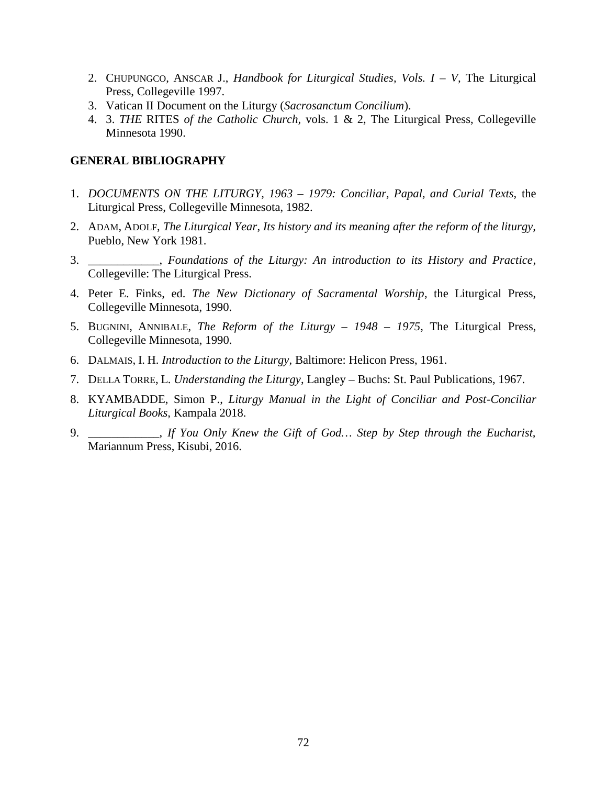- 2. CHUPUNGCO, ANSCAR J., *Handbook for Liturgical Studies, Vols. I – V,* The Liturgical Press, Collegeville 1997.
- 3. Vatican II Document on the Liturgy (*Sacrosanctum Concilium*).
- 4. 3. *THE* RITES *of the Catholic Church,* vols. 1 & 2, The Liturgical Press, Collegeville Minnesota 1990.

### **GENERAL BIBLIOGRAPHY**

- 1. *DOCUMENTS ON THE LITURGY, 1963 – 1979: Conciliar, Papal, and Curial Texts,* the Liturgical Press, Collegeville Minnesota, 1982.
- 2. ADAM, ADOLF, *The Liturgical Year*, *Its history and its meaning after the reform of the liturgy,* Pueblo, New York 1981.
- 3. \_\_\_\_\_\_\_\_\_\_\_\_, *Foundations of the Liturgy: An introduction to its History and Practice,* Collegeville: The Liturgical Press.
- 4. Peter E. Finks, ed. *The New Dictionary of Sacramental Worship*, the Liturgical Press, Collegeville Minnesota, 1990.
- 5. BUGNINI, ANNIBALE, *The Reform of the Liturgy – 1948 – 1975,* The Liturgical Press, Collegeville Minnesota, 1990.
- 6. DALMAIS, I. H. *Introduction to the Liturgy*, Baltimore: Helicon Press, 1961.
- 7. DELLA TORRE, L. *Understanding the Liturgy*, Langley Buchs: St. Paul Publications, 1967.
- 8. KYAMBADDE, Simon P., *Liturgy Manual in the Light of Conciliar and Post-Conciliar Liturgical Books,* Kampala 2018.
- 9. \_\_\_\_\_\_\_\_\_\_\_\_, *If You Only Knew the Gift of God… Step by Step through the Eucharist,* Mariannum Press, Kisubi, 2016.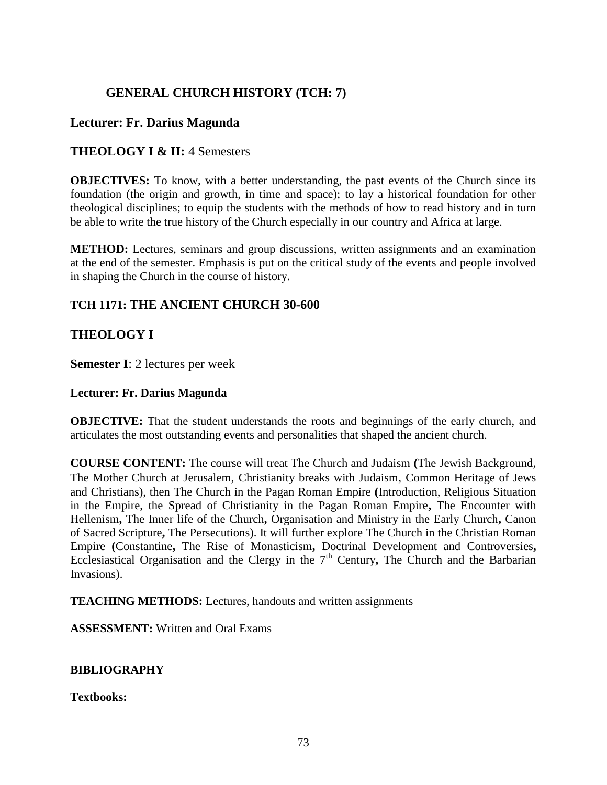# **GENERAL CHURCH HISTORY (TCH: 7)**

## **Lecturer: Fr. Darius Magunda**

## **THEOLOGY I & II:** 4 Semesters

**OBJECTIVES:** To know, with a better understanding, the past events of the Church since its foundation (the origin and growth, in time and space); to lay a historical foundation for other theological disciplines; to equip the students with the methods of how to read history and in turn be able to write the true history of the Church especially in our country and Africa at large.

**METHOD:** Lectures, seminars and group discussions, written assignments and an examination at the end of the semester. Emphasis is put on the critical study of the events and people involved in shaping the Church in the course of history.

## **TCH 1171: THE ANCIENT CHURCH 30-600**

## **THEOLOGY I**

**Semester I**: 2 lectures per week

### **Lecturer: Fr. Darius Magunda**

**OBJECTIVE:** That the student understands the roots and beginnings of the early church, and articulates the most outstanding events and personalities that shaped the ancient church.

**COURSE CONTENT:** The course will treat The Church and Judaism **(**The Jewish Background, The Mother Church at Jerusalem, Christianity breaks with Judaism, Common Heritage of Jews and Christians), then The Church in the Pagan Roman Empire **(**Introduction, Religious Situation in the Empire, the Spread of Christianity in the Pagan Roman Empire**,** The Encounter with Hellenism**,** The Inner life of the Church**,** Organisation and Ministry in the Early Church**,** Canon of Sacred Scripture**,** The Persecutions). It will further explore The Church in the Christian Roman Empire **(**Constantine**,** The Rise of Monasticism**,** Doctrinal Development and Controversies**,** Ecclesiastical Organisation and the Clergy in the 7<sup>th</sup> Century, The Church and the Barbarian Invasions).

**TEACHING METHODS:** Lectures, handouts and written assignments

**ASSESSMENT:** Written and Oral Exams

### **BIBLIOGRAPHY**

**Textbooks:**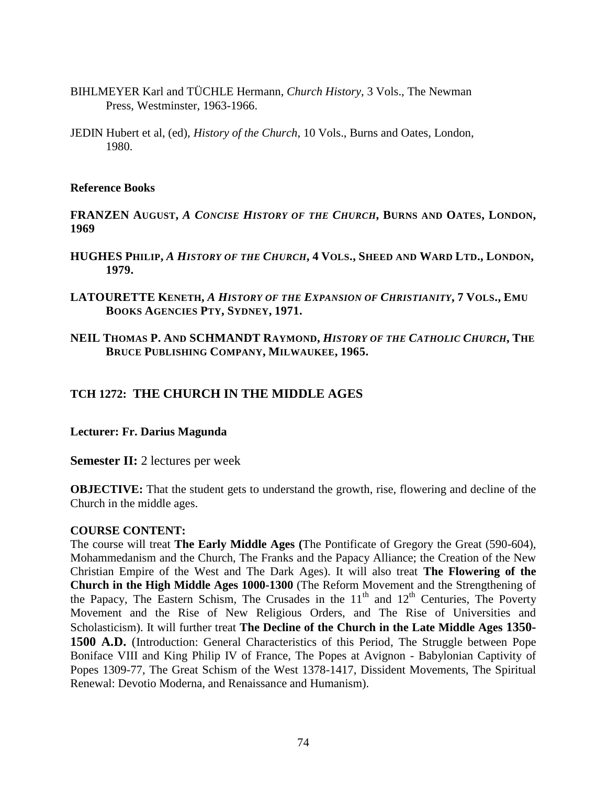- BIHLMEYER Karl and TÜCHLE Hermann, *Church History*, 3 Vols., The Newman Press, Westminster, 1963-1966.
- JEDIN Hubert et al, (ed), *History of the Church*, 10 Vols., Burns and Oates, London, 1980.

#### **Reference Books**

**FRANZEN AUGUST,** *A CONCISE HISTORY OF THE CHURCH***, BURNS AND OATES, LONDON, 1969**

- HUGHES PHILIP, A HISTORY OF THE CHURCH, 4 VOLS., SHEED AND WARD LTD., LONDON, **1979.**
- **LATOURETTE KENETH,** *A HISTORY OF THE EXPANSION OF CHRISTIANITY***, 7 VOLS., EMU BOOKS AGENCIES PTY, SYDNEY, 1971.**
- **NEIL THOMAS P. AND SCHMANDT RAYMOND,** *HISTORY OF THE CATHOLIC CHURCH***, THE BRUCE PUBLISHING COMPANY, MILWAUKEE, 1965.**

## **TCH 1272: THE CHURCH IN THE MIDDLE AGES**

### **Lecturer: Fr. Darius Magunda**

**Semester II:** 2 lectures per week

**OBJECTIVE:** That the student gets to understand the growth, rise, flowering and decline of the Church in the middle ages.

#### **COURSE CONTENT:**

The course will treat **The Early Middle Ages (**The Pontificate of Gregory the Great (590-604), Mohammedanism and the Church, The Franks and the Papacy Alliance; the Creation of the New Christian Empire of the West and The Dark Ages). It will also treat **The Flowering of the Church in the High Middle Ages 1000-1300** (The Reform Movement and the Strengthening of the Papacy, The Eastern Schism, The Crusades in the  $11<sup>th</sup>$  and  $12<sup>th</sup>$  Centuries, The Poverty Movement and the Rise of New Religious Orders, and The Rise of Universities and Scholasticism). It will further treat **The Decline of the Church in the Late Middle Ages 1350- 1500 A.D.** (Introduction: General Characteristics of this Period, The Struggle between Pope Boniface VIII and King Philip IV of France, The Popes at Avignon - Babylonian Captivity of Popes 1309-77, The Great Schism of the West 1378-1417, Dissident Movements, The Spiritual Renewal: Devotio Moderna, and Renaissance and Humanism).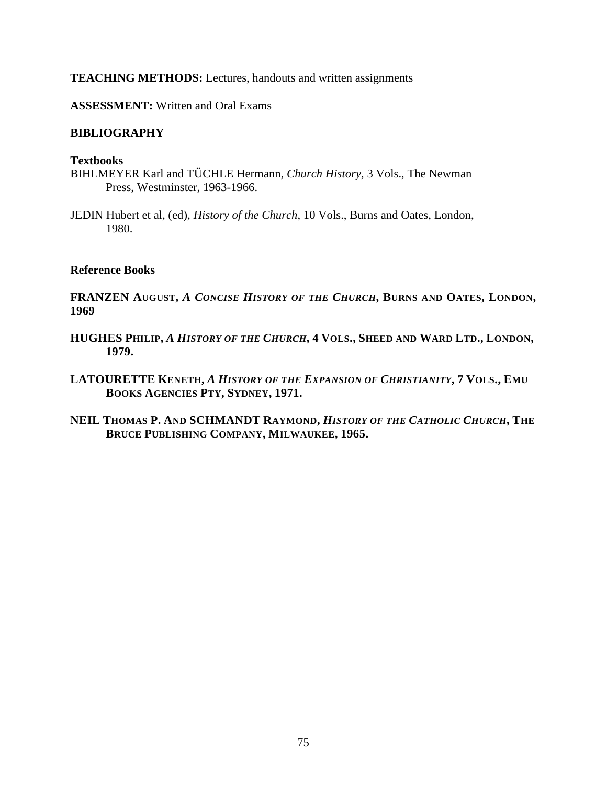### **TEACHING METHODS:** Lectures, handouts and written assignments

**ASSESSMENT:** Written and Oral Exams

### **BIBLIOGRAPHY**

#### **Textbooks**

- BIHLMEYER Karl and TÜCHLE Hermann, *Church History*, 3 Vols., The Newman Press, Westminster, 1963-1966.
- JEDIN Hubert et al, (ed), *History of the Church*, 10 Vols., Burns and Oates, London, 1980.

#### **Reference Books**

**FRANZEN AUGUST,** *A CONCISE HISTORY OF THE CHURCH***, BURNS AND OATES, LONDON, 1969**

- HUGHES PHILIP, A HISTORY OF THE CHURCH, 4 VOLS., SHEED AND WARD LTD., LONDON, **1979.**
- **LATOURETTE KENETH,** *A HISTORY OF THE EXPANSION OF CHRISTIANITY***, 7 VOLS., EMU BOOKS AGENCIES PTY, SYDNEY, 1971.**
- **NEIL THOMAS P. AND SCHMANDT RAYMOND,** *HISTORY OF THE CATHOLIC CHURCH***, THE BRUCE PUBLISHING COMPANY, MILWAUKEE, 1965.**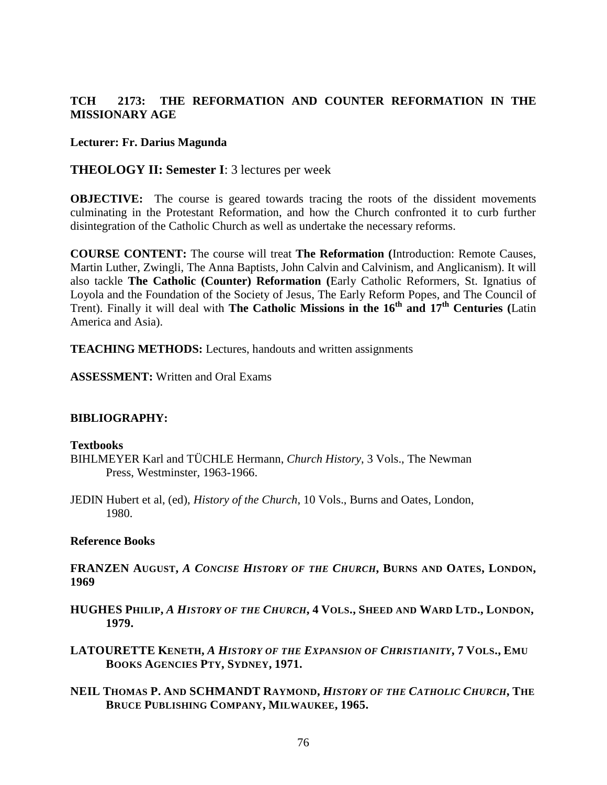## **TCH 2173: THE REFORMATION AND COUNTER REFORMATION IN THE MISSIONARY AGE**

### **Lecturer: Fr. Darius Magunda**

## **THEOLOGY II: Semester I**: 3 lectures per week

**OBJECTIVE:** The course is geared towards tracing the roots of the dissident movements culminating in the Protestant Reformation, and how the Church confronted it to curb further disintegration of the Catholic Church as well as undertake the necessary reforms.

**COURSE CONTENT:** The course will treat **The Reformation (**Introduction: Remote Causes, Martin Luther, Zwingli, The Anna Baptists, John Calvin and Calvinism, and Anglicanism). It will also tackle **The Catholic (Counter) Reformation (**Early Catholic Reformers, St. Ignatius of Loyola and the Foundation of the Society of Jesus, The Early Reform Popes, and The Council of Trent). Finally it will deal with **The Catholic Missions in the 16th and 17th Centuries (**Latin America and Asia).

**TEACHING METHODS:** Lectures, handouts and written assignments

**ASSESSMENT:** Written and Oral Exams

### **BIBLIOGRAPHY:**

#### **Textbooks**

- BIHLMEYER Karl and TÜCHLE Hermann, *Church History*, 3 Vols., The Newman Press, Westminster, 1963-1966.
- JEDIN Hubert et al, (ed), *History of the Church*, 10 Vols., Burns and Oates, London, 1980.

### **Reference Books**

**FRANZEN AUGUST,** *A CONCISE HISTORY OF THE CHURCH***, BURNS AND OATES, LONDON, 1969**

- HUGHES PHILIP, A HISTORY OF THE CHURCH, 4 VOLS., SHEED AND WARD LTD., LONDON, **1979.**
- **LATOURETTE KENETH,** *A HISTORY OF THE EXPANSION OF CHRISTIANITY***, 7 VOLS., EMU BOOKS AGENCIES PTY, SYDNEY, 1971.**
- **NEIL THOMAS P. AND SCHMANDT RAYMOND,** *HISTORY OF THE CATHOLIC CHURCH***, THE BRUCE PUBLISHING COMPANY, MILWAUKEE, 1965.**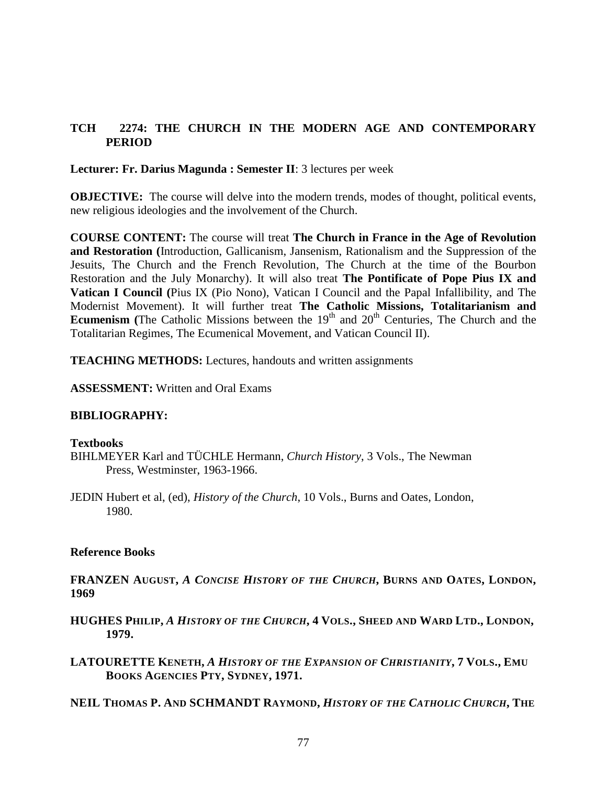## **TCH 2274: THE CHURCH IN THE MODERN AGE AND CONTEMPORARY PERIOD**

**Lecturer: Fr. Darius Magunda : Semester II**: 3 lectures per week

**OBJECTIVE:** The course will delve into the modern trends, modes of thought, political events, new religious ideologies and the involvement of the Church.

**COURSE CONTENT:** The course will treat **The Church in France in the Age of Revolution and Restoration (**Introduction, Gallicanism, Jansenism, Rationalism and the Suppression of the Jesuits, The Church and the French Revolution, The Church at the time of the Bourbon Restoration and the July Monarchy). It will also treat **The Pontificate of Pope Pius IX and Vatican I Council (**Pius IX (Pio Nono), Vatican I Council and the Papal Infallibility, and The Modernist Movement). It will further treat **The Catholic Missions, Totalitarianism and Ecumenism** (The Catholic Missions between the  $19<sup>th</sup>$  and  $20<sup>th</sup>$  Centuries, The Church and the Totalitarian Regimes, The Ecumenical Movement, and Vatican Council II).

**TEACHING METHODS:** Lectures, handouts and written assignments

**ASSESSMENT:** Written and Oral Exams

### **BIBLIOGRAPHY:**

#### **Textbooks**

- BIHLMEYER Karl and TÜCHLE Hermann, *Church History*, 3 Vols., The Newman Press, Westminster, 1963-1966.
- JEDIN Hubert et al, (ed), *History of the Church*, 10 Vols., Burns and Oates, London, 1980.

### **Reference Books**

**FRANZEN AUGUST,** *A CONCISE HISTORY OF THE CHURCH***, BURNS AND OATES, LONDON, 1969**

- HUGHES PHILIP, A HISTORY OF THE CHURCH, 4 VOLS., SHEED AND WARD LTD., LONDON, **1979.**
- **LATOURETTE KENETH,** *A HISTORY OF THE EXPANSION OF CHRISTIANITY***, 7 VOLS., EMU BOOKS AGENCIES PTY, SYDNEY, 1971.**

**NEIL THOMAS P. AND SCHMANDT RAYMOND,** *HISTORY OF THE CATHOLIC CHURCH***, THE**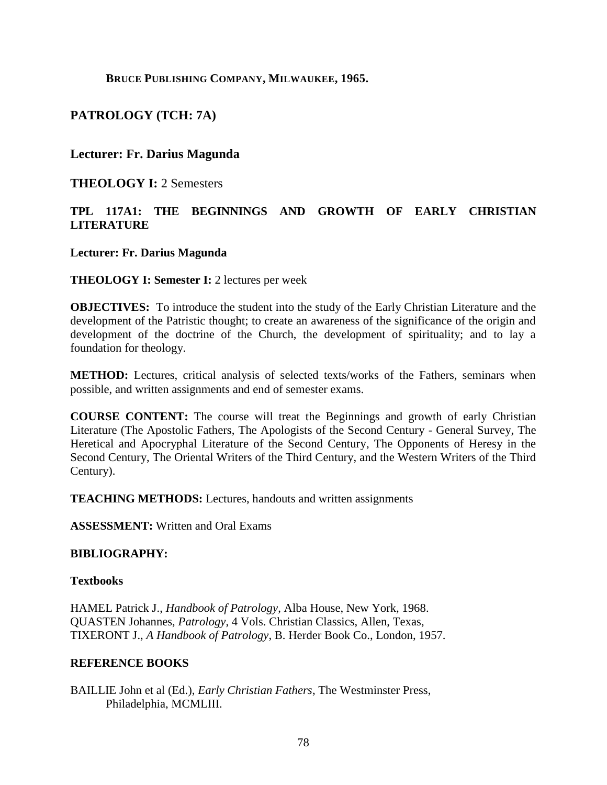**BRUCE PUBLISHING COMPANY, MILWAUKEE, 1965.**

## **PATROLOGY (TCH: 7A)**

## **Lecturer: Fr. Darius Magunda**

**THEOLOGY I:** 2 Semesters

## **TPL 117A1: THE BEGINNINGS AND GROWTH OF EARLY CHRISTIAN LITERATURE**

### **Lecturer: Fr. Darius Magunda**

**THEOLOGY I: Semester I:** 2 lectures per week

**OBJECTIVES:** To introduce the student into the study of the Early Christian Literature and the development of the Patristic thought; to create an awareness of the significance of the origin and development of the doctrine of the Church, the development of spirituality; and to lay a foundation for theology.

**METHOD:** Lectures, critical analysis of selected texts/works of the Fathers, seminars when possible, and written assignments and end of semester exams.

**COURSE CONTENT:** The course will treat the Beginnings and growth of early Christian Literature (The Apostolic Fathers, The Apologists of the Second Century - General Survey, The Heretical and Apocryphal Literature of the Second Century, The Opponents of Heresy in the Second Century, The Oriental Writers of the Third Century, and the Western Writers of the Third Century).

**TEACHING METHODS:** Lectures, handouts and written assignments

**ASSESSMENT:** Written and Oral Exams

### **BIBLIOGRAPHY:**

### **Textbooks**

HAMEL Patrick J., *Handbook of Patrology*, Alba House, New York, 1968. QUASTEN Johannes, *Patrology*, 4 Vols. Christian Classics, Allen, Texas, TIXERONT J., *A Handbook of Patrology*, B. Herder Book Co., London, 1957.

### **REFERENCE BOOKS**

BAILLIE John et al (Ed.), *Early Christian Fathers*, The Westminster Press, Philadelphia, MCMLIII.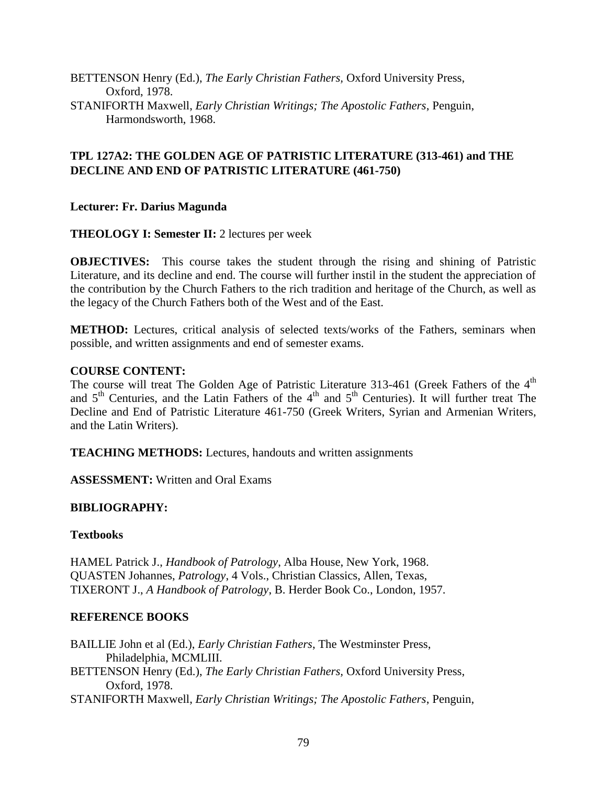BETTENSON Henry (Ed.), *The Early Christian Fathers,* Oxford University Press, Oxford, 1978. STANIFORTH Maxwell, *Early Christian Writings; The Apostolic Fathers*, Penguin, Harmondsworth, 1968.

## **TPL 127A2: THE GOLDEN AGE OF PATRISTIC LITERATURE (313-461) and THE DECLINE AND END OF PATRISTIC LITERATURE (461-750)**

## **Lecturer: Fr. Darius Magunda**

## **THEOLOGY I: Semester II:** 2 lectures per week

**OBJECTIVES:** This course takes the student through the rising and shining of Patristic Literature, and its decline and end. The course will further instil in the student the appreciation of the contribution by the Church Fathers to the rich tradition and heritage of the Church, as well as the legacy of the Church Fathers both of the West and of the East.

**METHOD:** Lectures, critical analysis of selected texts/works of the Fathers, seminars when possible, and written assignments and end of semester exams.

## **COURSE CONTENT:**

The course will treat The Golden Age of Patristic Literature 313-461 (Greek Fathers of the  $4<sup>th</sup>$ and  $5<sup>th</sup>$  Centuries, and the Latin Fathers of the  $4<sup>th</sup>$  and  $5<sup>th</sup>$  Centuries). It will further treat The Decline and End of Patristic Literature 461-750 (Greek Writers, Syrian and Armenian Writers, and the Latin Writers).

**TEACHING METHODS:** Lectures, handouts and written assignments

**ASSESSMENT:** Written and Oral Exams

## **BIBLIOGRAPHY:**

## **Textbooks**

HAMEL Patrick J., *Handbook of Patrology*, Alba House, New York, 1968. QUASTEN Johannes, *Patrology*, 4 Vols., Christian Classics, Allen, Texas, TIXERONT J., *A Handbook of Patrology*, B. Herder Book Co., London, 1957.

## **REFERENCE BOOKS**

BAILLIE John et al (Ed.), *Early Christian Fathers*, The Westminster Press, Philadelphia, MCMLIII.

BETTENSON Henry (Ed.), *The Early Christian Fathers,* Oxford University Press, Oxford, 1978.

STANIFORTH Maxwell, *Early Christian Writings; The Apostolic Fathers*, Penguin,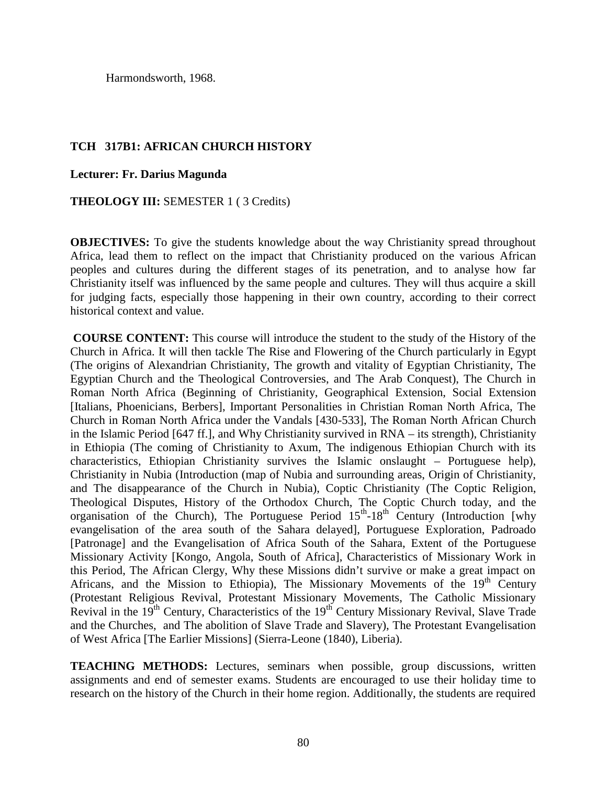Harmondsworth, 1968.

## **TCH 317B1: AFRICAN CHURCH HISTORY**

**Lecturer: Fr. Darius Magunda**

**THEOLOGY III:** SEMESTER 1 ( 3 Credits)

**OBJECTIVES:** To give the students knowledge about the way Christianity spread throughout Africa, lead them to reflect on the impact that Christianity produced on the various African peoples and cultures during the different stages of its penetration, and to analyse how far Christianity itself was influenced by the same people and cultures. They will thus acquire a skill for judging facts, especially those happening in their own country, according to their correct historical context and value.

**COURSE CONTENT:** This course will introduce the student to the study of the History of the Church in Africa. It will then tackle The Rise and Flowering of the Church particularly in Egypt (The origins of Alexandrian Christianity, The growth and vitality of Egyptian Christianity, The Egyptian Church and the Theological Controversies, and The Arab Conquest), The Church in Roman North Africa (Beginning of Christianity, Geographical Extension, Social Extension [Italians, Phoenicians, Berbers], Important Personalities in Christian Roman North Africa, The Church in Roman North Africa under the Vandals [430-533], The Roman North African Church in the Islamic Period [647 ff.], and Why Christianity survived in RNA – its strength), Christianity in Ethiopia (The coming of Christianity to Axum, The indigenous Ethiopian Church with its characteristics, Ethiopian Christianity survives the Islamic onslaught – Portuguese help), Christianity in Nubia (Introduction (map of Nubia and surrounding areas, Origin of Christianity, and The disappearance of the Church in Nubia), Coptic Christianity (The Coptic Religion, Theological Disputes, History of the Orthodox Church, The Coptic Church today, and the organisation of the Church), The Portuguese Period  $15<sup>th</sup>$ -18<sup>th</sup> Century (Introduction [why evangelisation of the area south of the Sahara delayed], Portuguese Exploration, Padroado [Patronage] and the Evangelisation of Africa South of the Sahara, Extent of the Portuguese Missionary Activity [Kongo, Angola, South of Africa], Characteristics of Missionary Work in this Period, The African Clergy, Why these Missions didn't survive or make a great impact on Africans, and the Mission to Ethiopia), The Missionary Movements of the  $19<sup>th</sup>$  Century (Protestant Religious Revival, Protestant Missionary Movements, The Catholic Missionary Revival in the  $19<sup>th</sup>$  Century, Characteristics of the  $19<sup>th</sup>$  Century Missionary Revival, Slave Trade and the Churches, and The abolition of Slave Trade and Slavery), The Protestant Evangelisation of West Africa [The Earlier Missions] (Sierra-Leone (1840), Liberia).

**TEACHING METHODS:** Lectures, seminars when possible, group discussions, written assignments and end of semester exams. Students are encouraged to use their holiday time to research on the history of the Church in their home region. Additionally, the students are required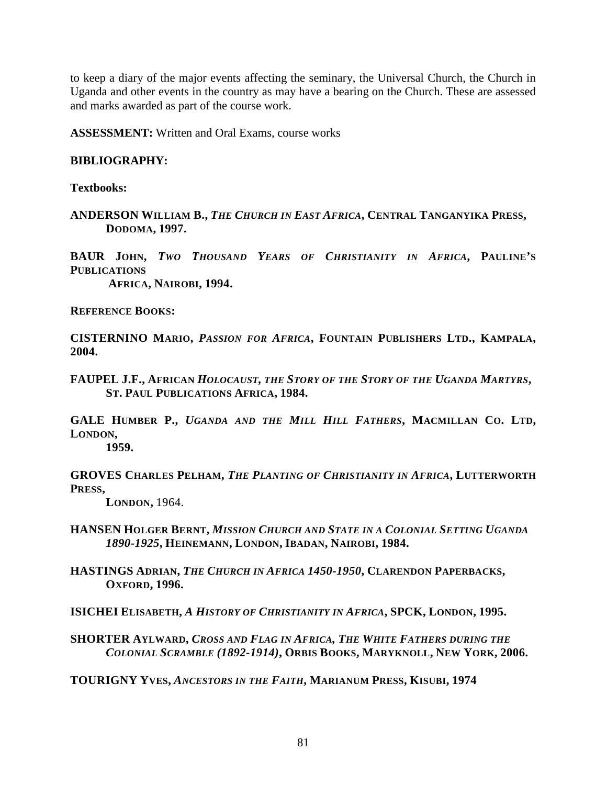to keep a diary of the major events affecting the seminary, the Universal Church, the Church in Uganda and other events in the country as may have a bearing on the Church. These are assessed and marks awarded as part of the course work.

**ASSESSMENT:** Written and Oral Exams, course works

## **BIBLIOGRAPHY:**

**Textbooks:**

**ANDERSON WILLIAM B.,** *THE CHURCH IN EAST AFRICA***, CENTRAL TANGANYIKA PRESS, DODOMA, 1997.**

**BAUR JOHN,** *TWO THOUSAND YEARS OF CHRISTIANITY IN AFRICA***, PAULINE'S PUBLICATIONS AFRICA, NAIROBI, 1994.**

**REFERENCE BOOKS:**

**CISTERNINO MARIO,** *PASSION FOR AFRICA***, FOUNTAIN PUBLISHERS LTD., KAMPALA, 2004.**

**FAUPEL J.F., AFRICAN** *HOLOCAUST, THE STORY OF THE STORY OF THE UGANDA MARTYRS***, ST. PAUL PUBLICATIONS AFRICA, 1984.**

**GALE HUMBER P.,** *UGANDA AND THE MILL HILL FATHERS***, MACMILLAN CO. LTD, LONDON,**

**1959.**

**GROVES CHARLES PELHAM,** *THE PLANTING OF CHRISTIANITY IN AFRICA***, LUTTERWORTH <sup>P</sup>RESS,LONDON,** 1964.

**HANSEN HOLGER BERNT,** *MISSION CHURCH AND STATE IN A COLONIAL SETTING UGANDA 1890-1925***, HEINEMANN, LONDON, IBADAN, NAIROBI, 1984.**

**HASTINGS ADRIAN,** *THE CHURCH IN AFRICA 1450-1950***, CLARENDON PAPERBACKS, OXFORD, 1996.**

**ISICHEI ELISABETH,** *A HISTORY OF CHRISTIANITY IN AFRICA***, SPCK, LONDON, 1995.**

**SHORTER AYLWARD,** *CROSS AND FLAG IN AFRICA, THE WHITE FATHERS DURING THE COLONIAL SCRAMBLE (1892-1914)***, ORBIS BOOKS, MARYKNOLL, NEW YORK, 2006.**

**TOURIGNY YVES,** *ANCESTORS IN THE FAITH***, MARIANUM PRESS, KISUBI, 1974**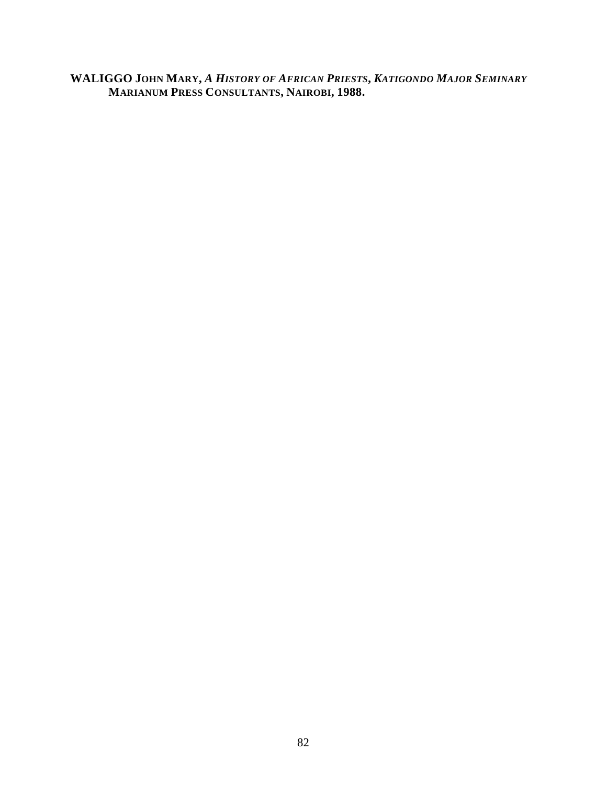**WALIGGO JOHN MARY,** *A HISTORY OF AFRICAN PRIESTS***,** *KATIGONDO MAJOR SEMINARY* **MARIANUM PRESS CONSULTANTS, NAIROBI, 1988.**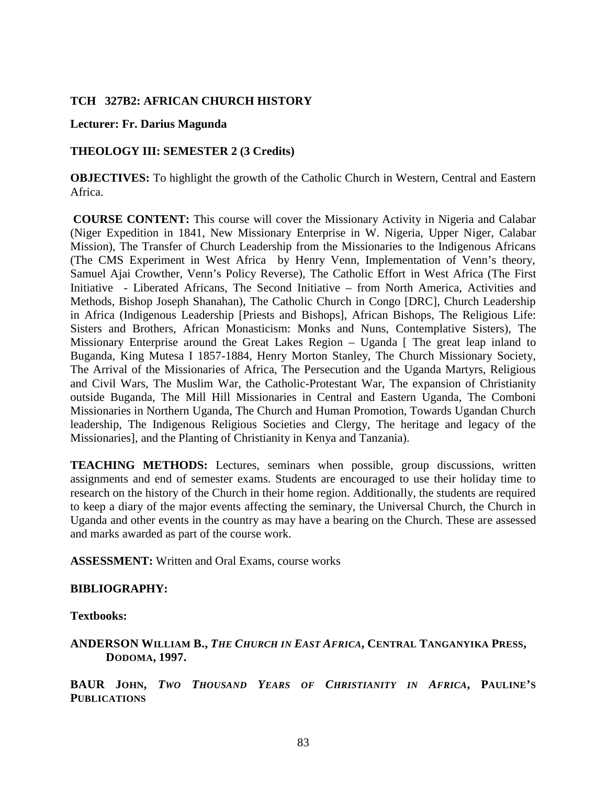### **TCH 327B2: AFRICAN CHURCH HISTORY**

#### **Lecturer: Fr. Darius Magunda**

### **THEOLOGY III: SEMESTER 2 (3 Credits)**

**OBJECTIVES:** To highlight the growth of the Catholic Church in Western, Central and Eastern Africa.

**COURSE CONTENT:** This course will cover the Missionary Activity in Nigeria and Calabar (Niger Expedition in 1841, New Missionary Enterprise in W. Nigeria, Upper Niger, Calabar Mission), The Transfer of Church Leadership from the Missionaries to the Indigenous Africans (The CMS Experiment in West Africa by Henry Venn, Implementation of Venn's theory, Samuel Ajai Crowther, Venn's Policy Reverse), The Catholic Effort in West Africa (The First Initiative - Liberated Africans, The Second Initiative – from North America, Activities and Methods, Bishop Joseph Shanahan), The Catholic Church in Congo [DRC], Church Leadership in Africa (Indigenous Leadership [Priests and Bishops], African Bishops, The Religious Life: Sisters and Brothers, African Monasticism: Monks and Nuns, Contemplative Sisters), The Missionary Enterprise around the Great Lakes Region – Uganda [ The great leap inland to Buganda, King Mutesa I 1857-1884, Henry Morton Stanley, The Church Missionary Society, The Arrival of the Missionaries of Africa, The Persecution and the Uganda Martyrs, Religious and Civil Wars, The Muslim War, the Catholic-Protestant War, The expansion of Christianity outside Buganda, The Mill Hill Missionaries in Central and Eastern Uganda, The Comboni Missionaries in Northern Uganda, The Church and Human Promotion, Towards Ugandan Church leadership, The Indigenous Religious Societies and Clergy, The heritage and legacy of the Missionaries], and the Planting of Christianity in Kenya and Tanzania).

**TEACHING METHODS:** Lectures, seminars when possible, group discussions, written assignments and end of semester exams. Students are encouraged to use their holiday time to research on the history of the Church in their home region. Additionally, the students are required to keep a diary of the major events affecting the seminary, the Universal Church, the Church in Uganda and other events in the country as may have a bearing on the Church. These are assessed and marks awarded as part of the course work.

**ASSESSMENT:** Written and Oral Exams, course works

### **BIBLIOGRAPHY:**

**Textbooks:**

**ANDERSON WILLIAM B.,** *THE CHURCH IN EAST AFRICA***, CENTRAL TANGANYIKA PRESS, DODOMA, 1997.**

**BAUR JOHN,** *TWO THOUSAND YEARS OF CHRISTIANITY IN AFRICA***, PAULINE'S PUBLICATIONS**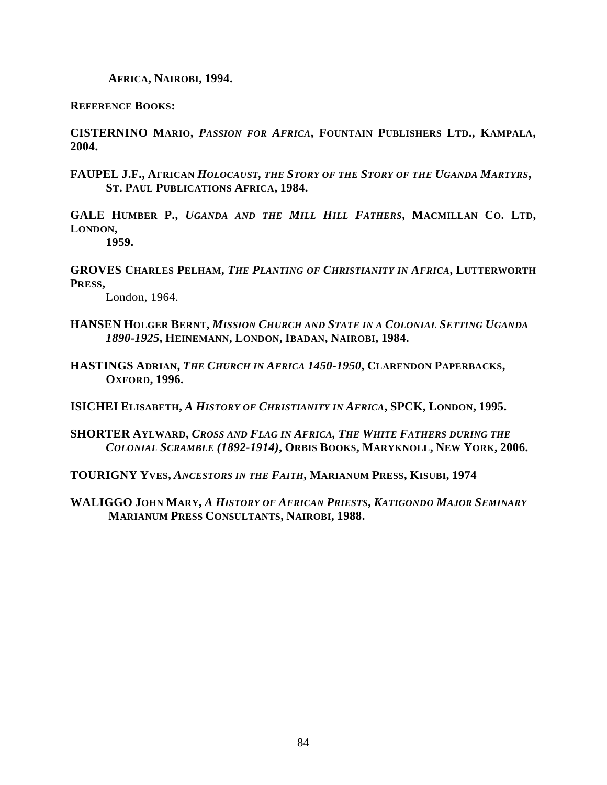**AFRICA, NAIROBI, 1994.**

**REFERENCE BOOKS:**

**CISTERNINO MARIO,** *PASSION FOR AFRICA***, FOUNTAIN PUBLISHERS LTD., KAMPALA, 2004.**

**FAUPEL J.F., AFRICAN** *HOLOCAUST, THE STORY OF THE STORY OF THE UGANDA MARTYRS***, ST. PAUL PUBLICATIONS AFRICA, 1984.**

**GALE HUMBER P.,** *UGANDA AND THE MILL HILL FATHERS***, MACMILLAN CO. LTD, LONDON,**

**1959.**

**GROVES CHARLES PELHAM,** *THE PLANTING OF CHRISTIANITY IN AFRICA***, LUTTERWORTH PRESS,**

London, 1964.

- **HANSEN HOLGER BERNT,** *MISSION CHURCH AND STATE IN A COLONIAL SETTING UGANDA 1890-1925***, HEINEMANN, LONDON, IBADAN, NAIROBI, 1984.**
- **HASTINGS ADRIAN,** *THE CHURCH IN AFRICA 1450-1950***, CLARENDON PAPERBACKS, OXFORD, 1996.**

**ISICHEI ELISABETH,** *A HISTORY OF CHRISTIANITY IN AFRICA***, SPCK, LONDON, 1995.**

**SHORTER AYLWARD,** *CROSS AND FLAG IN AFRICA, THE WHITE FATHERS DURING THE COLONIAL SCRAMBLE (1892-1914)***, ORBIS BOOKS, MARYKNOLL, NEW YORK, 2006.**

**TOURIGNY YVES,** *ANCESTORS IN THE FAITH***, MARIANUM PRESS, KISUBI, 1974**

**WALIGGO JOHN MARY,** *A HISTORY OF AFRICAN PRIESTS***,** *KATIGONDO MAJOR SEMINARY* **MARIANUM PRESS CONSULTANTS, NAIROBI, 1988.**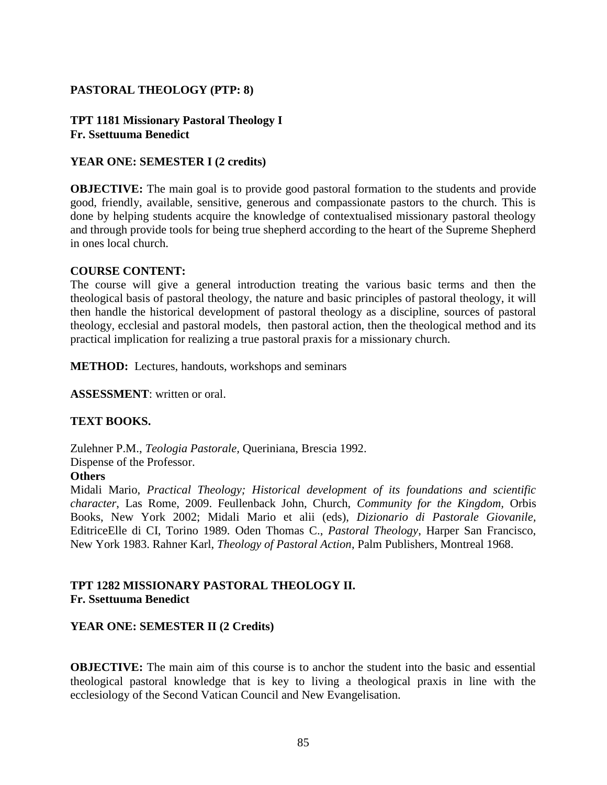## **PASTORAL THEOLOGY (PTP: 8)**

### **TPT 1181 Missionary Pastoral Theology I Fr. Ssettuuma Benedict**

### **YEAR ONE: SEMESTER I (2 credits)**

**OBJECTIVE:** The main goal is to provide good pastoral formation to the students and provide good, friendly, available, sensitive, generous and compassionate pastors to the church. This is done by helping students acquire the knowledge of contextualised missionary pastoral theology and through provide tools for being true shepherd according to the heart of the Supreme Shepherd in ones local church.

#### **COURSE CONTENT:**

The course will give a general introduction treating the various basic terms and then the theological basis of pastoral theology, the nature and basic principles of pastoral theology, it will then handle the historical development of pastoral theology as a discipline, sources of pastoral theology, ecclesial and pastoral models, then pastoral action, then the theological method and its practical implication for realizing a true pastoral praxis for a missionary church.

**METHOD:** Lectures, handouts, workshops and seminars

**ASSESSMENT**: written or oral.

### **TEXT BOOKS.**

Zulehner P.M., *Teologia Pastorale,* Queriniana, Brescia 1992. Dispense of the Professor.

#### **Others**

Midali Mario, *Practical Theology; Historical development of its foundations and scientific character*, Las Rome, 2009. Feullenback John, Church, *Community for the Kingdom,* Orbis Books, New York 2002; Midali Mario et alii (eds), *Dizionario di Pastorale Giovanile,* EditriceElle di CI, Torino 1989. Oden Thomas C., *Pastoral Theology*, Harper San Francisco, New York 1983. Rahner Karl, *Theology of Pastoral Action*, Palm Publishers, Montreal 1968.

### **TPT 1282 MISSIONARY PASTORAL THEOLOGY II. Fr. Ssettuuma Benedict**

### **YEAR ONE: SEMESTER II (2 Credits)**

**OBJECTIVE:** The main aim of this course is to anchor the student into the basic and essential theological pastoral knowledge that is key to living a theological praxis in line with the ecclesiology of the Second Vatican Council and New Evangelisation.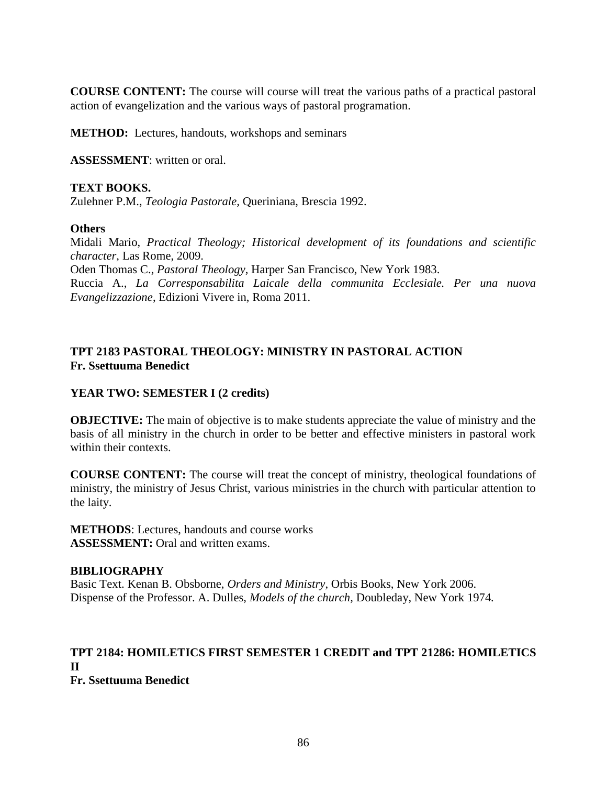**COURSE CONTENT:** The course will course will treat the various paths of a practical pastoral action of evangelization and the various ways of pastoral programation.

**METHOD:** Lectures, handouts, workshops and seminars

**ASSESSMENT**: written or oral.

### **TEXT BOOKS.**

Zulehner P.M., *Teologia Pastorale,* Queriniana, Brescia 1992.

### **Others**

Midali Mario, *Practical Theology; Historical development of its foundations and scientific character*, Las Rome, 2009. Oden Thomas C., *Pastoral Theology*, Harper San Francisco, New York 1983.

Ruccia A., *La Corresponsabilita Laicale della communita Ecclesiale. Per una nuova Evangelizzazione*, Edizioni Vivere in, Roma 2011.

## **TPT 2183 PASTORAL THEOLOGY: MINISTRY IN PASTORAL ACTION Fr. Ssettuuma Benedict**

## **YEAR TWO: SEMESTER I (2 credits)**

**OBJECTIVE:** The main of objective is to make students appreciate the value of ministry and the basis of all ministry in the church in order to be better and effective ministers in pastoral work within their contexts.

**COURSE CONTENT:** The course will treat the concept of ministry, theological foundations of ministry, the ministry of Jesus Christ, various ministries in the church with particular attention to the laity.

**METHODS**: Lectures, handouts and course works **ASSESSMENT:** Oral and written exams.

### **BIBLIOGRAPHY**

Basic Text. Kenan B. Obsborne, *Orders and Ministry*, Orbis Books, New York 2006. Dispense of the Professor. A. Dulles, *Models of the church,* Doubleday, New York 1974*.*

#### **TPT 2184: HOMILETICS FIRST SEMESTER 1 CREDIT and TPT 21286: HOMILETICS II Fr. Ssettuuma Benedict**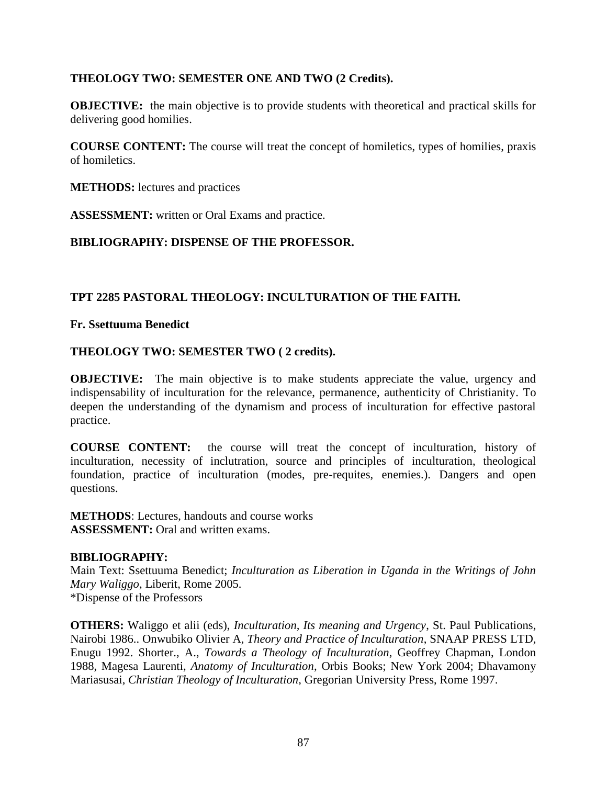## **THEOLOGY TWO: SEMESTER ONE AND TWO (2 Credits).**

**OBJECTIVE:** the main objective is to provide students with theoretical and practical skills for delivering good homilies.

**COURSE CONTENT:** The course will treat the concept of homiletics, types of homilies, praxis of homiletics.

**METHODS:** lectures and practices

**ASSESSMENT:** written or Oral Exams and practice.

## **BIBLIOGRAPHY: DISPENSE OF THE PROFESSOR.**

## **TPT 2285 PASTORAL THEOLOGY: INCULTURATION OF THE FAITH.**

**Fr. Ssettuuma Benedict**

### **THEOLOGY TWO: SEMESTER TWO ( 2 credits).**

**OBJECTIVE:** The main objective is to make students appreciate the value, urgency and indispensability of inculturation for the relevance, permanence, authenticity of Christianity. To deepen the understanding of the dynamism and process of inculturation for effective pastoral practice.

**COURSE CONTENT:** the course will treat the concept of inculturation, history of inculturation, necessity of inclutration, source and principles of inculturation, theological foundation, practice of inculturation (modes, pre-requites, enemies.). Dangers and open questions.

**METHODS**: Lectures, handouts and course works **ASSESSMENT:** Oral and written exams.

### **BIBLIOGRAPHY:**

Main Text: Ssettuuma Benedict; *Inculturation as Liberation in Uganda in the Writings of John Mary Waliggo*, Liberit, Rome 2005. \*Dispense of the Professors

**OTHERS:** Waliggo et alii (eds), *Inculturation, Its meaning and Urgency*, St. Paul Publications, Nairobi 1986.. Onwubiko Olivier A, *Theory and Practice of Inculturation*, SNAAP PRESS LTD, Enugu 1992. Shorter., A., *Towards a Theology of Inculturation*, Geoffrey Chapman, London 1988, Magesa Laurenti, *Anatomy of Inculturation*, Orbis Books; New York 2004; Dhavamony Mariasusai, *Christian Theology of Inculturation*, Gregorian University Press, Rome 1997.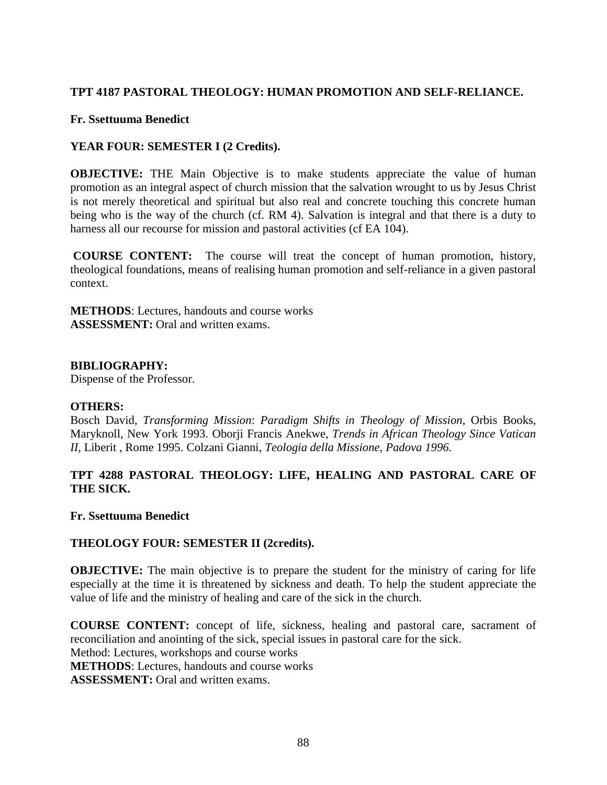## **TPT 4187 PASTORAL THEOLOGY: HUMAN PROMOTION AND SELF-RELIANCE.**

### **Fr. Ssettuuma Benedict**

## **YEAR FOUR: SEMESTER I (2 Credits).**

**OBJECTIVE:** THE Main Objective is to make students appreciate the value of human promotion as an integral aspect of church mission that the salvation wrought to us by Jesus Christ is not merely theoretical and spiritual but also real and concrete touching this concrete human being who is the way of the church (cf. RM 4). Salvation is integral and that there is a duty to harness all our recourse for mission and pastoral activities (cf EA 104).

**COURSE CONTENT:** The course will treat the concept of human promotion, history, theological foundations, means of realising human promotion and self-reliance in a given pastoral context.

**METHODS**: Lectures, handouts and course works **ASSESSMENT:** Oral and written exams.

### **BIBLIOGRAPHY:**

Dispense of the Professor.

### **OTHERS:**

Bosch David, *Transforming Mission*: *Paradigm Shifts in Theology of Mission*, Orbis Books, Maryknoll, New York 1993. Oborji Francis Anekwe, *Trends in African Theology Since Vatican II,* Liberit , Rome 1995. Colzani Gianni, *Teologia della Missione, Padova 1996.*

## **TPT 4288 PASTORAL THEOLOGY: LIFE, HEALING AND PASTORAL CARE OF THE SICK.**

### **Fr. Ssettuuma Benedict**

### **THEOLOGY FOUR: SEMESTER II (2credits).**

**OBJECTIVE:** The main objective is to prepare the student for the ministry of caring for life especially at the time it is threatened by sickness and death. To help the student appreciate the value of life and the ministry of healing and care of the sick in the church.

**COURSE CONTENT:** concept of life, sickness, healing and pastoral care, sacrament of reconciliation and anointing of the sick, special issues in pastoral care for the sick. Method: Lectures, workshops and course works **METHODS**: Lectures, handouts and course works **ASSESSMENT:** Oral and written exams.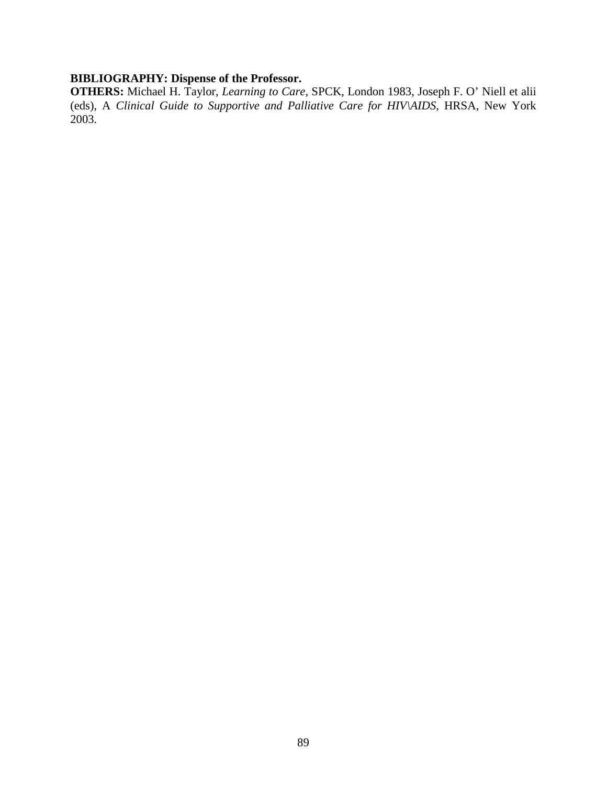## **BIBLIOGRAPHY: Dispense of the Professor.**

**OTHERS:** Michael H. Taylor, *Learning to Care*, SPCK, London 1983, Joseph F. O' Niell et alii (eds), A *Clinical Guide to Supportive and Palliative Care for HIV\AIDS*, HRSA, New York 2003.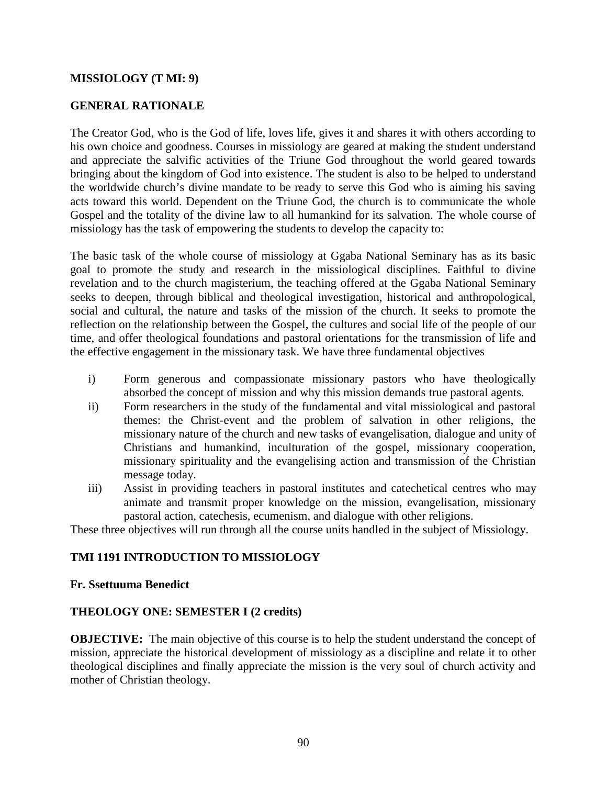### **MISSIOLOGY (T MI: 9)**

## **GENERAL RATIONALE**

The Creator God, who is the God of life, loves life, gives it and shares it with others according to his own choice and goodness. Courses in missiology are geared at making the student understand and appreciate the salvific activities of the Triune God throughout the world geared towards bringing about the kingdom of God into existence. The student is also to be helped to understand the worldwide church's divine mandate to be ready to serve this God who is aiming his saving acts toward this world. Dependent on the Triune God, the church is to communicate the whole Gospel and the totality of the divine law to all humankind for its salvation. The whole course of missiology has the task of empowering the students to develop the capacity to:

The basic task of the whole course of missiology at Ggaba National Seminary has as its basic goal to promote the study and research in the missiological disciplines. Faithful to divine revelation and to the church magisterium, the teaching offered at the Ggaba National Seminary seeks to deepen, through biblical and theological investigation, historical and anthropological, social and cultural, the nature and tasks of the mission of the church. It seeks to promote the reflection on the relationship between the Gospel, the cultures and social life of the people of our time, and offer theological foundations and pastoral orientations for the transmission of life and the effective engagement in the missionary task. We have three fundamental objectives

- i) Form generous and compassionate missionary pastors who have theologically absorbed the concept of mission and why this mission demands true pastoral agents.
- ii) Form researchers in the study of the fundamental and vital missiological and pastoral themes: the Christ-event and the problem of salvation in other religions, the missionary nature of the church and new tasks of evangelisation, dialogue and unity of Christians and humankind, inculturation of the gospel, missionary cooperation, missionary spirituality and the evangelising action and transmission of the Christian message today.
- iii) Assist in providing teachers in pastoral institutes and catechetical centres who may animate and transmit proper knowledge on the mission, evangelisation, missionary pastoral action, catechesis, ecumenism, and dialogue with other religions.

These three objectives will run through all the course units handled in the subject of Missiology.

### **TMI 1191 INTRODUCTION TO MISSIOLOGY**

#### **Fr. Ssettuuma Benedict**

### **THEOLOGY ONE: SEMESTER I (2 credits)**

**OBJECTIVE:** The main objective of this course is to help the student understand the concept of mission, appreciate the historical development of missiology as a discipline and relate it to other theological disciplines and finally appreciate the mission is the very soul of church activity and mother of Christian theology.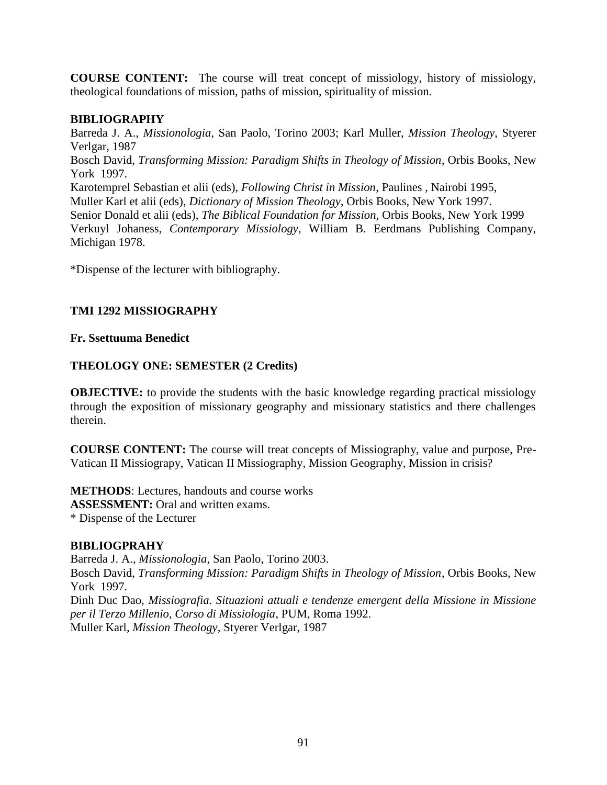**COURSE CONTENT:** The course will treat concept of missiology, history of missiology, theological foundations of mission, paths of mission, spirituality of mission.

## **BIBLIOGRAPHY**

Barreda J. A., *Missionologia*, San Paolo, Torino 2003; Karl Muller, *Mission Theology*, Styerer Verlgar, 1987 Bosch David, *Transforming Mission: Paradigm Shifts in Theology of Mission*, Orbis Books, New York 1997. Karotemprel Sebastian et alii (eds), *Following Christ in Mission*, Paulines , Nairobi 1995, Muller Karl et alii (eds), *Dictionary of Mission Theology*, Orbis Books, New York 1997. Senior Donald et alii (eds), *The Biblical Foundation for Mission,* Orbis Books, New York 1999 Verkuyl Johaness, *Contemporary Missiology*, William B. Eerdmans Publishing Company, Michigan 1978.

\*Dispense of the lecturer with bibliography.

## **TMI 1292 MISSIOGRAPHY**

## **Fr. Ssettuuma Benedict**

## **THEOLOGY ONE: SEMESTER (2 Credits)**

**OBJECTIVE:** to provide the students with the basic knowledge regarding practical missiology through the exposition of missionary geography and missionary statistics and there challenges therein.

**COURSE CONTENT:** The course will treat concepts of Missiography, value and purpose, Pre- Vatican II Missiograpy, Vatican II Missiography, Mission Geography, Mission in crisis?

**METHODS**: Lectures, handouts and course works **ASSESSMENT:** Oral and written exams. \* Dispense of the Lecturer

## **BIBLIOGPRAHY**

Barreda J. A., *Missionologia*, San Paolo, Torino 2003.

Bosch David, *Transforming Mission: Paradigm Shifts in Theology of Mission*, Orbis Books, New York 1997.

Dinh Duc Dao, *Missiografia. Situazioni attuali e tendenze emergent della Missione in Missione per il Terzo Millenio, Corso di Missiologia*, PUM, Roma 1992. Muller Karl, *Mission Theology*, Styerer Verlgar, 1987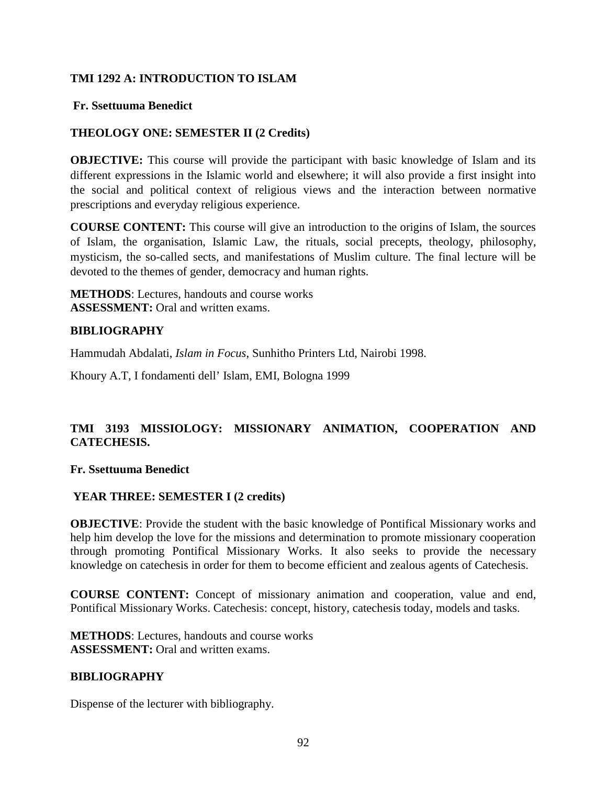## **TMI 1292 A: INTRODUCTION TO ISLAM**

### **Fr. Ssettuuma Benedict**

## **THEOLOGY ONE: SEMESTER II (2 Credits)**

**OBJECTIVE:** This course will provide the participant with basic knowledge of Islam and its different expressions in the Islamic world and elsewhere; it will also provide a first insight into the social and political context of religious views and the interaction between normative prescriptions and everyday religious experience.

**COURSE CONTENT:** This course will give an introduction to the origins of Islam, the sources of Islam, the organisation, Islamic Law, the rituals, social precepts, theology, philosophy, mysticism, the so-called sects, and manifestations of Muslim culture. The final lecture will be devoted to the themes of gender, democracy and human rights.

**METHODS**: Lectures, handouts and course works **ASSESSMENT:** Oral and written exams.

### **BIBLIOGRAPHY**

Hammudah Abdalati, *Islam in Focus*, Sunhitho Printers Ltd, Nairobi 1998.

Khoury A.T, I fondamenti dell' Islam, EMI, Bologna 1999

## **TMI 3193 MISSIOLOGY: MISSIONARY ANIMATION, COOPERATION AND CATECHESIS.**

#### **Fr. Ssettuuma Benedict**

### **YEAR THREE: SEMESTER I (2 credits)**

**OBJECTIVE**: Provide the student with the basic knowledge of Pontifical Missionary works and help him develop the love for the missions and determination to promote missionary cooperation through promoting Pontifical Missionary Works. It also seeks to provide the necessary knowledge on catechesis in order for them to become efficient and zealous agents of Catechesis.

**COURSE CONTENT:** Concept of missionary animation and cooperation, value and end, Pontifical Missionary Works. Catechesis: concept, history, catechesis today, models and tasks.

**METHODS**: Lectures, handouts and course works **ASSESSMENT:** Oral and written exams.

### **BIBLIOGRAPHY**

Dispense of the lecturer with bibliography.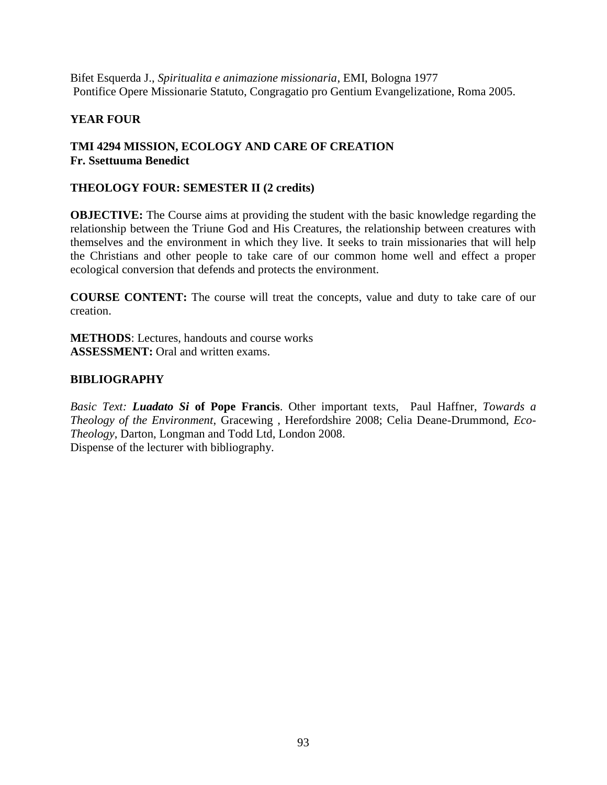Bifet Esquerda J., *Spiritualita e animazione missionaria*, EMI, Bologna 1977 Pontifice Opere Missionarie Statuto, Congragatio pro Gentium Evangelizatione, Roma 2005.

## **YEAR FOUR**

## **TMI 4294 MISSION, ECOLOGY AND CARE OF CREATION Fr. Ssettuuma Benedict**

## **THEOLOGY FOUR: SEMESTER II (2 credits)**

**OBJECTIVE:** The Course aims at providing the student with the basic knowledge regarding the relationship between the Triune God and His Creatures, the relationship between creatures with themselves and the environment in which they live. It seeks to train missionaries that will help the Christians and other people to take care of our common home well and effect a proper ecological conversion that defends and protects the environment.

**COURSE CONTENT:** The course will treat the concepts, value and duty to take care of our creation.

**METHODS**: Lectures, handouts and course works **ASSESSMENT:** Oral and written exams.

## **BIBLIOGRAPHY**

*Basic Text: Luadato Si* **of Pope Francis**. Other important texts, Paul Haffner, *Towards a Theology of the Environment*, Gracewing , Herefordshire 2008; Celia Deane-Drummond, *Eco- Theology*, Darton, Longman and Todd Ltd, London 2008. Dispense of the lecturer with bibliography.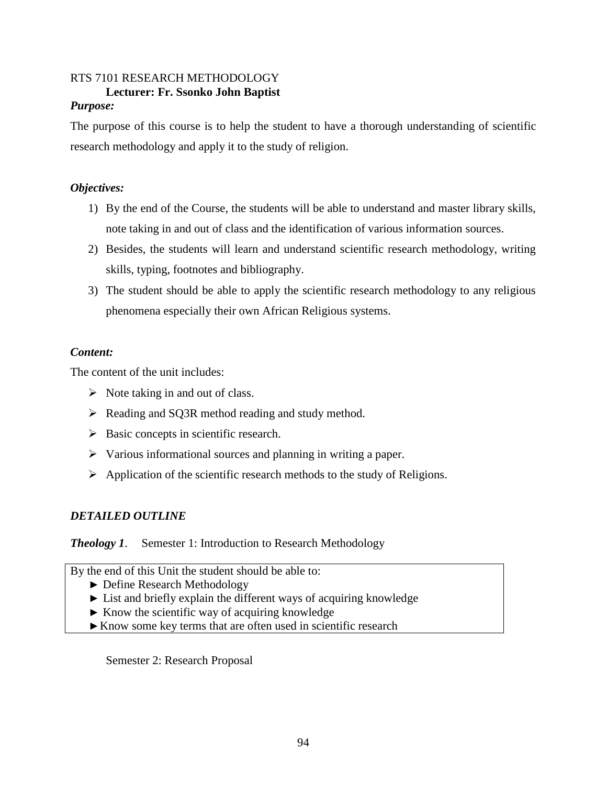# RTS 7101 RESEARCH METHODOLOGY **Lecturer: Fr. Ssonko John Baptist**

### *Purpose:*

The purpose of this course is to help the student to have a thorough understanding of scientific research methodology and apply it to the study of religion.

## *Objectives:*

- 1) By the end of the Course, the students will be able to understand and master library skills, note taking in and out of class and the identification of various information sources.
- 2) Besides, the students will learn and understand scientific research methodology, writing skills, typing, footnotes and bibliography.
- 3) The student should be able to apply the scientific research methodology to any religious phenomena especially their own African Religious systems.

## *Content:*

The content of the unit includes:

- $\triangleright$  Note taking in and out of class.
- $\triangleright$  Reading and SQ3R method reading and study method.
- $\triangleright$  Basic concepts in scientific research.
- $\triangleright$  Various informational sources and planning in writing a paper.
- $\triangleright$  Application of the scientific research methods to the study of Religions.

## *DETAILED OUTLINE*

## *Theology 1.* Semester 1: Introduction to Research Methodology

By the end of this Unit the student should be able to: Define Research Methodology List and briefly explain the different ways of acquiring knowledge Know the scientific way of acquiring knowledge Know some key terms that are often used in scientific research

Semester 2: Research Proposal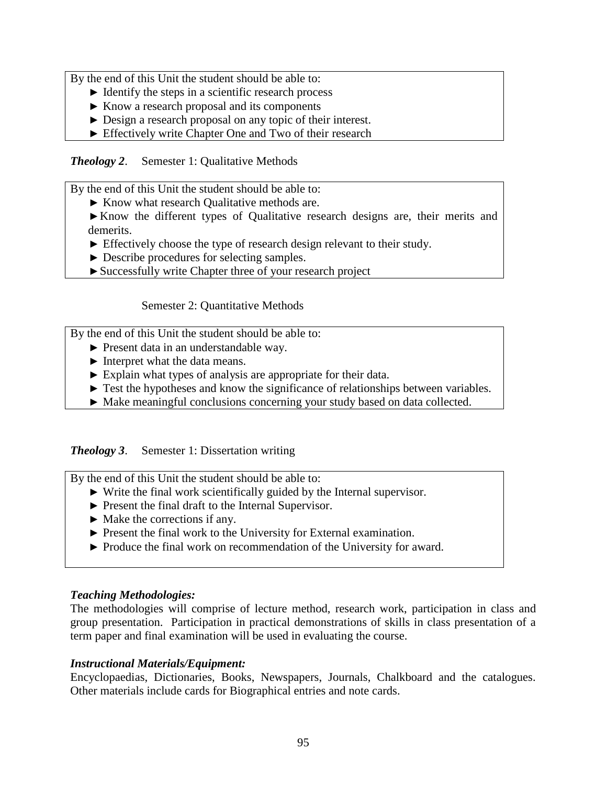By the end of this Unit the student should be able to: Identify the steps in a scientific research process Know a research proposal and its components Design a research proposal on any topic of their interest. Effectively write Chapter One and Two of their research

*Theology 2*. Semester 1: Qualitative Methods

By the end of this Unit the student should be able to: Know what research Qualitative methods are. Know the different types of Qualitative research designs are, their merits and demerits. Effectively choose the type of research design relevant to their study. Describe procedures for selecting samples. Successfully write Chapter three of your research project

Semester 2: Quantitative Methods

By the end of this Unit the student should be able to:

Present data in an understandable way.

Interpret what the data means.

Explain what types of analysis are appropriate for their data.

Test the hypotheses and know the significance of relationships between variables.

Make meaningful conclusions concerning your study based on data collected.

## *Theology 3*. Semester 1: Dissertation writing

By the end of this Unit the student should be able to: Write the final work scientifically guided by the Internal supervisor. Present the final draft to the Internal Supervisor. Make the corrections if any. Present the final work to the University for External examination. Produce the final work on recommendation of the University for award.

## *Teaching Methodologies:*

The methodologies will comprise of lecture method, research work, participation in class and group presentation. Participation in practical demonstrations of skills in class presentation of a term paper and final examination will be used in evaluating the course.

## *Instructional Materials/Equipment:*

Encyclopaedias, Dictionaries, Books, Newspapers, Journals, Chalkboard and the catalogues. Other materials include cards for Biographical entries and note cards.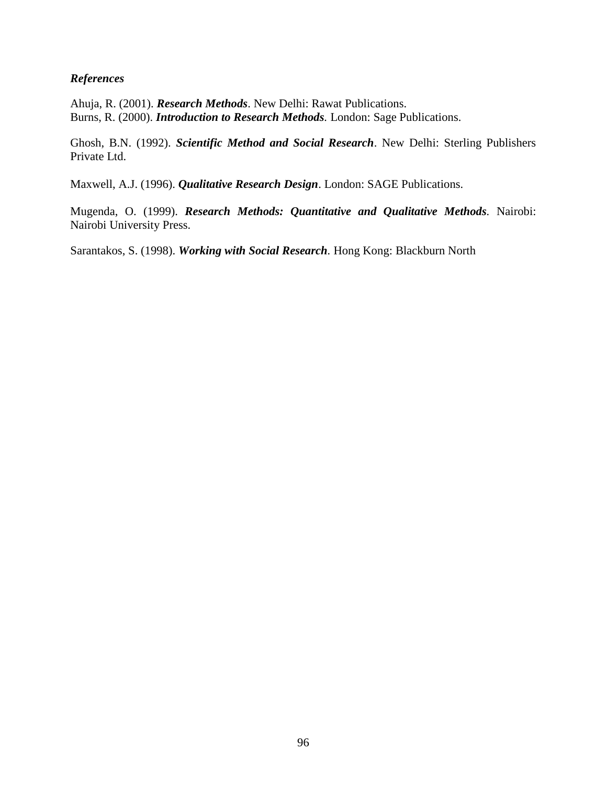## *References*

Ahuja, R. (2001). *Research Methods*. New Delhi: Rawat Publications. Burns, R. (2000). *Introduction to Research Methods.* London: Sage Publications.

Ghosh, B.N. (1992). *Scientific Method and Social Research*. New Delhi: Sterling Publishers Private Ltd.

Maxwell, A.J. (1996). *Qualitative Research Design*. London: SAGE Publications.

Mugenda, O. (1999). *Research Methods: Quantitative and Qualitative Methods.* Nairobi: Nairobi University Press.

Sarantakos, S. (1998). *Working with Social Research.* Hong Kong: Blackburn North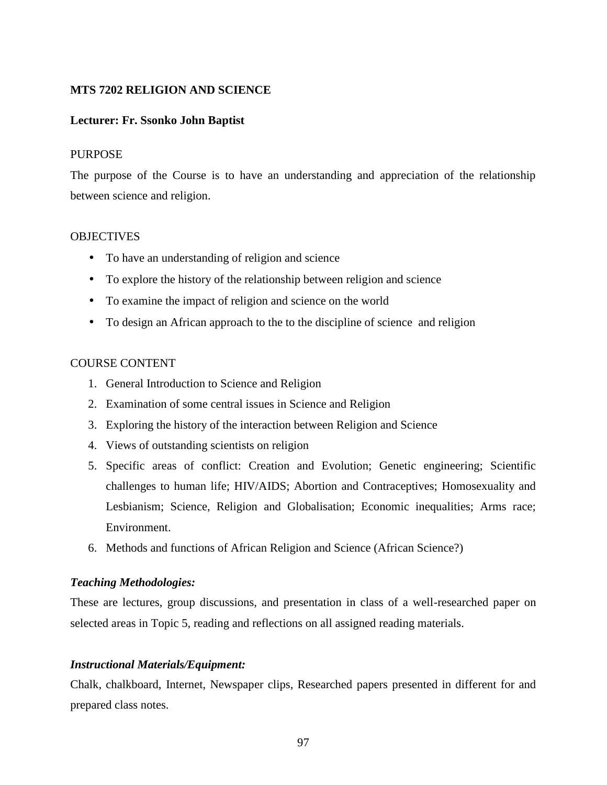### **MTS 7202 RELIGION AND SCIENCE**

### **Lecturer: Fr. Ssonko John Baptist**

#### PURPOSE

The purpose of the Course is to have an understanding and appreciation of the relationship between science and religion.

#### **OBJECTIVES**

- To have an understanding of religion and science
- To explore the history of the relationship between religion and science
- To examine the impact of religion and science on the world
- To design an African approach to the to the discipline of science and religion

#### COURSE CONTENT

- 1. General Introduction to Science and Religion
- 2. Examination of some central issues in Science and Religion
- 3. Exploring the history of the interaction between Religion and Science
- 4. Views of outstanding scientists on religion
- 5. Specific areas of conflict: Creation and Evolution; Genetic engineering; Scientific challenges to human life; HIV/AIDS; Abortion and Contraceptives; Homosexuality and Lesbianism; Science, Religion and Globalisation; Economic inequalities; Arms race; Environment.
- 6. Methods and functions of African Religion and Science (African Science?)

#### *Teaching Methodologies:*

These are lectures, group discussions, and presentation in class of a well-researched paper on selected areas in Topic 5, reading and reflections on all assigned reading materials.

### *Instructional Materials/Equipment:*

Chalk, chalkboard, Internet, Newspaper clips, Researched papers presented in different for and prepared class notes.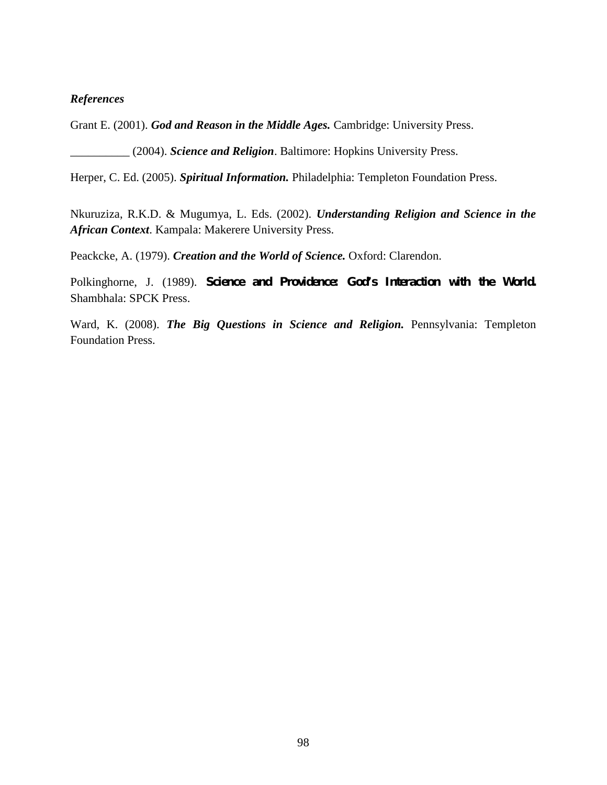### *References*

Grant E. (2001). *God and Reason in the Middle Ages.* Cambridge: University Press.

\_\_\_\_\_\_\_\_\_\_ (2004). *Science and Religion*. Baltimore: Hopkins University Press.

Herper, C. Ed. (2005). *Spiritual Information.* Philadelphia: Templeton Foundation Press.

Nkuruziza, R.K.D. & Mugumya, L. Eds. (2002). *Understanding Religion and Science in the African Context*. Kampala: Makerere University Press.

Peackcke, A. (1979). *Creation and the World of Science.* Oxford: Clarendon.

Polkinghorne, J. (1989). *Science and Providence: God's Interaction with the World.* Shambhala: SPCK Press.

Ward, K. (2008). *The Big Questions in Science and Religion.* Pennsylvania: Templeton Foundation Press.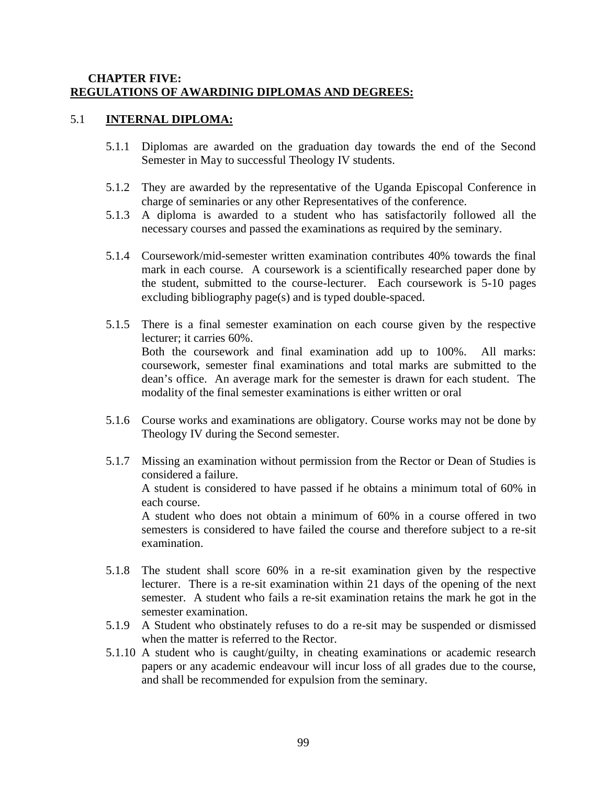### **CHAPTER FIVE: REGULATIONS OF AWARDINIG DIPLOMAS AND DEGREES:**

#### 5.1 **INTERNAL DIPLOMA:**

- 5.1.1 Diplomas are awarded on the graduation day towards the end of the Second Semester in May to successful Theology IV students.
- 5.1.2 They are awarded by the representative of the Uganda Episcopal Conference in charge of seminaries or any other Representatives of the conference.
- 5.1.3 A diploma is awarded to a student who has satisfactorily followed all the necessary courses and passed the examinations as required by the seminary.
- 5.1.4 Coursework/mid-semester written examination contributes 40% towards the final mark in each course. A coursework is a scientifically researched paper done by the student, submitted to the course-lecturer. Each coursework is 5-10 pages excluding bibliography page(s) and is typed double-spaced.
- 5.1.5 There is a final semester examination on each course given by the respective lecturer; it carries 60%. Both the coursework and final examination add up to 100%. All marks: coursework, semester final examinations and total marks are submitted to the dean's office. An average mark for the semester is drawn for each student. The modality of the final semester examinations is either written or oral
- 5.1.6 Course works and examinations are obligatory. Course works may not be done by Theology IV during the Second semester.
- 5.1.7 Missing an examination without permission from the Rector or Dean of Studies is considered a failure. A student is considered to have passed if he obtains a minimum total of 60% in each course. A student who does not obtain a minimum of 60% in a course offered in two semesters is considered to have failed the course and therefore subject to a re-sit examination.
- 5.1.8 The student shall score 60% in a re-sit examination given by the respective lecturer. There is a re-sit examination within 21 days of the opening of the next semester. A student who fails a re-sit examination retains the mark he got in the semester examination.
- 5.1.9 A Student who obstinately refuses to do a re-sit may be suspended or dismissed when the matter is referred to the Rector.
- 5.1.10 A student who is caught/guilty, in cheating examinations or academic research papers or any academic endeavour will incur loss of all grades due to the course, and shall be recommended for expulsion from the seminary.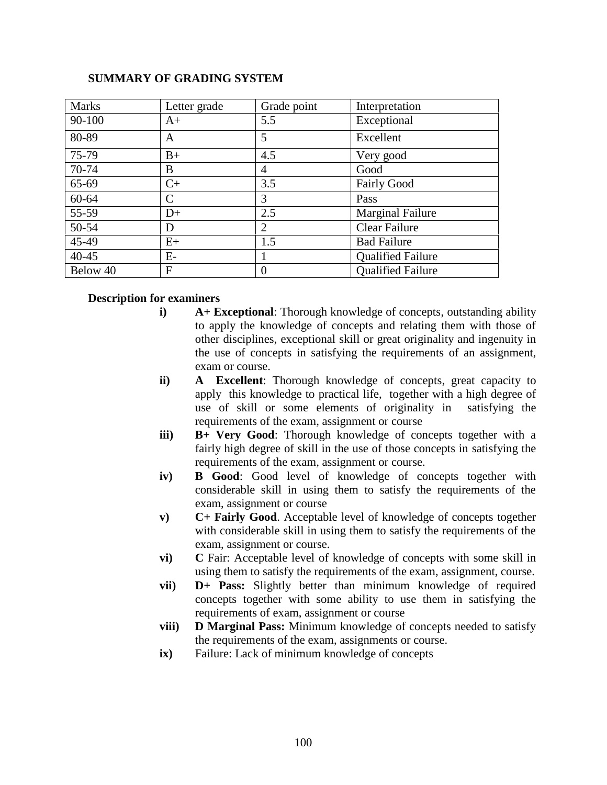# Marks Letter grade Grade point Interpretation  $90-100$   $A+$   $5.5$  Exceptional  $80-89$  A  $5$  Excellent 75-79 B+ 4.5 Very good  $70-74$  B  $\vert 4$  Good  $65-69$   $\qquad \qquad$   $\qquad \qquad$   $\qquad \qquad$   $\qquad \qquad$   $\qquad$   $\qquad \qquad$   $\qquad$   $\qquad$   $\qquad$   $\qquad$   $\qquad$   $\qquad$   $\qquad$   $\qquad$   $\qquad$   $\qquad$   $\qquad$   $\qquad$   $\qquad$   $\qquad$   $\qquad$   $\qquad$   $\qquad$   $\qquad$   $\qquad$   $\qquad$   $\qquad$   $\qquad$   $\qquad$   $\qquad$   $\qquad$   $\qquad$   $\qquad$  60-64 C 3 Pass 55-59 D+ 2.5 Marginal Failure 50-54 D 2 Clear Failure  $45-49$   $E<sub>+</sub>$   $1.5$  Bad Failure 40-45 E- 1 Qualified Failure<br>
Below 40 F 0 Qualified Failure  $Below 40$   $\qquad \qquad$   $\qquad$   $\qquad$   $\qquad$   $\qquad$   $\qquad$   $\qquad$   $\qquad$   $\qquad$   $\qquad$   $\qquad$   $\qquad$   $\qquad$   $\qquad$   $\qquad$   $\qquad$   $\qquad$   $\qquad$   $\qquad$   $\qquad$   $\qquad$   $\qquad$   $\qquad$   $\qquad$   $\qquad$   $\qquad$   $\qquad$   $\qquad$   $\qquad$   $\qquad$   $\qquad$   $\qquad$   $\qquad$   $\qquad$   $\qquad$

## **SUMMARY OF GRADING SYSTEM**

### **Description for examiners**

- **i) A+ Exceptional**: Thorough knowledge of concepts, outstanding ability to apply the knowledge of concepts and relating them with those of other disciplines, exceptional skill or great originality and ingenuity in the use of concepts in satisfying the requirements of an assignment, exam or course.
- **ii) A Excellent**: Thorough knowledge of concepts, great capacity to apply this knowledge to practical life, together with a high degree of use of skill or some elements of originality in satisfying the requirements of the exam, assignment or course
- **iii) B+ Very Good**: Thorough knowledge of concepts together with a fairly high degree of skill in the use of those concepts in satisfying the requirements of the exam, assignment or course.
- **iv) B Good**: Good level of knowledge of concepts together with considerable skill in using them to satisfy the requirements of the exam, assignment or course
- **v) C+ Fairly Good**. Acceptable level of knowledge of concepts together with considerable skill in using them to satisfy the requirements of the exam, assignment or course.
- **vi) C** Fair: Acceptable level of knowledge of concepts with some skill in using them to satisfy the requirements of the exam, assignment, course.
- **vii) D+ Pass:** Slightly better than minimum knowledge of required concepts together with some ability to use them in satisfying the requirements of exam, assignment or course
- **viii) D Marginal Pass:** Minimum knowledge of concepts needed to satisfy the requirements of the exam, assignments or course.
- **ix)** Failure: Lack of minimum knowledge of concepts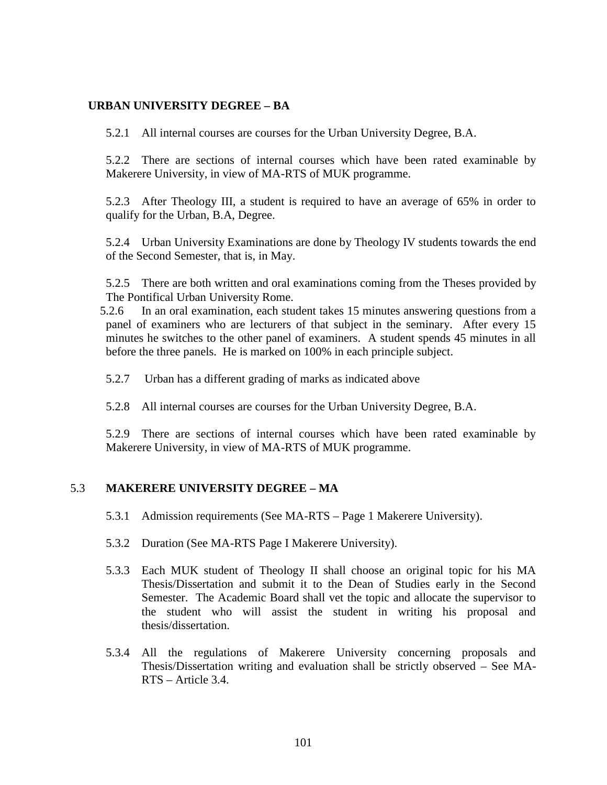### **URBAN UNIVERSITY DEGREE – BA**

5.2.1 All internal courses are courses for the Urban University Degree, B.A.

5.2.2 There are sections of internal courses which have been rated examinable by Makerere University, in view of MA-RTS of MUK programme.

5.2.3 After Theology III, a student is required to have an average of 65% in order to qualify for the Urban, B.A, Degree.

5.2.4 Urban University Examinations are done by Theology IV students towards the end of the Second Semester, that is, in May.

5.2.5 There are both written and oral examinations coming from the Theses provided by The Pontifical Urban University Rome.

- 5.2.6 In an oral examination, each student takes 15 minutes answering questions from a panel of examiners who are lecturers of that subject in the seminary. After every 15 minutes he switches to the other panel of examiners. A student spends 45 minutes in all before the three panels. He is marked on 100% in each principle subject.
- 5.2.7 Urban has a different grading of marks as indicated above
- 5.2.8 All internal courses are courses for the Urban University Degree, B.A.

5.2.9 There are sections of internal courses which have been rated examinable by Makerere University, in view of MA-RTS of MUK programme.

## 5.3 **MAKERERE UNIVERSITY DEGREE – MA**

- 5.3.1 Admission requirements (See MA-RTS Page 1 Makerere University).
- 5.3.2 Duration (See MA-RTS Page I Makerere University).
- 5.3.3 Each MUK student of Theology II shall choose an original topic for his MA Thesis/Dissertation and submit it to the Dean of Studies early in the Second Semester. The Academic Board shall vet the topic and allocate the supervisor to the student who will assist the student in writing his proposal and thesis/dissertation.
- 5.3.4 All the regulations of Makerere University concerning proposals and Thesis/Dissertation writing and evaluation shall be strictly observed – See MA- RTS – Article 3.4.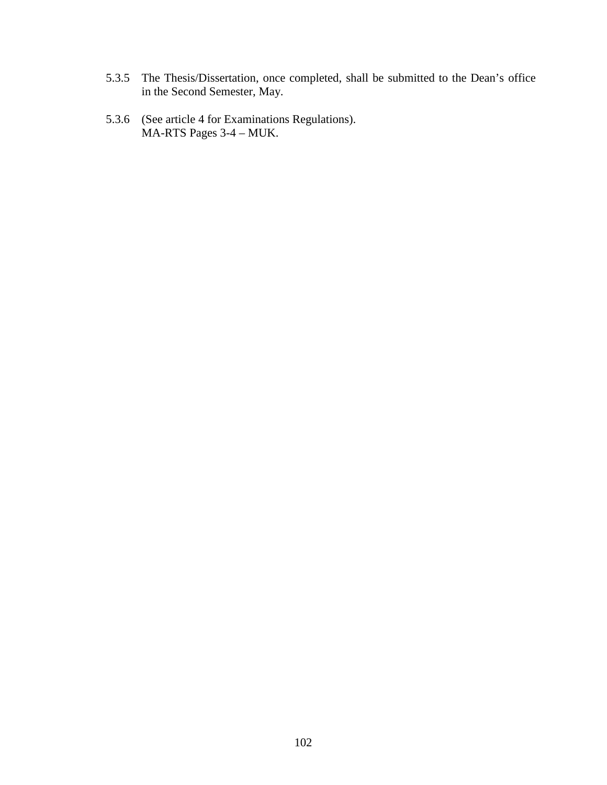- 5.3.5 The Thesis/Dissertation, once completed, shall be submitted to the Dean's office in the Second Semester, May.
- 5.3.6 (See article 4 for Examinations Regulations). MA-RTS Pages 3-4 – MUK.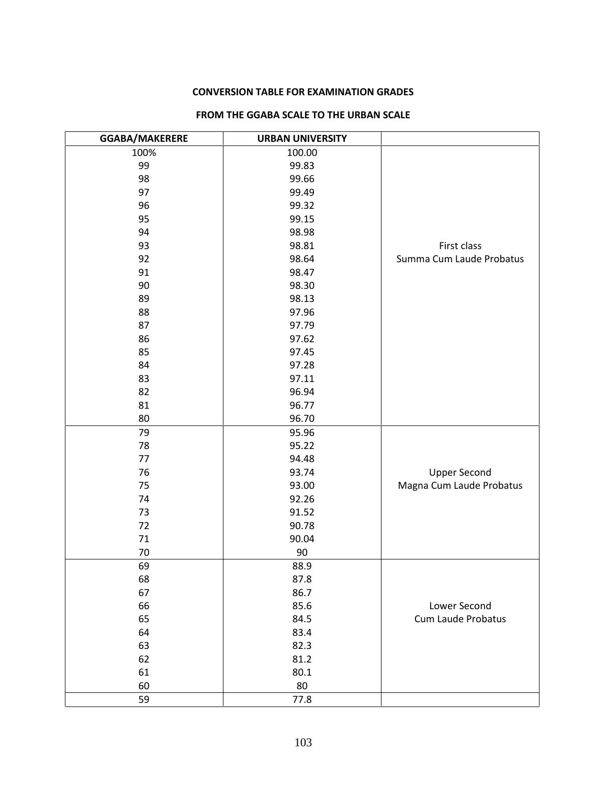#### **CONVERSION TABLE FOR EXAMINATION GRADES**

| GGABA/MAKERERE | <b>URBAN UNIVERSITY</b> |                          |
|----------------|-------------------------|--------------------------|
| 100%           | 100.00                  |                          |
| 99             | 99.83                   |                          |
| 98             | 99.66                   |                          |
| 97             | 99.49                   |                          |
| 96             | 99.32                   |                          |
| 95             | 99.15                   |                          |
| 94             | 98.98                   |                          |
| 93             | 98.81                   | First class              |
| 92             | 98.64                   | Summa Cum Laude Probatus |
| 91             | 98.47                   |                          |
| 90             | 98.30                   |                          |
| 89             | 98.13                   |                          |
| 88             | 97.96                   |                          |
| 87             | 97.79                   |                          |
| 86             | 97.62                   |                          |
| 85             | 97.45                   |                          |
| 84             | 97.28                   |                          |
| 83             | 97.11                   |                          |
| 82             | 96.94                   |                          |
| 81             | 96.77                   |                          |
| 80             | 96.70                   |                          |
| 79             | 95.96                   |                          |
| 78             | 95.22                   |                          |
| 77             | 94.48                   |                          |
| 76             | 93.74                   | <b>Upper Second</b>      |
| 75             | 93.00                   | Magna Cum Laude Probatus |
| 74             | 92.26                   |                          |
| 73             | 91.52                   |                          |
| 72             | 90.78                   |                          |
| 71             | 90.04                   |                          |
| 70             | 90                      |                          |
| 69             | 88.9                    |                          |
| 68             | 87.8                    |                          |
| 67             | 86.7                    |                          |
| 66             | 85.6                    | Lower Second             |
| 65             | 84.5                    | Cum Laude Probatus       |
| 64             | 83.4                    |                          |
| 63             | 82.3                    |                          |
| 62             | 81.2                    |                          |
| 61             | 80.1                    |                          |
| 60             | 80                      |                          |
| 59             | 77.8                    |                          |

#### **FROM THE GGABA SCALE TO THE URBAN SCALE**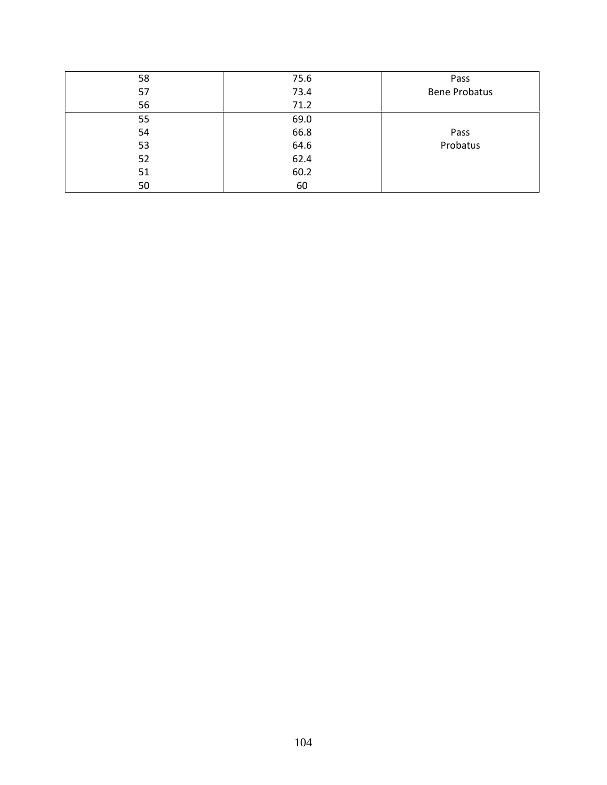| 58 | 75.6 | Pass                 |
|----|------|----------------------|
| 57 | 73.4 | <b>Bene Probatus</b> |
| 56 | 71.2 |                      |
| 55 | 69.0 |                      |
| 54 | 66.8 | Pass                 |
| 53 | 64.6 | Probatus             |
| 52 | 62.4 |                      |
| 51 | 60.2 |                      |
| 50 | 60   |                      |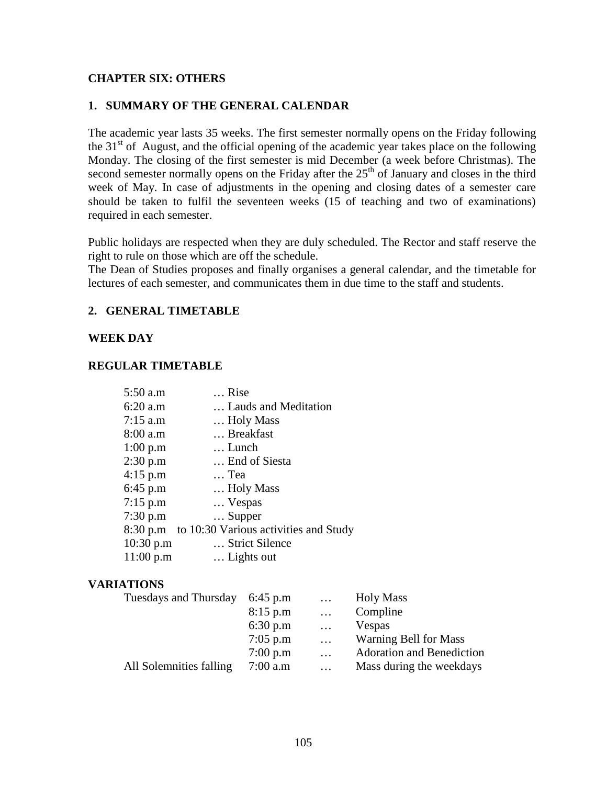### **CHAPTER SIX: OTHERS**

### **1. SUMMARY OF THE GENERAL CALENDAR**

The academic year lasts 35 weeks. The first semester normally opens on the Friday following the  $31<sup>st</sup>$  of August, and the official opening of the academic year takes place on the following Monday. The closing of the first semester is mid December (a week before Christmas). The second semester normally opens on the Friday after the  $25<sup>th</sup>$  of January and closes in the third week of May. In case of adjustments in the opening and closing dates of a semester care should be taken to fulfil the seventeen weeks (15 of teaching and two of examinations) required in each semester.

Public holidays are respected when they are duly scheduled. The Rector and staff reserve the right to rule on those which are off the schedule.

The Dean of Studies proposes and finally organises a general calendar, and the timetable for lectures of each semester, and communicates them in due time to the staff and students.

### **2. GENERAL TIMETABLE**

### **WEEK DAY**

### **REGULAR TIMETABLE**

| $5:50$ a.m | Rise                                           |
|------------|------------------------------------------------|
| 6:20 a.m   | Lauds and Meditation                           |
| $7:15$ a.m | Holy Mass                                      |
| 8:00 a.m   | Breakfast                                      |
| 1:00 p.m   | Lunch                                          |
| 2:30 p.m   | End of Siesta                                  |
| 4:15 p.m   | Tea                                            |
| 6:45 p.m   | Holy Mass                                      |
| 7:15 p.m   | Vespas                                         |
| 7:30 p.m   | $\ldots$ Supper                                |
|            | 8:30 p.m to 10:30 Various activities and Study |
| 10:30 p.m  | Strict Silence                                 |
| 11:00 p.m  | Lights out                                     |

### **VARIATIONS**

| Tuesdays and Thursday   | 6:45 p.m   | $\cdots$ | <b>Holy Mass</b>                 |
|-------------------------|------------|----------|----------------------------------|
|                         | 8:15 p.m   | $\cdots$ | Compline                         |
|                         | 6:30 p.m   | $\cdots$ | Vespas                           |
|                         | $7:05$ p.m | $\cdots$ | <b>Warning Bell for Mass</b>     |
|                         | 7:00 p.m   | $\cdots$ | <b>Adoration and Benediction</b> |
| All Solemnities falling | $7:00$ a.m | $\cdots$ | Mass during the weekdays         |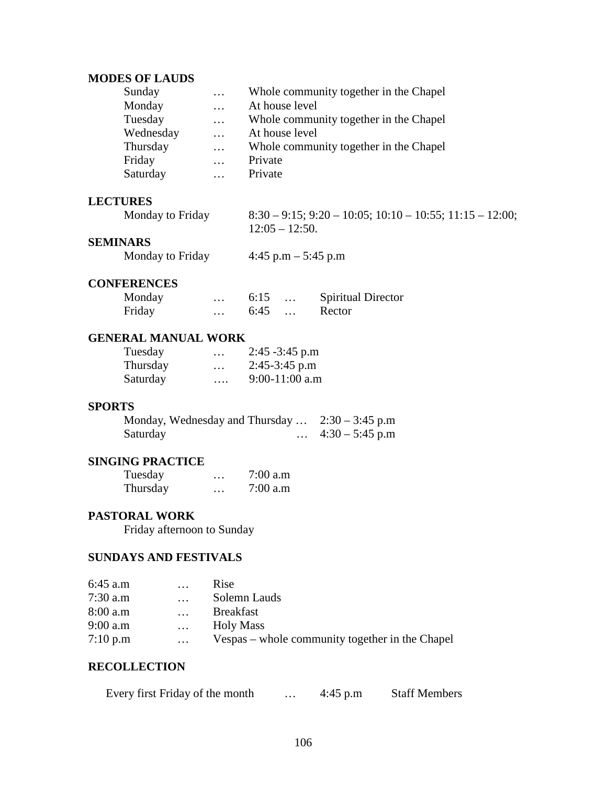### **MODES OF LAUDS**

| Sunday    | $\cdots$ | Whole community together in the Chapel |
|-----------|----------|----------------------------------------|
| Monday    | $\cdots$ | At house level                         |
| Tuesday   | $\cdots$ | Whole community together in the Chapel |
| Wednesday | $\cdots$ | At house level                         |
| Thursday  | $\cdots$ | Whole community together in the Chapel |
| Friday    | $\cdots$ | Private                                |
| Saturday  |          | Private                                |

## **LECTURES**

| Monday to Friday | $8:30 - 9:15$ ; 9:20 - 10:05; 10:10 - 10:55; 11:15 - 12:00; |
|------------------|-------------------------------------------------------------|
|                  | $12:05 - 12:50.$                                            |

### **SEMINARS**

|  | Monday to Friday | 4:45 p.m $-$ 5:45 p.m |  |
|--|------------------|-----------------------|--|
|--|------------------|-----------------------|--|

## **CONFERENCES**

| Monday | $\cdot$  | 6:15 | <b>Spiritual Director</b> |
|--------|----------|------|---------------------------|
| Friday | $\cdots$ | 6:45 | Rector                    |

### **GENERAL MANUAL WORK**

| Tuesday  | $\cdot\cdot\cdot$ | $2:45 - 3:45$ p.m |
|----------|-------------------|-------------------|
| Thursday | $\cdots$          | $2:45-3:45$ p.m   |
| Saturday | $\cdots$          | $9:00-11:00$ a.m  |

#### **SPORTS**

| Monday, Wednesday and Thursday $\ldots$ 2:30 – 3:45 p.m |                   |  |
|---------------------------------------------------------|-------------------|--|
| Saturday                                                | $4:30 - 5:45$ p.m |  |

## **SINGING PRACTICE**

| Tuesday  | $\cdots$ | 7:00 a.m |
|----------|----------|----------|
| Thursday | $\cdots$ | 7:00 a.m |

#### **PASTORAL WORK**

Friday afternoon to Sunday

## **SUNDAYS AND FESTIVALS**

| $6:45$ a.m | $\cdots$ | Rise                                            |
|------------|----------|-------------------------------------------------|
| $7:30$ a.m | $\cdots$ | Solemn Lauds                                    |
| 8:00 a.m   |          | <b>Breakfast</b>                                |
| $9:00$ a.m | $\cdots$ | <b>Holy Mass</b>                                |
| 7:10 p.m   | $\cdots$ | Vespas – whole community together in the Chapel |

### **RECOLLECTION**

| Every first Friday of the month | $4:45$ p.m | <b>Staff Members</b> |
|---------------------------------|------------|----------------------|
|                                 |            |                      |